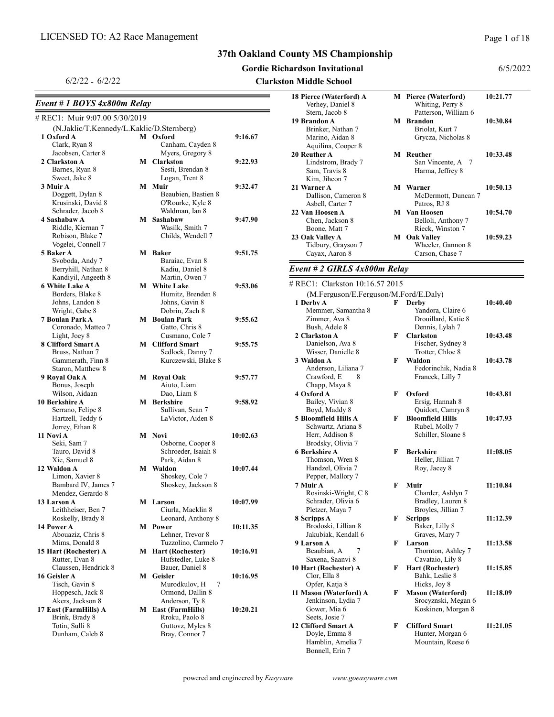#### Gordie Richardson Invitational

## Clarkston Middle School

L =

Page 1 of 18

| $6/2/22 - 6/2/22$                         |                                          |          | <b>Clarkston Middle School</b>              |   |                                           |          |
|-------------------------------------------|------------------------------------------|----------|---------------------------------------------|---|-------------------------------------------|----------|
| Event # 1 BOYS $4x800m$ Relay             |                                          |          | 18 Pierce (Waterford) A<br>Verhey, Daniel 8 |   | M Pierce (Waterford)<br>Whiting, Perry 8  | 10:21.77 |
| # REC1: Muir 9:07.00 5/30/2019            |                                          |          | Stern, Jacob 8<br>19 Brandon A              |   | Patterson, William 6<br>M Brandon         | 10:30.84 |
| (N.Jaklic/T.Kennedy/L.Kaklic/D.Sternberg) |                                          |          | Brinker, Nathan 7                           |   | Briolat, Kurt 7                           |          |
| 1 Oxford A                                | M Oxford                                 | 9:16.67  | Marino, Aidan 8                             |   | Grycza, Nicholas 8                        |          |
| Clark, Ryan 8                             | Canham, Cayden 8                         |          | Aquilina, Cooper 8                          |   |                                           |          |
| Jacobsen, Carter 8                        | Myers, Gregory 8                         |          | 20 Reuther A                                |   | <b>M</b> Reuther                          | 10:33.48 |
| 2 Clarkston A                             | M Clarkston                              | 9:22.93  | Lindstrom, Brady 7                          |   | San Vincente, A 7                         |          |
| Barnes, Ryan 8                            | Sesti, Brendan 8                         |          | Sam, Travis 8                               |   | Harma, Jeffrey 8                          |          |
| Sweet, Jake 8                             | Logan, Trent 8                           |          | Kim, Jiheon 7                               |   |                                           |          |
| 3 Muir A<br>Doggett, Dylan 8              | M Muir<br>Beaubien, Bastien 8            | 9:32.47  | 21 Warner A                                 |   | <b>M</b> Warner                           | 10:50.13 |
| Krusinski, David 8                        | O'Rourke, Kyle 8                         |          | Dallison, Cameron 8                         |   | McDermott, Duncan 7                       |          |
| Schrader, Jacob 8                         | Waldman, Ian 8                           |          | Asbell, Carter 7                            |   | Patros, RJ 8                              |          |
| 4 Sashabaw A                              | M Sashabaw                               | 9:47.90  | 22 Van Hoosen A<br>Chen, Jackson 8          |   | <b>M</b> Van Hoosen<br>Belloli, Anthony 7 | 10:54.70 |
| Riddle, Kiernan 7                         | Wasilk, Smith 7                          |          | Boone, Matt 7                               |   | Rieck, Winston 7                          |          |
| Robison, Blake 7                          | Childs, Wendell 7                        |          | 23 Oak Valley A                             |   | <b>M</b> Oak Valley                       | 10:59.23 |
| Vogelei, Connell 7                        |                                          |          | Tidbury, Grayson 7                          |   | Wheeler, Gannon 8                         |          |
| 5 Baker A                                 | M Baker                                  | 9:51.75  | Cayax, Aaron 8                              |   | Carson, Chase 7                           |          |
| Svoboda, Andy 7                           | Baraiac, Evan 8                          |          |                                             |   |                                           |          |
| Berryhill, Nathan 8                       | Kadiu, Daniel 8                          |          | Event # 2 GIRLS 4x800m Relay                |   |                                           |          |
| Kandiyil, Angeeth 8                       | Martin, Owen 7                           |          |                                             |   |                                           |          |
| 6 White Lake A                            | <b>M</b> White Lake                      | 9:53.06  | # REC1: Clarkston 10:16.57 2015             |   |                                           |          |
| Borders, Blake 8                          | Humitz, Brenden 8                        |          | (M.Ferguson/E.Ferguson/M.Ford/E.Daly)       |   |                                           |          |
| Johns, Landon 8                           | Johns, Gavin 8                           |          | 1 Derby A                                   | F | Derby                                     | 10:40.40 |
| Wright, Gabe 8                            | Dobrin, Zach 8                           |          | Memmer, Samantha 8                          |   | Yandora, Claire 6                         |          |
| 7 Boulan Park A                           | <b>M</b> Boulan Park                     | 9:55.62  | Zimmer, Ava 8                               |   | Drouillard, Katie 8                       |          |
| Coronado, Matteo 7                        | Gatto, Chris 8                           |          | Bush, Adele 8                               |   | Dennis, Lylah 7                           |          |
| Light, Joey 8                             | Cusmano, Cole 7                          |          | 2 Clarkston A                               | F | <b>Clarkston</b>                          | 10:43.48 |
| 8 Clifford Smart A                        | <b>M</b> Clifford Smart                  | 9:55.75  | Danielson, Ava 8                            |   | Fischer, Sydney 8                         |          |
| Bruss, Nathan 7                           | Sedlock, Danny 7<br>Kurczewski, Blake 8  |          | Wisser, Danielle 8<br>3 Waldon A            | F | Trotter, Chloe 8<br>Waldon                | 10:43.78 |
| Gammerath, Finn 8                         |                                          |          | Anderson, Liliana 7                         |   | Fedorinchik, Nadia 8                      |          |
| Staron, Matthew 8<br>9 Royal Oak A        | <b>M</b> Royal Oak                       | 9:57.77  | Crawford, E<br>8                            |   | Francek, Lilly 7                          |          |
| Bonus, Joseph                             | Aiuto, Liam                              |          | Chapp, Maya 8                               |   |                                           |          |
| Wilson, Aidaan                            | Dao, Liam 8                              |          | 4 Oxford A                                  | F | Oxford                                    | 10:43.81 |
| 10 Berkshire A                            | M Berkshire                              | 9:58.92  | Bailey, Vivian 8                            |   | Ersig, Hannah 8                           |          |
| Serrano, Felipe 8                         | Sullivan, Sean 7                         |          | Boyd, Maddy 8                               |   | Quidort, Camryn 8                         |          |
| Hartzell, Teddy 6                         | LaVictor, Aiden 8                        |          | 5 Bloomfield Hills A                        | F | <b>Bloomfield Hills</b>                   | 10:47.93 |
| Jorrey, Ethan 8                           |                                          |          | Schwartz, Ariana 8                          |   | Rubel, Molly 7                            |          |
| 11 Novi A                                 | M Novi                                   | 10:02.63 | Herr, Addison 8                             |   | Schiller, Sloane 8                        |          |
| Seki, Sam 7                               | Osborne, Cooper 8                        |          | Brodsky, Olivia 7                           |   |                                           |          |
| Tauro, David 8                            | Schroeder, Isaiah 8                      |          | 6 Berkshire A                               | F | <b>Berkshire</b>                          | 11:08.05 |
| Xie, Samuel 8                             | Park, Aidan 8                            |          | Thomson, Wren 8                             |   | Heller, Jillian 7                         |          |
| 12 Waldon A                               | M Waldon                                 | 10:07.44 | Handzel, Olivia 7                           |   | Roy, Jacey 8                              |          |
| Limon, Xavier 8                           | Shoskey, Cole 7                          |          | Pepper, Mallory 7                           |   |                                           |          |
| Bambard IV, James 7                       | Shoskey, Jackson 8                       |          | 7 Muir A                                    | F | Muir                                      | 11:10.84 |
| Mendez, Gerardo 8                         |                                          |          | Rosinski-Wright, C 8                        |   | Charder, Ashlyn 7                         |          |
| 13 Larson A                               | M Larson                                 | 10:07.99 | Schrader, Olivia 6                          |   | Bradley, Lauren 8                         |          |
| Leithheiser, Ben 7                        | Ciurla, Macklin 8                        |          | Pletzer, Maya 7                             |   | Broyles, Jillian 7                        |          |
| Roskelly, Brady 8                         | Leonard, Anthony 8                       |          | 8 Scripps A                                 | F | <b>Scripps</b>                            | 11:12.39 |
| 14 Power A                                | M Power                                  | 10:11.35 | Brodoski, Lillian 8                         |   | Baker, Lilly 8                            |          |
| Abouaziz, Chris 8<br>Mims, Donald 8       | Lehner, Trevor 8<br>Tuzzolino, Carmelo 7 |          | Jakubiak, Kendall 6                         |   | Graves, Mary 7                            | 11:13.58 |
| 15 Hart (Rochester) A                     | <b>M</b> Hart (Rochester)                | 10:16.91 | 9 Larson A<br>Beaubian, A<br>7              | F | Larson<br>Thornton, Ashley 7              |          |
| Rutter, Evan 8                            | Hufstedler, Luke 8                       |          | Saxena, Saanvi 8                            |   | Cavataio, Lily 8                          |          |
| Claussen, Hendrick 8                      | Bauer, Daniel 8                          |          | 10 Hart (Rochester) A                       | F | <b>Hart (Rochester)</b>                   | 11:15.85 |
| 16 Geisler A                              | M Geisler                                | 10:16.95 | Clor, Ella 8                                |   | Bahk, Leslie 8                            |          |
| Tisch, Gavin 8                            | Murodkulov, H<br>7                       |          | Opfer, Katja 8                              |   | Hicks, Joy 8                              |          |
| Hoppesch, Jack 8                          | Ormond, Dallin 8                         |          | 11 Mason (Waterford) A                      | F | <b>Mason (Waterford)</b>                  | 11:18.09 |
| Akers, Jackson 8                          | Anderson, Ty 8                           |          | Jenkinson, Lydia 7                          |   | Srocyznski, Megan 6                       |          |
| 17 East (FarmHills) A                     | <b>M</b> East (FarmHills)                | 10:20.21 | Gower, Mia 6                                |   | Koskinen, Morgan 8                        |          |
| Brink, Brady 8                            | Rroku, Paolo 8                           |          | Seets, Josie 7                              |   |                                           |          |
| Totin, Sulli 8                            | Guttovz, Myles 8                         |          | 12 Clifford Smart A                         | F | <b>Clifford Smart</b>                     | 11:21.05 |
| Dunham, Caleb 8                           | Bray, Connor 7                           |          | Doyle, Emma 8                               |   | Hunter, Morgan 6                          |          |
|                                           |                                          |          | Hamblin, Amelia 7                           |   | Mountain, Reese 6                         |          |

Bonnell, Erin 7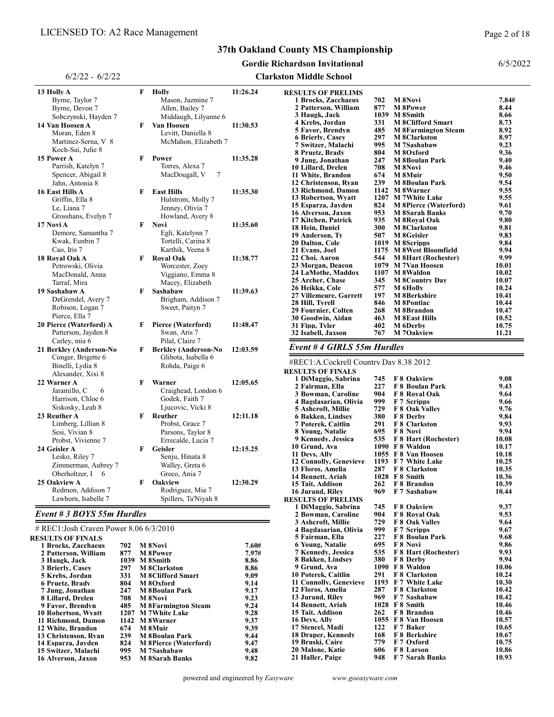13 Holly A F Holly 11:26.24<br>Byrne, Taylor 7 Mason, Jazmine 7 11:26.24

Sobczynski, Hayden 7 Middaugh, Lilyanne 6 14 Van Hoosen A F Van Hoosen 11:30.53<br>Moran, Eden 8 Levitt, Daniella 8

Martinez-Serna, V 8 McMahon, Elizabeth 7

Spencer, Abigail 8 MacDougall, V 7

Grosshans, Evelyn 7 Howland, Avery 8

15 Power A F Power 11:35.28<br>Parrish. Katelyn 7 Torres. Alexa 7

16 East Hills A<br>Griffin, Ella 8 **F** East Hills 11:35.30<br>Hulstrom, Molly 7 Griffin, Ella 8 Hulstrom, Molly 7<br>
Le, Liana 7 Jenney, Olivia 7

Mason, Jazmine 7<br>Allen, Bailey 7

Levitt, Daniella 8

Jenney, Olivia 7

#### 37th Oakland County MS Championship

#### Gordie Richardson Invitational

Byrne, Devon 7

Koch-Sai, Julie 8

Parrish, Katelyn 7

Jahn, Antonia 8

#### Clarkston Middle School

6/5/2022

Page 2 of 18

RESULTS OF PRELIMS 1 Brocks, Zacchaeus 702 M 8Novi 7.84#<br>2 Patterson, William 877 M 8Power 8.44 2 Patterson, William 877 M 8Power 8.44<br>3 Haugk, Jack 1039 M 8Smith 8.66 3 Haugk, Jack 1039 M 8Smith 8.66<br>4 Krebs, Jordan 331 M 8 Clifford Smart 8.73 4 Krebs, Jordan 331 M 8 Clifford Smart 8.73<br>5 Favor, Brendyn 485 M 8 Farmington Steam 8.92 5 M 8Farmington Steam 8.92<br>1951 M 8Clarkston 8.97 6 Brierly, Casey 297 M 8Clarkston 8.97 7 Switzer, Malachi 995 M 7Sashabaw 9.23 8 Pruetz, Brady 804 M 8Oxford 9.36<br>9 Jung, Jonathan 247 M 8Boulan Park 9.40 9 Jung, Jonathan 247 M 8Boulan Park 9.40 10 Lillard, Drelen 708 M 8Novi 11 White, Brandon 674 M 8Muir 9.50 11 White, Brandon 674 M 8 Muir 9.50<br>12 Christenson, Ryan 239 M 8 Boulan Park 9.54 12 Christenson, Ryan 239 M 8Boulan Park 9.54<br>13 Richmond, Damon 1142 M 8Warner 9.55 13 Richmond, Damon 1142 M 8Warner 9.55<br>13 Robertson, Wyatt 1207 M 7 White Lake 9.55 13 Robertson, Wyatt 1207 M 7 White Lake 9.55<br>15 Esparza, Javden 824 M 8 Pierce (Waterford) 9.61 15 By Bridgen 824 M 8Pierce (Waterford) 9.61<br>15 M 8Pierah Banks 9.70 16 Alverson, Jaxon 953 M 8Sarah Banks 9.70 17 Kitchen, Patrick 935 M 8 Royal Oak 9.80<br>18 Hein, Daniel 300 M 8 Clarkston 9.81 18 Hein, Daniel 300 M 8Clarkston 9.81<br>19 Anderson, Ty 507 M 8Geisler 9.83 19 Anderson, Ty 507 M 8Geisler 9.83<br>
20 Dalton, Cole 1019 M 8Scripps 9.84 20 Dalton, Cole 1019 M 8Scripps 9.84<br>
21 Evans, Joel 1175 M 8West Bloomfield 9.94 21 Evans, Joel 1175 M 8West Bloomfield 9.94<br>22 Choi, Aaron 544 M 8Hart (Rochester) 9.99 22 1079 M 8Hart (Rochester) 9.99<br>1079 M 7Van Hoosen 10.01 23 Morgan, Deacon 1079 M 7Van Hoosen 10.01<br>24 LaMothe, Maddox 1107 M 8Waldon 10.02 24 LaMothe, Maddox 1107 M 8Waldon 10.02<br>25 Archer, Chase 345 M 8Country Day 10.07 245 M 8Country Day 10.07<br>277 M 6Holly 10.24 26 Heikka, Cole 577 27 Villemeure, Garrett 197 M 8Berkshire 10.41<br>10.44 128 Hill, Tvrell 10.44 16 M 8Pontiac 28 Hill, Tyrell 846 M 8Pontiac 10.44<br>10.47 10.47 268 M 8Brandon 10.47 29 Fournier, Colten 268 M 8Brandon 10.47<br>30 Goodwin, Aidan 463 M 8East Hills 10.52 30 Goodwin, Aidan 463 M 8East Hills 10.52 31 Fipp, Tyler 402 M 6Derby 10.75<br>32 Isabell, Jaxson 767 M 7 Oakview 11.21 32 Isabell, Jaxson

#### Event # 4 GIRLS 55m Hurdles

#REC1:A.Cockrell Country Day 8.38 2012

| <b>RESULTS OF FINALS</b>      |     |                             |       |
|-------------------------------|-----|-----------------------------|-------|
| 1 DiMaggio, Sabrina           | 745 | <b>F8 Oakview</b>           | 9.08  |
| 2 Fairman, Ella               | 227 | <b>F8 Boulan Park</b>       | 9.43  |
| <b>3 Bowman, Caroline</b>     | 904 | F 8 Roval Oak               | 9.64  |
| 4 Bagdasarian, Olivia         | 999 | F 7 Scripps                 | 9.66  |
| 5 Ashcroft, Millie            | 729 | F 8 Oak Valley              | 9.76  |
| 6 Bakken, Lindsev             | 380 | F 8 Derby                   | 9.84  |
| 7 Poterek, Caitlin            | 291 | F 8 Clarkston               | 9.93  |
| 8 Young, Natalie              |     | 695 F8 Novi                 | 9.94  |
| 9 Kennedy, Jessica            | 535 | F 8 Hart (Rochester)        | 10.08 |
| 10 Grund. Ava                 |     | 1090 F8 Waldon              | 10.17 |
| 11 Devs. Ally                 |     | 1055 F 8 Van Hoosen         | 10.18 |
| <b>12 Connolly, Genevieve</b> |     | 1193 F 7 White Lake         | 10.25 |
| 13 Floros, Amelia             | 287 | <b>F8</b> Clarkston         | 10.35 |
| 14 Bennett, Ariah             |     | 1028 F 8 Smith              | 10.36 |
| 15 Tait, Addison              |     | 262 F8 Brandon              | 10.39 |
| 16 Jurand, Rilev              | 969 | F 7 Sashabaw                | 10.44 |
| <b>RESULTS OF PRELIMS</b>     |     |                             |       |
| 1 DiMaggio, Sabrina           | 745 | <b>F8 Oakview</b>           | 9.37  |
| 2 Bowman, Caroline            | 904 | <b>F8 Roval Oak</b>         | 9.53  |
| 3 Ashcroft, Millie            | 729 | <b>F 8 Oak Valley</b>       | 9.64  |
| 4 Bagdasarian, Olivia         | 999 | F 7 Scripps                 | 9.67  |
| 5 Fairman, Ella               | 227 | <b>F8 Boulan Park</b>       | 9.68  |
| <b>6 Young, Natalie</b>       | 695 | F 8 Novi                    | 9.86  |
| 7 Kennedy, Jessica            | 535 | <b>F 8 Hart (Rochester)</b> | 9.93  |
| 8 Bakken, Lindsev             | 380 | F 8 Derby                   | 9.94  |
| 9 Grund. Ava                  |     | 1090 F8 Waldon              | 10.06 |
| 10 Poterek, Caitlin           |     | 291 F 8 Clarkston           | 10.24 |
| 11 Connolly, Genevieve        |     | 1193 F 7 White Lake         | 10.30 |
| 12 Floros, Amelia             | 287 | <b>F8</b> Clarkston         | 10.42 |
| 13 Jurand, Rilev              | 969 | F 7 Sashabaw                | 10.42 |
| 14 Bennett, Ariah             |     | 1028 F 8 Smith              | 10.46 |
| 15 Tait. Addison              | 262 | <b>F8</b> Brandon           | 10.46 |
| 16 Devs. Ally                 |     | 1055 F 8 Van Hoosen         | 10.57 |
| 17 Stencel, Madi              | 122 | F 7 Baker                   | 10.65 |
| 18 Draper, Kennedy            | 168 | <b>F8</b> Berkshire         | 10.67 |
| 19 Bruski, Caire              |     | 779 F 7 Oxford              | 10.75 |
| 20 Malone, Katie              | 606 | F 8 Larson                  | 10.86 |
| 21 Haller, Paige              | 948 | <b>F7 Sarah Banks</b>       | 10.93 |
|                               |     |                             |       |

| $6/2/22 - 6/2/22$ |  |
|-------------------|--|
|-------------------|--|

| 17 Novi A<br>Demore, Samantha 7<br>Kwak, Eunbin 7<br>Cao, Iris 7                                                        |                                  | F | Novi<br>Egli, Katelynn 7<br>Tortelli, Carina 8<br>Karthik, Veena 8                        | 11:35.60                               |
|-------------------------------------------------------------------------------------------------------------------------|----------------------------------|---|-------------------------------------------------------------------------------------------|----------------------------------------|
| 18 Roval Oak A<br>Petrowski, Olivia<br>MacDonald, Anna<br>Tarraf, Mira                                                  |                                  | F | <b>Roval Oak</b><br>Worcester, Zoey<br>Viggiano, Emma 8<br>Macey, Elizabeth               | 11:38.77                               |
| 19 Sashabaw A<br>DeGrendel, Avery 7<br>Robison, Logan 7<br>Pierce, Ella 7                                               |                                  | F | Sashabaw<br>Brigham, Addison 7<br>Sweet, Paityn 7                                         | 11:39.63                               |
| 20 Pierce (Waterford) A<br>Patterson, Jayden 8<br>Carley, mia 6                                                         |                                  | F | Pierce (Waterford)<br>Swan, Aris 7<br>Pilal, Claire 7                                     | 11:48.47                               |
| 21 Berkley (Anderson-No<br>Conger, Brigette 6<br>Binelli, Lydia 8<br>Alexander, Xixi 8                                  |                                  | F | <b>Berkley (Anderson-No</b><br>Glibota, Isabella 6<br>Rohda, Paige 6                      | 12:03.59                               |
| 22 Warner A<br>Jaramillo, C<br>6<br>Harrison, Chloe 6<br>Siskosky, Leah 8                                               |                                  | F | Warner<br>Craighead, London 6<br>Godek, Faith 7<br>Ljucovic, Vicki 8                      | 12:05.65                               |
| 23 Reuther A<br>Limberg, Lillian 8<br>Sesi, Vivian 8<br>Probst, Vivienne 7                                              |                                  | F | Reuther<br>Probst, Grace 7<br>Parsons, Taylor 8<br>Errecalde, Lucia 7                     | 12:11.18                               |
| 24 Geisler A<br>Lesko, Riley 7<br>Zimmerman, Aubrey 7<br>Oberholtzer, I<br>6                                            |                                  | F | Geisler<br>Senju, Hinata 8<br>Walley, Greta 6<br>Greco, Ania 7                            | 12:15.25                               |
| 25 Oakview A<br>Redmon, Addison 7<br>Lawhorn, Isabelle 7                                                                |                                  | F | <b>Oakview</b><br>Rodriguez, Mia 7<br>Spillers, Ta'Niyah 8                                | 12:30.29                               |
| Event # 3 BOYS 55m Hurdles                                                                                              |                                  |   |                                                                                           |                                        |
| # REC1:Josh Craven Power 8.06 6/3/2010                                                                                  |                                  |   |                                                                                           |                                        |
| ESULTS OF FINALS<br>1 Brocks, Zacchaeus<br>2 Patterson, William<br>3 Haugk. Jack<br>3 Brierly, Casey<br>5 Krebs, Jordan | 702<br>877<br>1039<br>297<br>331 |   | M 8Novi<br><b>M</b> 8Power<br><b>M</b> 8Smith<br><b>M</b> 8Clarkston<br>M 8Clifford Smart | 7.60#<br>7.97#<br>8.86<br>8.86<br>9.09 |
| 6 Pruetz, Brady<br>7 Iung, Ionath.                                                                                      | 804<br>247                       |   | M 8Oxford<br>M OD ankan Dank                                                              | 9.14<br>0.17                           |

| <b>RESULTS OF FINALS</b>   |      |                              |      |
|----------------------------|------|------------------------------|------|
| 1 Brocks. Zacchaeus        | 702  | M 8Novi                      | 7.60 |
| 2 Patterson, William       | 877  | <b>M</b> 8Power              | 7.97 |
| 3 Haugk. Jack              | 1039 | <b>M</b> 8Smith              | 8.86 |
| 3 Brierly, Casev           | 297  | <b>M</b> 8Clarkston          | 8.86 |
| 5 Krebs. Jordan            | 331  | <b>M 8Clifford Smart</b>     | 9.09 |
| 6 Pruetz, Brady            | 804  | M 8Oxford                    | 9.14 |
| 7 Jung, Jonathan           | 247  | <b>M</b> 8Boulan Park        | 9.17 |
| 8 Lillard. Drelen          | 708  | M 8Novi                      | 9.23 |
| 9 Favor. Brendyn           | 485  | <b>M</b> 8Farmington Steam   | 9.24 |
| <b>10 Robertson, Wyatt</b> | 1207 | <b>M</b> 7White Lake         | 9.28 |
| 11 Richmond. Damon         | 1142 | <b>M</b> 8Warner             | 9.37 |
| 12 White, Brandon          | 674  | M 8Muir                      | 9.39 |
| 13 Christenson, Rvan       | 239  | <b>M</b> 8Boulan Park        | 9.44 |
| 14 Esparza, Javden         | 824  | <b>M</b> 8Pierce (Waterford) | 9.47 |
| 15 Switzer, Malachi        | 995. | M 7Sashabaw                  | 9.48 |
| 16 Alverson, Jaxon         | 953  | <b>M</b> 8Sarah Banks        | 9.82 |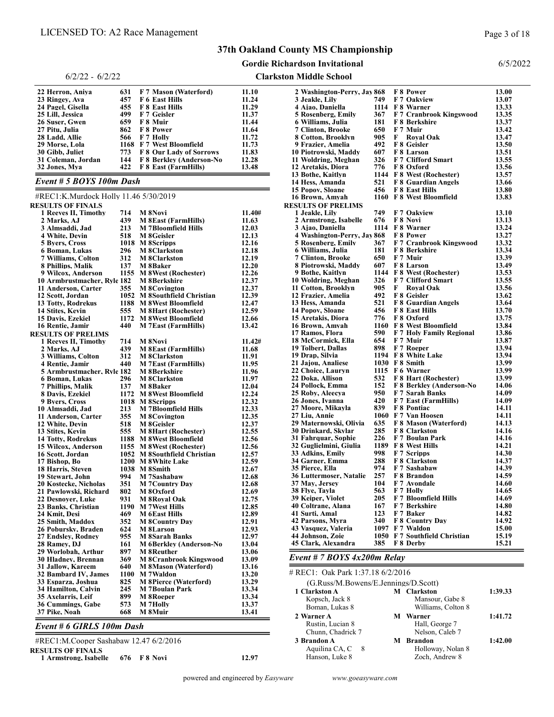Clarkston Middle School Gordie Richardson Invitational

#### 6/5/2022

6/2/22 - 6/2/22 22 Herron, Aniya 631 F 7 Mason (Waterford) 11.10<br>23 Ringey, Ava 457 F 6 East Hills 11.24 23 Ringey, Ava 457 F 6 East Hills 11.24<br>24 Pagel, Gisella 455 F 8 East Hills 11.29 24 Pagel, Gisella 455 F 8 East Hills 11.29<br>25 Lill, Jessica 499 F 7 Geisler 11.37 25 Lill, Jessica 499 F 7 Geisler 11.37<br>26 Suser, Gwen 659 F 8 Muir 11.44 26 Suser, Gwen 659 F 8 Muir<br>27 Pitu, Julia 862 F 8 Power 27 Pitu, Julia 862 F 8 Power 11.64<br>
28 Ladd, Allie 566 F 7 Holly 11.72 28 Ladd, Allie 566 F 7 Holly 11.72 29 Morse, Lola 1168 F 7 West Bloomfield 11.73 30 Gibb, Juliet 773 F 8 Our Lady of Sorrows 11.83<br>31 Coleman, Jordan 144 F 8 Berkley (Anderson-No 12.28 31 Coleman, Jordan 144 F 8 Berkley (Anderson-No 12.28<br>32 Jones, Mya 422 F 8 East (FarmHills) 13.48 **F 8 East (FarmHills)** 

#### Event # 5 BOYS 100m Dash

#### #REC1:K.Murdock Holly 11.46 5/30/2019

|  | <b>RESULTS OF FINALS</b>    |            |                                |                |
|--|-----------------------------|------------|--------------------------------|----------------|
|  | 1 Reeves II, Timothy        | 714        | M 8Novi                        | 11.40#         |
|  | 2 Marks, AJ                 | 439        | <b>M 8East (FarmHills)</b>     | 11.63          |
|  | 3 Almsaddi, Jad             | 213        | <b>M</b> 7Bloomfield Hills     | 12.03          |
|  | 4 White, Devin              | 518        | M 8Geisler                     | 12.13          |
|  | 5 Bvers, Cross              |            | 1018 M 8Scripps                | 12.16          |
|  | 6 Boman, Lukas              | 296        | <b>M</b> 8Clarkston            | 12.18          |
|  | 7 Williams, Colton          | 312        | <b>M</b> 8Clarkston            | 12.19          |
|  | 8 Phillips, Malik           | 137        | M 8Baker                       | 12.20          |
|  | 9 Wilcox, Anderson          |            | 1155 M 8West (Rochester)       | 12.26          |
|  | 10 Armbrustmacher, Ryle 182 |            | M 8Berkshire                   | 12.37          |
|  | 11 Anderson, Carter         | 355        | <b>M</b> 8Covington            | 12.37          |
|  | 12 Scott, Jordan            | 1052       | <b>M</b> 8Southfield Christian | 12.39          |
|  | 13 Totty, Rodrekus          | 1188       | <b>M 8West Bloomfield</b>      | 12.47          |
|  | 14 Stites, Kevin            | 555        | <b>M</b> 8Hart (Rochester)     | 12.59          |
|  | 15 Davis, Ezekiel           | 1172       | <b>M</b> 8West Bloomfield      | 12.66          |
|  | 16 Rentie, Jamir            | 440        | <b>M</b> 7East (FarmHills)     | 13.42          |
|  | <b>RESULTS OF PRELIMS</b>   |            |                                |                |
|  | 1 Reeves II, Timothy        | 714        | M 8Novi                        | 11.42#         |
|  | 2 Marks, AJ                 | 439        | <b>M 8East (FarmHills)</b>     | 11.68          |
|  | 3 Williams, Colton          | 312        | <b>M</b> 8Clarkston            | 11.91          |
|  | 4 Rentie, Jamir             | 440        | <b>M</b> 7East (FarmHills)     | 11.95          |
|  | 5 Armbrustmacher, Ryle 182  |            | M 8Berkshire                   | 11.96          |
|  | 6 Boman, Lukas              | 296        | <b>M</b> 8Clarkston            | 11.97          |
|  | 7 Phillips, Malik           | 137        | M 8Baker                       | 12.04          |
|  | 8 Davis, Ezekiel            | 1172       | <b>M 8West Bloomfield</b>      | 12.24          |
|  | 9 Byers, Cross              |            | 1018 M 8Scripps                | 12.32          |
|  | 10 Almsaddi, Jad            | 213        | <b>M</b> 7Bloomfield Hills     | 12.33          |
|  | 11 Anderson, Carter         | 355        | <b>M</b> 8Covington            | 12.35          |
|  | 12 White, Devin             | 518        | M 8Geisler                     | 12.37          |
|  | 13 Stites, Kevin            | 555        | <b>M 8Hart (Rochester)</b>     | 12.55          |
|  | 14 Totty, Rodrekus          |            | 1188 M 8West Bloomfield        | 12.56          |
|  | <b>15 Wilcox. Anderson</b>  |            | 1155 M 8West (Rochester)       | 12.56          |
|  | 16 Scott, Jordan            |            | 1052 M 8Southfield Christian   | 12.57          |
|  | 17 Bishop, Bo               |            | 1200 M 8White Lake             | 12.59          |
|  | 18 Harris, Steven           |            | 1038 M 8Smith                  | 12.67          |
|  |                             | 994        | M 7Sashabaw                    |                |
|  | 19 Stewart, John            | 351        | <b>M</b> 7Country Day          | 12.68          |
|  | 20 Kostecke, Nicholas       |            |                                | 12.68          |
|  | 21 Pawlowski, Richard       | 802<br>931 | M 8Oxford                      | 12.69<br>12.75 |
|  | 22 Desnoyer, Luke           |            | <b>M</b> 8 Royal Oak           |                |
|  | 23 Banks, Christian         |            | 1190 M 7West Hills             | 12.85          |
|  | 24 Kmit, Desi               | 469        | <b>M</b> 6East Hills           | 12.89          |
|  | 25 Smith, Maddox            | 352        | <b>M</b> 8Country Day          | 12.91          |
|  | 26 Pobursky, Braden         | 624        | <b>M</b> 8Larson               | 12.93          |
|  | 27 Endsley, Rodney          | 955        | <b>M</b> 8Sarah Banks          | 12.97          |
|  | 28 Ramey, DJ                | 161        | <b>M</b> 6Berkley (Anderson-No | 13.04          |
|  | 29 Worlobah, Arthur         | 897        | <b>M</b> 8Reuther              | 13.06          |
|  | 30 Hladney, Brennan         | 369        | <b>M 8Cranbrook Kingswood</b>  | 13.09          |
|  | 31 Jallow, Kareem           | 640        | <b>M 8Mason (Waterford)</b>    | 13.16          |
|  | 32 Bambard IV, James        |            | 1100 M 7Waldon                 | 13.20          |
|  | 33 Esparza, Joshua          | 825        | <b>M</b> 8Pierce (Waterford)   | 13.29          |
|  | 34 Hamilton, Calvin         | 245        | <b>M</b> 7Boulan Park          | 13.34          |
|  | 35 Axelarris, Leif          | 899        | <b>M</b> 8Roeper               | 13.34          |
|  | 36 Cummings, Gabe           | 573        | M 7Holly                       | 13.37          |
|  | 37 Pike, Noah               | 668        | M 8Muir                        | 13.41          |
|  |                             |            |                                |                |

### Event # 6 GIRLS 100m Dash

#REC1:M.Cooper Sashabaw 12.47 6/2/2016 RESULTS OF FINALS

1 Armstrong, Isabelle 676 F 8 Novi 12.97

| 2 Washington-Perry, Jay 868             |               |              | F 8 Power                                  | <b>13.00</b> |
|-----------------------------------------|---------------|--------------|--------------------------------------------|--------------|
| 3 Jeakle, Lily                          | 749           |              | F 7 Oakview                                | 13.07        |
| 4 Ajao, Daniella                        |               |              | 1114 F 8 Warner                            | 13.33        |
| 5 Rosenberg, Emily                      | 367           |              | F 7 Cranbrook Kingswood                    | 13.35        |
| 6 Williams, Julia                       | 181           |              | F 8 Berkshire                              | 13.37        |
| 7 Clinton, Brooke                       | 650           |              | F 7 Muir                                   | 13.42        |
| 8 Cotton, Brooklyn                      | 905           | $\mathbf{F}$ |                                            | 13.47        |
|                                         |               |              | <b>Roval Oak</b>                           |              |
| 9 Frazier, Amelia                       | 492           |              | F 8 Geisler                                | 13.50        |
| 10 Piotrowski, Maddy                    | 607           |              | F 8 Larson                                 | 13.51        |
| 11 Woldring, Meghan                     | 326           |              | F 7 Clifford Smart                         | 13.55        |
| 12 Aretakis, Diora                      |               |              | 776 F8 Oxford                              | 13.56        |
| 13 Bothe, Kaitlyn                       |               |              | 1144 F 8 West (Rochester)                  | 13.57        |
| 14 Hess, Amanda                         |               |              | 521 F 8 Guardian Angels                    | 13.66        |
| 15 Popov, Sloane                        |               |              | 456 F 8 East Hills                         | 13.80        |
| 16 Brown, Amyah                         |               |              | 1160 F 8 West Bloomfield                   | 13.83        |
| <b>RESULTS OF PRELIMS</b>               |               |              |                                            |              |
| 1 Jeakle, Lilv                          | 749           |              | F 7 Oakview                                | 13.10        |
| 2 Armstrong, Isabelle                   | 676           |              | F 8 Novi                                   | 13.13        |
| 3 Ajao, Daniella                        |               |              | 1114 F 8 Warner                            | 13.24        |
|                                         |               |              | <b>F8 Power</b>                            | 13.27        |
| 4 Washington-Perry, Jay 868             |               |              |                                            |              |
| 5 Rosenberg, Emily                      | 367           |              | <b>F7 Cranbrook Kingswood</b>              | 13.32        |
| 6 Williams, Julia                       | 181           |              | F 8 Berkshire                              | 13.34        |
| <b>7 Clinton, Brooke</b>                | 650           |              | F 7 Muir                                   | 13.39        |
| 8 Piotrowski, Maddy                     | 607           |              | F 8 Larson                                 | 13.49        |
| 9 Bothe, Kaitlyn                        |               |              | 1144 F 8 West (Rochester)                  | 13.53        |
| 10 Woldring, Meghan                     | 326           |              | F 7 Clifford Smart                         | 13.55        |
| 11 Cotton, Brooklyn                     | 905           | $\mathbf{F}$ | <b>Roval Oak</b>                           | 13.56        |
| 12 Frazier, Amelia                      |               |              |                                            | 13.62        |
| 13 Hess, Amanda                         |               |              | 492 F 8 Geisler<br>521 F 8 Guardian Angels | 13.64        |
| <b>14 Popov, Sloane</b>                 | 456           |              | <b>F8 East Hills</b>                       | 13.70        |
| 15 Aretakis, Diora                      |               |              | 776 F8 Oxford                              | 13.75        |
| 16 Brown, Amyah                         |               |              | 1160 F 8 West Bloomfield                   | 13.84        |
| 17 Ramos, Flora                         |               |              | 590 F 7 Holy Family Regional               | 13.86        |
| 18 McCormick. Ella                      | 654           |              | F 7 Muir                                   |              |
|                                         |               |              | 898 F 7 Roeper                             | 13.87        |
| 19 Tolbert, Dallas                      |               |              |                                            | 13.94        |
| 19 Drap, Silvia                         |               |              | 1194 F 8 White Lake                        | 13.94        |
| 21 Jajou, Analiese                      |               |              | 1030 F 8 Smith                             | 13.99        |
| 22 Choice, Lauryn                       |               |              | 1115 F 6 Warner                            | 13.99        |
| 22 Doka, Allison                        |               |              | 532 F 8 Hart (Rochester)                   | 13.99        |
| 24 Pollock, Emma                        | 152           |              | <b>F 8 Berkley (Anderson-No</b>            | 14.06        |
| 25 Roby, Aleecya                        |               |              | 950 F 7 Sarah Banks                        | 14.09        |
| 26 Jones, Ivanna                        |               |              | 420 F 7 East (FarmHills)                   | 14.09        |
| 27 Moore, Mikayla                       |               |              | 839 F8 Pontiac                             | 14.11        |
| 27 Liu. Annie                           |               |              | 1060 F 7 Van Hoosen                        | 14.11        |
| 29 Maternowski, Olivia                  | 635           |              | F 8 Mason (Waterford)                      | 14.13        |
| 30 Drinkard, Skylar                     | 285           |              | <b>F8</b> Clarkston                        | 14.16        |
| 31 Fahrquar, Sophie                     | 226           |              | F 7 Boulan Park                            | 14.16        |
| 32 Guglielmini, Giulia                  |               |              | 1189 F 8 West Hills                        | 14.21        |
| 33 Adkins, Emily                        |               |              | 998 F 7 Scripps                            | 14.30        |
| 34 Garner, Emma                         |               |              | 288 F 8 Clarkston                          | 14.37        |
|                                         |               |              |                                            |              |
| 35 Pierce, Ella                         |               |              | 974 F 7 Sashabaw                           | 14.39        |
| 36 Luttermoser, Natalie                 | 257           |              | F 8 Brandon                                | 14.59        |
| 37 May, Jersey                          | 104           |              | F 7 Avondale                               | 14.60        |
| 38 Flye, Tayla                          | 563 F 7 Holly |              |                                            | 14.65        |
| 39 Keiper, Violet                       | 205           |              | F 7 Bloomfield Hills                       | 14.69        |
| 40 Coltrane, Alana                      | 167           |              | F 7 Berkshire                              | 14.80        |
| 41 Surti, Amal                          | 123           |              | F 7 Baker                                  | 14.82        |
| 42 Parsons, Myra                        |               |              |                                            |              |
|                                         | 340           |              | <b>F8</b> Country Day                      | 14.92        |
| 43 Vasquez, Valeria                     |               |              | 1097 F 7 Waldon                            | 15.00        |
| 44 Johnson, Zoie<br>45 Clark, Alexandra |               |              | 1050 F 7 Southfield Christian              | 15.19        |

#### Event # 7 BOYS 4x200m Relay

# REC1: Oak Park 1:37.18 6/2/2016 (G.Russ/M.Bowens/E.Jennings/D.Scott) 1 Clarkston A M Clarkston 1:39.33 Kopsch, Jack 8 Mansour, Gabe 8<br>Boman, Lukas 8 Williams, Colton Williams, Colton 8 2 Warner A M Warner 1:41.72<br>Rustin, Lucian 8 Hall, George 7 1:41.72 Rustin, Lucian 8 Chunn, Chadrick 7 Nelson, Caleb 7 3 Brandon A M Brandon 1:42.00<br>Aquilina CA, C 8 Holloway, Nolan 8 Aquilina CA, C 8 Holloway, Nolan 8 Hanson, Luke 8 Zoch, Andrew 8

powered and engineered by Easyware www.goeasyware.com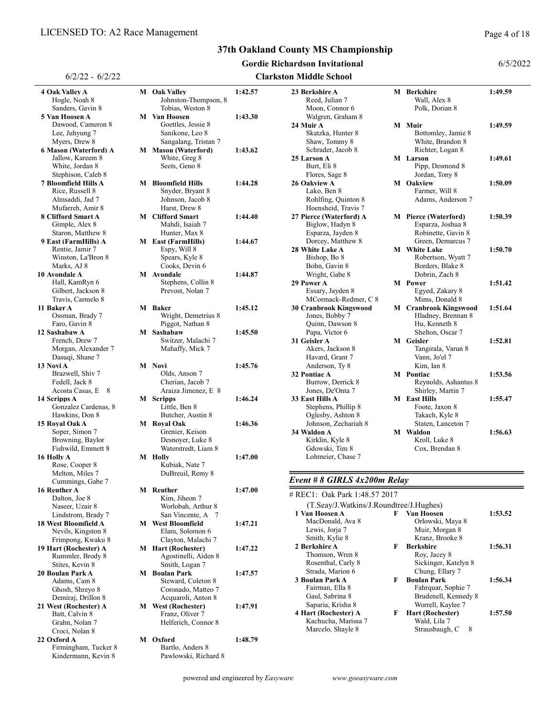6/2/22 - 6/2/22

#### 37th Oakland County MS Championship

#### Gordie Richardson Invitational

#### Clarkston Middle School

| 4 Oak Valley A<br>Hogle, Noah 8<br>Sanders, Gavin 8 | <b>M</b> Oak Valley<br>Johnston-Thompson, 8<br>Tobias, Weston 8 | 1:42.57 | 23 Berkshire A<br>Reed, Julian 7<br>Moon, Connor 6 |   | M Berkshire<br>Wall, Alex 8<br>Polk, Dorian 8 |
|-----------------------------------------------------|-----------------------------------------------------------------|---------|----------------------------------------------------|---|-----------------------------------------------|
| 5 Van Hoosen A<br>Dawood, Cameron 8                 | <b>M</b> Van Hoosen<br>Goettles, Jessie 8                       | 1:43.30 | Walgren, Graham 8<br>24 Muir A                     |   | M Muir                                        |
| Lee, Juhyung 7                                      | Sanikone, Leo 8                                                 |         | Skatzka, Hunter 8                                  |   | Bottomley, Jami                               |
| Myers, Drew 8                                       | Sangalang, Tristan 7                                            |         | Shaw, Tommy 8                                      |   | White, Brandon                                |
| 6 Mason (Waterford) A                               | M Mason (Waterford)                                             | 1:43.62 | Schrader, Jacob 8                                  |   | Richter, Logan 8                              |
| Jallow, Kareem 8                                    | White, Greg 8                                                   |         | 25 Larson A                                        |   | M Larson                                      |
| White, Jordan 8                                     | Seets, Geno 8                                                   |         | Burt, Eli 8                                        |   | Pipp, Desmond &                               |
| Stephison, Caleb 8                                  |                                                                 |         | Flores, Sage 8                                     |   | Jordan, Tony 8                                |
| 7 Bloomfield Hills A<br>Rice, Russell 8             | <b>M</b> Bloomfield Hills<br>Snyder, Bryant 8                   | 1:44.28 | 26 Oakview A<br>Lako, Ben 8                        |   | M Oakview<br>Farmer, Will 8                   |
| Almsaddi, Jad 7                                     | Johnson, Jacob 8                                                |         | Rohlfing, Quinton 8                                |   | Adams, Anderso                                |
| Mufarreh, Amir 8                                    | Harst, Drew 8                                                   |         | Hoensheid, Travis 7                                |   |                                               |
| 8 Clifford Smart A                                  | <b>M</b> Clifford Smart                                         | 1:44.40 | 27 Pierce (Waterford) A                            |   | <b>M</b> Pierce (Waterford)                   |
| Gimple, Alex 8                                      | Mahdi, Isaiah 7                                                 |         | Biglow, Hadyn 8                                    |   | Esparza, Joshua                               |
| Staron, Matthew 8                                   | Hunter, Max 8                                                   |         | Esparza, Jayden 8                                  |   | Robinette, Gavin                              |
| 9 East (FarmHills) A                                | <b>M</b> East (FarmHills)                                       | 1:44.67 | Dorcey, Matthew 8                                  |   | Green, Demarcus                               |
| Rentie, Jamir 7                                     | Espy, Will 8                                                    |         | 28 White Lake A                                    |   | M White Lake                                  |
| Winston, La'Bron 8                                  | Spears, Kyle 8                                                  |         | Bishop, Bo 8                                       |   | Robertson, Wyat                               |
| Marks, AJ 8                                         | Cooks, Devin 6                                                  |         | Bohn, Gavin 8                                      |   | Borders, Blake 8                              |
| 10 Avondale A                                       | M Avondale                                                      | 1:44.87 | Wright, Gabe 8                                     |   | Dobrin, Zach 8                                |
| Hall, KamRyn 6                                      | Stephens, Collin 8                                              |         | 29 Power A                                         |   | M Power                                       |
| Gilbert, Jackson 8                                  | Prevost, Nolan 7                                                |         | Essary, Jayden 8                                   |   | Egyed, Zakary 8                               |
| Travis, Carmelo 8                                   |                                                                 |         | MCormack-Redmer, C 8                               |   | Mims, Donald 8                                |
| 11 Baker A                                          | M Baker                                                         | 1:45.12 | <b>30 Cranbrook Kingswood</b>                      |   | <b>M</b> Cranbrook Kingsv                     |
| Ossman, Brady 7                                     | Wright, Demetrius 8                                             |         | Jones, Bobby 7                                     |   | Hladney, Brenna                               |
| Faro, Gavin 8                                       | Piggot, Nathan 8                                                |         | Quinn, Dawson 8                                    |   | Hu, Kenneth 8                                 |
| 12 Sashabaw A                                       | M Sashabaw                                                      | 1:45.50 | Papa, Victor 6                                     |   | Shelton, Oscar 7                              |
| French, Drew 7                                      | Switzer, Malachi 7                                              |         | 31 Geisler A                                       |   | M Geisler                                     |
| Morgan, Alexander 7                                 | Mahaffy, Mick 7                                                 |         | Akers, Jackson 8                                   |   | Tangirala, Varun                              |
| Dasuqi, Shane 7                                     |                                                                 |         | Havard, Grant 7                                    |   | Vann, Jo'el 7                                 |
| 13 Novi A                                           | M Novi                                                          | 1:45.76 | Anderson, Ty 8                                     |   | Kim, Ian 8                                    |
| Brazwell, Shiv 7<br>Fedell, Jack 8                  | Olds, Anson 7<br>Cherian, Jacob 7                               |         | 32 Pontiac A<br>Burrow, Derrick 8                  |   | M Pontiac<br>Reynolds, Ashan                  |
| Acosta Casas, E 8                                   | Araiza Jimenez, E 8                                             |         | Jones, De'Onta 7                                   |   | Shirley, Martin 7                             |
| 14 Scripps A                                        | M Scripps                                                       | 1:46.24 | 33 East Hills A                                    |   | <b>M</b> East Hills                           |
| Gonzalez Cardenas, 8                                | Little, Ben 8                                                   |         | Stephens, Phillip 8                                |   | Foote, Jaxon 8                                |
| Hawkins, Don 8                                      | Butcher, Austin 8                                               |         | Oglesby, Ashton 8                                  |   | Takach, Kyle 8                                |
| 15 Royal Oak A                                      | M Roval Oak                                                     | 1:46.36 | Johnson, Zechariah 8                               |   | Staten, Lanceton                              |
| Soper, Simon 7                                      | Grenier, Keison                                                 |         | 34 Waldon A                                        |   | M Waldon                                      |
| Browning, Baylor                                    | Desnoyer, Luke 8                                                |         | Kirklin, Kyle 8                                    |   | Kroll, Luke 8                                 |
| Fishwild, Emmett 8                                  | Waterstredt, Liam 8                                             |         | Gdowski, Tim 8                                     |   | Cox, Brendan 8                                |
| 16 Holly A                                          | M Holly                                                         | 1:47.00 | Lohmeier, Chase 7                                  |   |                                               |
| Rose, Cooper 8                                      | Kubiak, Nate 7                                                  |         |                                                    |   |                                               |
| Melton, Miles 7                                     | DuBreuil, Remy 8                                                |         |                                                    |   |                                               |
| Cummings, Gabe 7                                    |                                                                 |         | Event # $8$ GIRLS $4x200m$ Relay                   |   |                                               |
| 16 Reuther A                                        | <b>M</b> Reuther                                                | 1:47.00 | # REC1: Oak Park 1:48.57 2017                      |   |                                               |
| Dalton, Joe 8                                       | Kim, Jiheon 7                                                   |         | (T.Seay/J.Watkins/J.Roundtree/J.Hughes)            |   |                                               |
| Naseer, Uzair 8                                     | Worlobah, Arthur 8                                              |         | 1 Van Hoosen A                                     | F | Van Hoosen                                    |
| Lindstrom, Brady 7<br>18 West Bloomfield A          | San Vincente, A 7<br><b>M</b> West Bloomfield                   | 1:47.21 | MacDonald, Ava 8                                   |   | Orlowski, Maya                                |
| Nevils, Kingston 8                                  | Elam, Solomon 6                                                 |         | Lewis, Jorja 7                                     |   | Muir, Morgan 8                                |
| Frimpong, Kwaku 8                                   | Clayton, Malachi 7                                              |         | Smith, Kylie 8                                     |   | Kranz, Brooke 8                               |
| 19 Hart (Rochester) A                               | <b>M</b> Hart (Rochester)                                       | 1:47.22 | 2 Berkshire A                                      | F | <b>Berkshire</b>                              |
| Rummler, Brody 8                                    | Agostinelli, Aiden 8                                            |         | Thomson, Wren 8                                    |   | Roy, Jacey 8                                  |
| Stites, Kevin 8                                     | Smith, Logan 7                                                  |         | Rosenthal, Carly 8                                 |   | Sickinger, Kately                             |
| 20 Boulan Park A                                    | <b>M</b> Boulan Park                                            | 1:47.57 | Strada, Marion 6                                   |   | Chung, Ellary 7                               |
| Adams, Cam 8                                        | Steward, Coleton 8                                              |         | 3 Boulan Park A                                    | F | <b>Boulan Park</b>                            |
| Ghosh, Shreyo 8                                     | Coronado, Matteo 7                                              |         | Fairman, Ella 8                                    |   | Fahrquar, Sophie                              |
| Demiraj, Drillon 8                                  | Acquaroli, Anton 8                                              |         | Gaul, Sabrina 8                                    |   | Brudenell, Kenn                               |
| 21 West (Rochester) A                               | M West (Rochester)                                              | 1:47.91 | Saparia, Krisha 8                                  |   | Worrell, Kaylee                               |
| Batt, Calvin 8                                      | Franz, Oliver 7                                                 |         | 4 Hart (Rochester) A                               | F | <b>Hart (Rochester)</b>                       |
| Grahn, Nolan 7                                      | Helferich, Connor 8                                             |         | Kachucha, Marissa 7                                |   | Wald, Lila 7                                  |
| Croci, Nolan 8                                      |                                                                 |         | Marcelo, Shayle 8                                  |   | Strausbaugh, C                                |
| 22 Oxford A                                         | M Oxford                                                        | 1:48.79 |                                                    |   |                                               |
| Firmingham, Tucker 8                                | Bartlo, Anders 8                                                |         |                                                    |   |                                               |
| Kindermann, Kevin 8                                 | Pawlowski, Richard 8                                            |         |                                                    |   |                                               |

| Page 4 of 18 |  |
|--------------|--|
|--------------|--|

23 Berkshire A M Berkshire 1:49.59

M Muir 1:49.59 Bottomley, Jamie 8 White, Brandon 8 Richter, Logan 8 25 Larson A M Larson 1:49.61 Pipp, Desmond 8 Jordan, Tony 8

26 Oakview A M Oakview 1:50.09 Farmer, Will 8 Adams, Anderson 7

M Pierce (Waterford) 1:50.39 Esparza, Joshua 8 Robinette, Gavin 8 Green, Demarcus 7 28 M White Lake 1:50.70 Robertson, Wyatt 7 Borders, Blake 8 Dobrin, Zach 8 **29 Power 1:51.42** 

Mims, Donald 8 30 Cranbrook Kingswood A M Cranbrook Kingswood 1:51.64 Hladney, Brennan 8 Hu, Kenneth 8 Shelton, Oscar 7 31 Geisler A M Geisler 1:52.81 Tangirala, Varun 8 Vann, Jo'el 7 Kim, Ian 8

M Pontiac 1:53.56 Reynolds, Ashantus 8 Shirley, Martin 7 **33 M East Hills 1:55.47** 

F Van Hoosen 1:53.52 Orlowski, Maya 8 Muir, Morgan 8 Kranz, Brooke 8 F Berkshire 1:56.31

Foote, Jaxon 8 Takach, Kyle 8 Staten, Lanceton 7 34 Waldon A M Waldon 1:56.63

Roy, Jacey 8 Sickinger, Katelyn 8 Chung, Ellary 7 F Boulan Park 1:56.34 Fahrquar, Sophie 7 Brudenell, Kennedy 8 Worrell, Kaylee 7 4 Hart (Rochester) A F Hart (Rochester) 1:57.50

Wald, Lila 7 Strausbaugh, C 8 6/5/2022

powered and engineered by Easyware www.goeasyware.com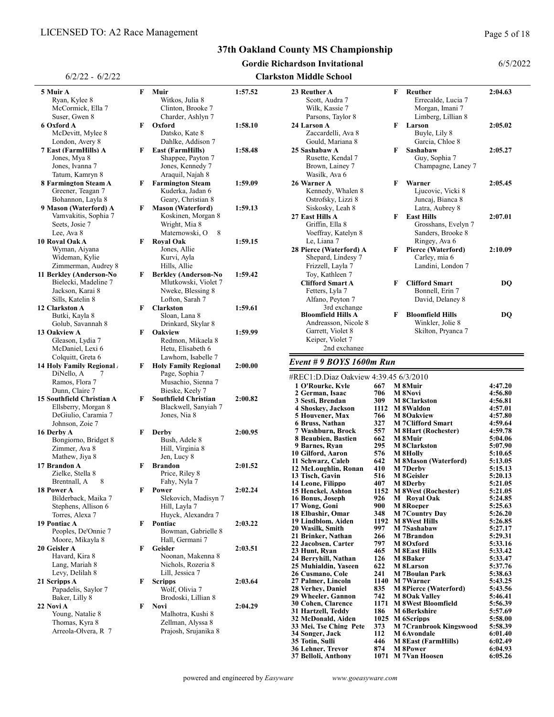#### Gordie Richardson Invitational

## Clarkston Middle School

| $6/2/22 - 6/2/22$                       |   |                                              |         | <b>Clarkston Middle Scho</b>         |
|-----------------------------------------|---|----------------------------------------------|---------|--------------------------------------|
| 5 Muir A                                | F | Muir                                         | 1:57.52 | 23 Reuther A                         |
| Ryan, Kylee 8<br>McCormick, Ella 7      |   | Witkos, Julia 8<br>Clinton, Brooke 7         |         | Scott, Audra<br>Wilk, Kassie         |
| Suser, Gwen 8                           |   | Charder, Ashlyn 7                            |         | Parsons, Tayl                        |
| 6 Oxford A                              | F | Oxford                                       | 1:58.10 | 24 Larson A                          |
| McDevitt, Mylee 8                       |   | Datsko, Kate 8                               |         | Zaccardelli,                         |
| London, Avery 8<br>7 East (FarmHills) A | F | Dahlke, Addison 7                            | 1:58.48 | Gould, Maria<br>25 Sashabaw A        |
| Jones, Mya 8                            |   | <b>East (FarmHills)</b><br>Shappee, Payton 7 |         | Rusette, Ken                         |
| Jones, Ivanna 7                         |   | Jones, Kennedy 7                             |         | Brown, Laine                         |
| Tatum, Kamryn 8                         |   | Araquil, Najah 8                             |         | Wasilk, Ava                          |
| 8 Farmington Steam A                    | F | <b>Farmington Steam</b>                      | 1:59.09 | 26 Warner A                          |
| Greener, Teagan 7                       |   | Kuderka, Jadan 6                             |         | Kennedy, Wl                          |
| Bohannon, Layla 8                       |   | Geary, Christian 8                           |         | Ostrofsky, Li                        |
| 9 Mason (Waterford) A                   | F | <b>Mason (Waterford)</b>                     | 1:59.13 | Siskosky, Le                         |
| Vamvakitis, Sophia 7                    |   | Koskinen, Morgan 8                           |         | 27 East Hills A                      |
| Seets, Josie 7<br>Lee, Ava 8            |   | Wright, Mia 8<br>Maternowski, O<br>8         |         | Griffin, Ella<br>Voeffray, Ka        |
| 10 Roval Oak A                          | F | <b>Roval Oak</b>                             | 1:59.15 | Le, Liana 7                          |
| Wyman, Aiyana                           |   | Jones, Allie                                 |         | 28 Pierce (Water                     |
| Wideman, Kylie                          |   | Kurvi, Ayla                                  |         | Shepard, Lin                         |
| Zimmerman, Audrey 8                     |   | Hills, Allie                                 |         | Frizzell, Layl                       |
| 11 Berkley (Anderson-No                 | F | <b>Berkley (Anderson-No</b>                  | 1:59.42 | Toy, Kathlee                         |
| Bielecki, Madeline 7                    |   | Mlutkowski, Violet 7                         |         | <b>Clifford Smar</b>                 |
| Jackson, Karai 8                        |   | Nweke, Blessing 8                            |         | Fetters, Lyla                        |
| Sills, Katelin 8                        |   | Lofton, Sarah 7                              |         | Alfano, Peyto                        |
| 12 Clarkston A<br>Butki, Kayla 8        | F | <b>Clarkston</b><br>Sloan, Lana 8            | 1:59.61 | 3rd exc<br><b>Bloomfield Hi</b>      |
| Golub, Savannah 8                       |   | Drinkard, Skylar 8                           |         | Andreasson.                          |
| 13 Oakview A                            | F | <b>Oakview</b>                               | 1:59.99 | Garrett, Viole                       |
| Gleason, Lydia 7                        |   | Redmon, Mikaela 8                            |         | Keiper, Viole                        |
| McDaniel, Lexi 6                        |   | Hetu, Elisabeth 6                            |         | 2nd ex                               |
| Colquitt, Greta 6                       |   | Lawhorn, Isabelle 7                          |         | Event # 9 BOY                        |
| 14 Holy Family Regional /               | F | <b>Holy Family Regional</b>                  | 2:00.00 |                                      |
| DiNello, A<br>7                         |   | Page, Sophia 7                               |         | #REC1:D.Diaz 0                       |
| Ramos, Flora 7<br>Dunn, Claire 7        |   | Musachio, Sienna 7<br>Bieske, Keely 7        |         | 1 O'Rourke, Ky                       |
| 15 Southfield Christian A               | F | <b>Southfield Christian</b>                  | 2:00.82 | 2 German, Isaa                       |
| Ellsberry, Morgan 8                     |   | Blackwell, Sanyiah 7                         |         | 3 Sesti, Brendaı<br>4 Shoskev, Jack  |
| DeGiulio, Caramia 7                     |   | Jones, Nia 8                                 |         | 5 Houvener, Ma                       |
| Johnson, Zoie 7                         |   |                                              |         | 6 Bruss, Nathar                      |
| 16 Derby A                              | F | Derby                                        | 2:00.95 | 7 Washburn, Bı                       |
| Bongiorno, Bridget 8                    |   | Bush, Adele 8                                |         | 8 Beaubien, Bas<br>9 Barnes, Ryan    |
| Zimmer, Ava 8                           |   | Hill, Virginia 8                             |         | 10 Gilford, Aaro                     |
| Mathew, Jiya 8<br>17 Brandon A          | F | Jen, Lucy 8<br><b>Brandon</b>                | 2:01.52 | 11 Schwarz, Cale                     |
| Zielke, Stella 8                        |   | Price, Riley 8                               |         | 12 McLoughlin,                       |
| 8<br>Brentnall, A                       |   | Fahy, Nyla 7                                 |         | 13 Tisch, Gavin<br>14 Leone, Filippo |
| 18 Power A                              | F | Power                                        | 2:02.24 | 15 Henckel, Asht                     |
| Bilderback, Maika 7                     |   | Slekovich, Madisyn 7                         |         | 16 Bonus, Joseph                     |
| Stephens, Allison 6                     |   | Hill, Layla 7                                |         | 17 Wong, Goni                        |
| Torres, Alexa 7                         |   | Huyck, Alexandra 7                           |         | 18 Elbashir, Oma<br>19 Lindblom, Aio |
| 19 Pontiac A                            | F | Pontiac                                      | 2:03.22 | 20 Wasilk, Smith                     |
| Peoples, De'Onnie 7<br>Moore, Mikayla 8 |   | Bowman, Gabrielle 8<br>Hall, Germani 7       |         | 21 Brinker, Nath                     |
| 20 Geisler A                            | F | Geisler                                      | 2:03.51 | 22 Jacobsen, Car                     |
| Havard, Kira 8                          |   | Noonan, Makenna 8                            |         | 23 Hunt, Ryan<br>24 Berryhill, Nat   |
| Lang, Mariah 8                          |   | Nichols, Rozeria 8                           |         | 25 Muhialdin, Ya                     |
| Levy, Delilah 8                         |   | Lill, Jessica 7                              |         | 26 Cusmano, Col                      |
| 21 Scripps A                            | F | <b>Scripps</b>                               | 2:03.64 | 27 Palmer, Linco                     |
| Papadelis, Saylor 7                     |   | Wolf, Olivia 7                               |         | <b>28 Verhey, Danie</b>              |
| Baker, Lilly 8                          |   | Brodoski, Lillian 8                          |         | 29 Wheeler, Gan<br>30 Cohen, Clareı  |
| 22 Novi A<br>Young, Natalie 8           | F | Novi<br>Malhotra, Kushi 8                    | 2:04.29 | 31 Hartzell, Tedd                    |
| Thomas, Kyra 8                          |   | Zellman, Alyssa 8                            |         | 32 McDonald, Ai                      |
| Arreola-Olvera, R 7                     |   | Prajosh, Srujanika 8                         |         | 33 Mei, Tse Chin                     |
|                                         |   |                                              |         | 34 Songer, Jack<br>35 Totin, Sulli   |
|                                         |   |                                              |         | <b>36 Lehner</b> . Trevo             |

| 23 Reuther A              | F | <b>Reuther</b>          | 2:04.63 |
|---------------------------|---|-------------------------|---------|
| Scott, Audra 7            |   | Errecalde, Lucia 7      |         |
| Wilk, Kassie 7            |   | Morgan, Imani 7         |         |
| Parsons, Taylor 8         |   | Limberg, Lillian 8      |         |
| 24 Larson A               | F | Larson                  | 2:05.02 |
| Zaccardelli, Ava 8        |   | Buyle, Lily 8           |         |
| Gould, Mariana 8          |   | Garcia, Chloe 8         |         |
| 25 Sashabaw A             | F | Sashabaw                | 2:05.27 |
| Rusette, Kendal 7         |   | Guy, Sophia 7           |         |
| Brown, Lainey 7           |   | Champagne, Laney 7      |         |
| Wasilk, Ava 6             |   |                         |         |
| 26 Warner A               | F | Warner                  | 2:05.45 |
| Kennedy, Whalen 8         |   | Ljucovic, Vicki 8       |         |
| Ostrofsky, Lizzi 8        |   | Juncaj, Bianca 8        |         |
| Siskosky, Leah 8          |   | Latra, Aubrey 8         |         |
| 27 East Hills A           | F | <b>East Hills</b>       | 2:07.01 |
| Griffin, Ella 8           |   | Grosshans, Evelyn 7     |         |
| Voeffray, Katelyn 8       |   | Sanders, Brooke 8       |         |
| Le, Liana 7               |   | Ringey, Ava 6           |         |
| 28 Pierce (Waterford) A   | F | Pierce (Waterford)      | 2:10.09 |
| Shepard, Lindesy 7        |   | Carley, mia 6           |         |
| Frizzell, Layla 7         |   | Landini, London 7       |         |
| Toy, Kathleen 7           |   |                         |         |
| <b>Clifford Smart A</b>   | F | <b>Clifford Smart</b>   | DO      |
| Fetters, Lyla 7           |   | Bonnell, Erin 7         |         |
| Alfano, Peyton 7          |   | David, Delaney 8        |         |
| 3rd exchange              |   |                         |         |
| <b>Bloomfield Hills A</b> | F | <b>Bloomfield Hills</b> | DO      |
| Andreasson, Nicole 8      |   | Winkler, Jolie 8        |         |
| Garrett, Violet 8         |   | Skilton, Pryanca 7      |         |
| Keiper, Violet 7          |   |                         |         |

## 2nd exchange 9 BOYS 1600m Run

| #REC1:D.Diaz Oakview 4:39.45 6/3/2010 |      |                               |         |
|---------------------------------------|------|-------------------------------|---------|
| 1 O'Rourke, Kyle                      | 667  | M 8Muir                       | 4:47.20 |
| 2 German, Isaac                       | 706  | M 8Novi                       | 4:56.80 |
| 3 Sesti, Brendan                      | 309  | <b>M</b> 8Clarkston           | 4:56.81 |
| <b>4 Shoskey, Jackson</b>             | 1112 | M 8Waldon                     | 4:57.01 |
| <b>5 Houvener, Max</b>                | 766  | <b>M</b> 80akview             | 4:57.80 |
| <b>6 Bruss, Nathan</b>                | 327  | <b>M</b> 7Clifford Smart      | 4:59.64 |
| 7 Washburn, Brock                     | 557  | <b>M 8Hart (Rochester)</b>    | 4:59.78 |
| 8 Beaubien, Bastien                   | 662  | M 8Muir                       | 5:04.06 |
| 9 Barnes, Ryan                        | 295  | <b>M</b> 8Clarkston           | 5:07.90 |
| 10 Gilford, Aaron                     | 576  | M 8Holly                      | 5:10.65 |
| 11 Schwarz, Caleb                     | 642  | <b>M</b> 8Mason (Waterford)   | 5:13.05 |
| 12 McLoughlin, Ronan                  | 410  | M 7Derby                      | 5:15.13 |
| 13 Tisch, Gavin                       | 516  | M 8Geisler                    | 5:20.13 |
| 14 Leone, Filippo                     | 407  | M 8Derby                      | 5:21.05 |
| 15 Henckel, Ashton                    | 1152 | <b>M 8West (Rochester)</b>    | 5:21.05 |
| 16 Bonus, Joseph                      | 926  | <b>M</b> Roval Oak            | 5:24.85 |
| 17 Wong, Goni                         | 900  | M 8Roeper                     | 5:25.63 |
| 18 Elbashir, Omar                     | 348  | <b>M 7Country Day</b>         | 5:26.20 |
| 19 Lindblom, Aiden                    | 1192 | <b>M 8West Hills</b>          | 5:26.85 |
| 20 Wasilk, Smith                      | 997  | M 7Sashabaw                   | 5:27.17 |
| 21 Brinker, Nathan                    | 266  | <b>M</b> 7Brandon             | 5:29.31 |
| 22 Jacobsen, Carter                   | 797  | M 8Oxford                     | 5:33.16 |
| 23 Hunt, Ryan                         | 465  | <b>M 8East Hills</b>          | 5:33.42 |
| 24 Berryhill, Nathan                  | 126  | M 8Baker                      | 5:33.47 |
| 25 Muhialdin, Yaseen                  | 622  | <b>M</b> 8Larson              | 5:37.76 |
| <b>26 Cusmano, Cole</b>               | 241  | <b>M</b> 7Boulan Park         | 5:38.63 |
| 27 Palmer, Lincoln                    | 1140 | <b>M</b> 7Warner              | 5:43.25 |
| <b>28 Verhey, Daniel</b>              | 835  | <b>M</b> 8Pierce (Waterford)  | 5:43.56 |
| 29 Wheeler, Gannon                    | 742  | <b>M 80ak Valley</b>          | 5:46.41 |
| <b>30 Cohen. Clarence</b>             | 1171 | <b>M</b> 8West Bloomfield     | 5:56.39 |
| 31 Hartzell, Teddy                    | 186  | M 6Berkshire                  | 5:57.69 |
| 32 McDonald, Aiden                    | 1025 | <b>M</b> 6Scripps             | 5:58.00 |
| 33 Mei. Tse Ching Pete                | 373  | <b>M</b> 7Cranbrook Kingswood | 5:58.39 |
| 34 Songer, Jack                       | 112  | M 6 Avondale                  | 6:01.40 |
| 35 Totin, Sulli                       | 446  | <b>M 8East (FarmHills)</b>    | 6:02.49 |
| 36 Lehner, Trevor                     | 874  | <b>M</b> 8Power               | 6:04.93 |
| 37 Belloli, Anthony                   | 1071 | <b>M</b> 7Van Hoosen          | 6:05.26 |

#### 6/5/2022

 $\equiv$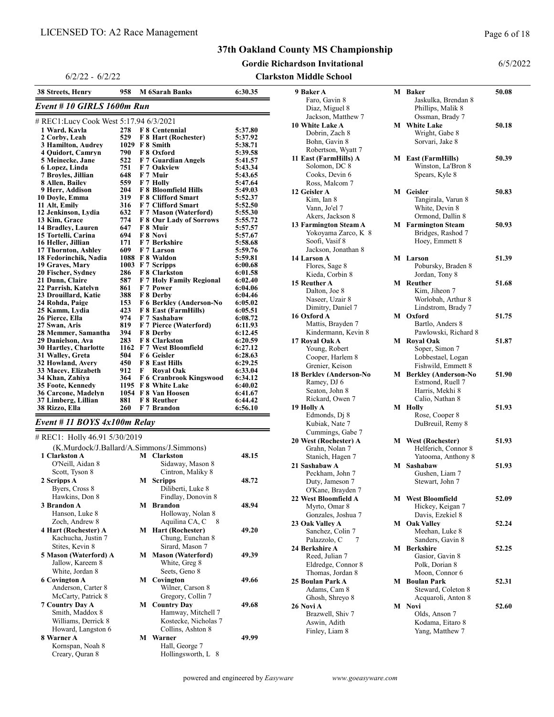#### Gordie Richardson Invitational

## Clarkston N

6/2/22 - 6/2/22

| 38 Streets, Henry                      | 958  | <b>M</b> 6Sarah Banks          | 6:30.35 |
|----------------------------------------|------|--------------------------------|---------|
| Event # 10 GIRLS 1600m Run             |      |                                |         |
| # REC1:Lucy Cook West 5:17.94 6/3/2021 |      |                                |         |
| 1 Ward, Kayla                          | 278  | F 8 Centennial                 | 5:37.80 |
| 2 Corby, Leah                          | 529  | F 8 Hart (Rochester)           | 5:37.92 |
| 3 Hamilton, Audrey                     |      | 1029 F 8 Smith                 | 5:38.71 |
| <b>4 Ouidort. Camrvn</b>               | 790  | <b>F8</b> Oxford               | 5:39.58 |
| 5 Meinecke, Jane                       | 522  | <b>F7 Guardian Angels</b>      | 5:41.57 |
| 6 Lopez, Linda                         | 751  | F 7 Oakview                    | 5:43.34 |
| 7 Brovles, Jillian                     | 648  | F 7 Muir                       | 5:43.65 |
| 8 Allen, Bailev                        | 559  | F 7 Holly                      | 5:47.64 |
| 9 Herr. Addison                        | 204  | <b>F8 Bloomfield Hills</b>     | 5:49.03 |
| 10 Dovle, Emma                         | 319  | <b>F8 Clifford Smart</b>       | 5:52.37 |
| 11 Alt, Emily                          | 316  | <b>F7 Clifford Smart</b>       | 5:52.50 |
| 12 Jenkinson, Lydia                    | 632  | F 7 Mason (Waterford)          | 5:55.30 |
| 13 Kim. Grace                          | 774  | <b>F8 Our Lady of Sorrows</b>  | 5:55.72 |
| 14 Bradlev, Lauren                     | 647  | F 8 Muir                       | 5:57.57 |
| 15 Tortelli, Carina                    | 694  | F 8 Novi                       | 5:57.67 |
| 16 Heller, Jillian                     | 171  | F 7 Berkshire                  | 5:58.68 |
| 17 Thornton, Ashley                    | 609  | F 7 Larson                     | 5:59.76 |
| 18 Fedorinchik, Nadia                  |      | 1088 F 8 Waldon                | 5:59.81 |
| 19 Graves, Mary                        |      | 1003 F 7 Seripps               | 6:00.68 |
| 20 Fischer, Sydney                     | 286  | <b>F8</b> Clarkston            | 6:01.58 |
| 21 Dunn, Claire                        | 587  | <b>F7 Holy Family Regional</b> | 6:02.40 |
| 22 Parrish, Katelyn                    | 861  | F 7 Power                      | 6:04.06 |
| 23 Drouillard, Katie                   | 388  | F 8 Derby                      | 6:04.46 |
| 24 Rohda, Paige                        | 153  | F 6 Berkley (Anderson-No       | 6:05.02 |
| 25 Kamm, Lydia                         | 423  | <b>F 8 East (FarmHills)</b>    | 6:05.51 |
| 26 Pierce, Ella                        | 974  | F 7 Sashabaw                   | 6:08.72 |
| 27 Swan, Aris                          | 819  | F 7 Pierce (Waterford)         | 6:11.93 |
| 28 Memmer, Samantha                    | 394  | F 8 Derby                      | 6:12.45 |
| 29 Danielson, Ava                      | 283  | <b>F8</b> Clarkston            | 6:20.59 |
| <b>30 Hartley, Charlotte</b>           | 1162 | F 7 West Bloomfield            | 6:27.12 |
| 31 Walley, Greta                       | 504  | F 6 Geisler                    | 6:28.63 |
| 32 Howland, Avery                      | 450  | <b>F 8 East Hills</b>          | 6:29.25 |
| 33 Macey, Elizabeth                    | 912  | <b>Roval Oak</b><br>F          | 6:33.04 |
| 34 Khan, Zahiva                        | 364  | <b>F6 Cranbrook Kingswood</b>  | 6:34.12 |
| <b>35 Foote, Kennedy</b>               | 1195 | <b>F8</b> White Lake           | 6:40.02 |
| <b>36 Carcone, Madelyn</b>             |      | 1054 F 8 Van Hoosen            | 6:41.67 |
| 37 Limberg, Lillian                    | 881  | <b>F8</b> Reuther              | 6:44.42 |
| 38 Rizzo, Ella                         | 260  | F 7 Brandon                    | 6:56.10 |

#### Event # 11 BOYS 4x100m Relay

#### # REC1: Holly 46.91 5/30/2019 (K.Murdock/J.Ballard/A.Simmons/J.Simmons)

| 1 Clarkston A         |   | <b>M</b> Clarkston        | 48.15 |
|-----------------------|---|---------------------------|-------|
| O'Neill, Aidan 8      |   | Sidaway, Mason 8          |       |
| Scott, Tyson 8        |   | Cintron, Maliky 8         |       |
| 2 Scripps A           | M | <b>Scripps</b>            | 48.72 |
| Byers, Cross 8        |   | Diliberti, Luke 8         |       |
| Hawkins, Don 8        |   | Findlay, Donovin 8        |       |
| 3 Brandon A           | M | <b>Brandon</b>            | 48.94 |
| Hanson, Luke 8        |   | Holloway, Nolan 8         |       |
| Zoch, Andrew 8        |   | Aquilina CA, C<br>- 8     |       |
| 4 Hart (Rochester) A  |   | <b>M</b> Hart (Rochester) | 49.20 |
| Kachucha, Justin 7    |   | Chung, Eunchan 8          |       |
| Stites, Kevin 8       |   | Sirard, Mason 7           |       |
| 5 Mason (Waterford) A | M | <b>Mason (Waterford)</b>  | 49.39 |
| Jallow, Kareem 8      |   | White, Greg 8             |       |
| White, Jordan 8       |   | Seets, Geno 8             |       |
| <b>6 Covington A</b>  |   | <b>M</b> Covington        | 49.66 |
| Anderson, Carter 8    |   | Wilner, Carson 8          |       |
| McCarty, Patrick 8    |   | Gregory, Collin 7         |       |
| 7 Country Day A       |   | <b>M</b> Country Day      | 49.68 |
| Smith, Maddox 8       |   | Hamway, Mitchell 7        |       |
| Williams, Derrick 8   |   | Kostecke, Nicholas 7      |       |
| Howard, Langston 6    |   | Collins, Ashton 8         |       |
| 8 Warner A            |   | <b>M</b> Warner           | 49.99 |
| Kornspan, Noah 8      |   | Hall, George 7            |       |
| Creary, Quran 8       |   | Hollingsworth, L 8        |       |

|  | $\overline{a}$ | $\cdot$ $\cdot$ | <b>Service</b> |
|--|----------------|-----------------|----------------|

 $\equiv$ 

| Middle School                            |   |                                      |
|------------------------------------------|---|--------------------------------------|
| <b>Baker A</b>                           |   | M Baker                              |
| Faro, Gavin 8                            |   | Jaskulka, Brendan 8                  |
| Diaz, Miguel 8                           |   | Phillips, Malik 8                    |
| Jackson, Matthew 7                       |   | Ossman, Brady 7                      |
| White Lake A                             | М | <b>White Lake</b>                    |
| Dobrin, Zach 8                           |   | Wright, Gabe 8                       |
| Bohn, Gavin 8                            |   | Sorvari, Jake 8                      |
| Robertson, Wyatt 7                       |   |                                      |
| East (FarmHills) A                       |   | <b>M</b> East (FarmHills)            |
| Solomon, DC 8                            |   | Winston, La'Bron 8                   |
| Cooks, Devin 6                           |   | Spears, Kyle 8                       |
| Ross, Malcom 7<br>Geisler A              |   | M Geisler                            |
| Kim, Ian 8                               |   | Tangirala, Varun 8                   |
| Vann, Jo'el 7                            |   | White, Devin 8                       |
| Akers, Jackson 8                         |   | Ormond, Dallin 8                     |
| <b>Farmington Steam A</b>                | M | <b>Farmington Steam</b>              |
| Yokoyama Zarco, K 8                      |   | Bridges, Rashod 7                    |
| Soofi, Vasif 8                           |   | Hoey, Emmett 8                       |
| Jackson, Jonathan 8                      |   |                                      |
| Larson A                                 |   | M Larson                             |
| Flores, Sage 8                           |   | Pobursky, Braden 8                   |
| Kieda, Corbin 8                          |   | Jordan, Tony 8                       |
| Reuther A                                |   | M Reuther                            |
| Dalton, Joe 8                            |   | Kim, Jiheon 7                        |
| Naseer, Uzair 8                          |   | Worlobah, Arthur 8                   |
| Dimitry, Daniel 7<br>Oxford A            |   | Lindstrom, Brady 7                   |
| Mattis, Brayden 7                        |   | M Oxford<br>Bartlo, Anders 8         |
| Kindermann, Kevin 8                      |   | Pawlowski, Richard 8                 |
| Roval Oak A                              | M | <b>Roval Oak</b>                     |
| Young, Robert                            |   | Soper, Simon 7                       |
| Cooper, Harlem 8                         |   | Lobbestael, Logan                    |
| Grenier, Keison                          |   | Fishwild, Emmett 8                   |
| <b>Berkley (Anderson-No</b>              | M | <b>Berkley (Anderson-No</b>          |
| Ramey, DJ 6                              |   | Estmond, Ruell 7                     |
| Seaton, John 8                           |   | Harris, Mekhi 8                      |
| Rickard, Owen 7                          |   | Calio, Nathan 8                      |
| Holly A                                  |   | M Holly                              |
| Edmonds, Dj 8<br>Kubiak, Nate 7          |   | Rose, Cooper 8                       |
| Cummings, Gabe 7                         |   | DuBreuil, Remy 8                     |
| West (Rochester) A                       |   | M West (Rochester)                   |
| Grahn, Nolan 7                           |   | Helferich, Connor 8                  |
| Stanich, Hagen 7                         |   | Yatooma, Anthony 8                   |
| Sashabaw A                               |   | M Sashabaw                           |
| Peckham, John 7                          |   | Gushen, Liam 7                       |
| Duty, Jameson 7                          |   | Stewart, John 7                      |
| O'Kane, Brayden 7                        |   |                                      |
| <b>West Bloomfield A</b>                 |   | <b>M</b> West Bloomfield             |
| Myrto, Omar 8                            |   | Hickey, Keigan 7                     |
| Gonzales, Joshua 7                       |   | Davis, Ezekiel 8                     |
| Oak Valley A                             |   | <b>M</b> Oak Valley                  |
| Sanchez, Colin 7                         |   | Meehan, Luke 8                       |
| Palazzolo, C<br>-7<br><b>Berkshire A</b> | M | Sanders, Gavin 8<br><b>Berkshire</b> |
| Reed, Julian 7                           |   | Gasior, Gavin 8                      |
| Eldredge, Connor 8                       |   | Polk, Dorian 8                       |
| Thomas, Jordan 8                         |   | Moon, Connor 6                       |
| <b>Boulan Park A</b>                     | M | <b>Boulan Park</b>                   |
| Adams, Cam 8                             |   | Steward, Coleton 8                   |
| Ghosh, Shreyo 8                          |   | Acquaroli, Anton 8                   |
| Novi A                                   | M | <b>Novi</b>                          |
| Brazwell, Shiv 7                         |   | Olds, Anson 7                        |
| Aswin, Adith                             |   | Kodama, Eitaro 8                     |
| Finley, Liam 8                           |   | Yang, Matthew 7                      |
|                                          |   |                                      |

| 1 вишин эсноп                                |   |                                       |       |
|----------------------------------------------|---|---------------------------------------|-------|
| 9 Baker A                                    |   | M Baker                               | 50.08 |
| Faro, Gavin 8                                |   | Jaskulka, Brendan 8                   |       |
| Diaz, Miguel 8                               |   | Phillips, Malik 8                     |       |
| Jackson, Matthew 7<br><b>10 White Lake A</b> | M | Ossman, Brady 7<br><b>White Lake</b>  | 50.18 |
| Dobrin, Zach 8                               |   | Wright, Gabe 8                        |       |
| Bohn, Gavin 8                                |   | Sorvari, Jake 8                       |       |
| Robertson, Wyatt 7                           |   |                                       |       |
| 11 East (FarmHills) A                        | М | <b>East (FarmHills)</b>               | 50.39 |
| Solomon, DC 8                                |   | Winston, La'Bron 8                    |       |
| Cooks, Devin 6                               |   | Spears, Kyle 8                        |       |
| Ross, Malcom 7                               |   |                                       |       |
| 12 Geisler A                                 | M | Geisler                               | 50.83 |
| Kim, Ian 8                                   |   | Tangirala, Varun 8                    |       |
| Vann, Jo'el 7                                |   | White, Devin 8                        |       |
| Akers, Jackson 8                             |   | Ormond, Dallin 8                      |       |
| 13 Farmington Steam A                        | М | <b>Farmington Steam</b>               | 50.93 |
| Yokoyama Zarco, K 8                          |   | Bridges, Rashod 7                     |       |
| Soofi, Vasif 8<br>Jackson, Jonathan 8        |   | Hoey, Emmett 8                        |       |
| 14 Larson A                                  |   | <b>M</b> Larson                       | 51.39 |
| Flores, Sage 8                               |   | Pobursky, Braden 8                    |       |
| Kieda, Corbin 8                              |   | Jordan, Tony 8                        |       |
| 15 Reuther A                                 | M | Reuther                               | 51.68 |
| Dalton, Joe 8                                |   | Kim, Jiheon 7                         |       |
| Naseer, Uzair 8                              |   | Worlobah, Arthur 8                    |       |
| Dimitry, Daniel 7                            |   | Lindstrom, Brady 7                    |       |
| 16 Oxford A                                  |   | M Oxford                              | 51.75 |
| Mattis, Brayden 7                            |   | Bartlo, Anders 8                      |       |
| Kindermann, Kevin 8                          |   | Pawlowski, Richard 8                  |       |
| 17 Roval Oak A                               | M | <b>Roval Oak</b>                      | 51.87 |
| Young, Robert                                |   | Soper, Simon 7                        |       |
| Cooper, Harlem 8                             |   | Lobbestael, Logan                     |       |
| Grenier, Keison                              |   | Fishwild, Emmett 8                    |       |
| 18 Berkley (Anderson-No                      | М | <b>Berkley (Anderson-No</b>           | 51.90 |
| Ramey, DJ 6                                  |   | Estmond, Ruell 7                      |       |
| Seaton, John 8<br>Rickard, Owen 7            |   | Harris, Mekhi 8<br>Calio, Nathan 8    |       |
| 19 Holly A                                   | M | Holly                                 | 51.93 |
| Edmonds, Dj 8                                |   | Rose, Cooper 8                        |       |
| Kubiak, Nate 7                               |   | DuBreuil, Remy 8                      |       |
| Cummings, Gabe 7                             |   |                                       |       |
| 20 West (Rochester) A                        | M | West (Rochester)                      | 51.93 |
| Grahn, Nolan 7                               |   | Helferich, Connor 8                   |       |
| Stanich, Hagen 7                             |   | Yatooma, Anthony 8                    |       |
| 21 Sashabaw A                                | M | Sashabaw                              | 51.93 |
| Peckham, John 7                              |   | Gushen, Liam 7                        |       |
| Duty, Jameson 7                              |   | Stewart, John 7                       |       |
| O'Kane, Brayden 7                            |   |                                       |       |
| 22 West Bloomfield A                         |   | <b>M</b> West Bloomfield              | 52.09 |
| Myrto, Omar 8                                |   | Hickey, Keigan 7                      |       |
| Gonzales, Joshua 7<br><b>23 Oak Valley A</b> |   | Davis, Ezekiel 8<br><b>Oak Vallev</b> |       |
| Sanchez, Colin 7                             | М | Meehan, Luke 8                        | 52.24 |
| Palazzolo, C<br>7                            |   | Sanders, Gavin 8                      |       |
| 24 Berkshire A                               | М | <b>Berkshire</b>                      | 52.25 |
| Reed, Julian 7                               |   | Gasior, Gavin 8                       |       |
| Eldredge, Connor 8                           |   | Polk, Dorian 8                        |       |
| Thomas, Jordan 8                             |   | Moon, Connor 6                        |       |
| 25 Boulan Park A                             | М | <b>Boulan Park</b>                    | 52.31 |
| Adams, Cam 8                                 |   | Steward, Coleton 8                    |       |
| Ghosh, Shreyo 8                              |   | Acquaroli, Anton 8                    |       |
| 26 Novi A                                    |   | M Novi                                | 52.60 |
| Brazwell, Shiv 7                             |   | Olds, Anson 7                         |       |
| Aswin, Adith                                 |   | Kodama, Eitaro 8                      |       |
| Finley, Liam 8                               |   | Yang, Matthew 7                       |       |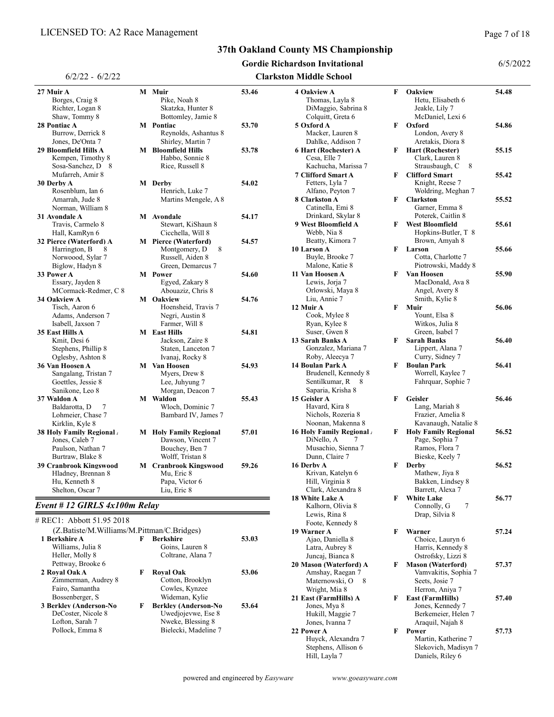6/2/22 - 6/2/22

#### 37th Oakland County MS Championship

#### Gordie Richardson Invitational

#### Clarkston Middle School

| 27 Muir A                            |   | M Muir                              | 53.46 |
|--------------------------------------|---|-------------------------------------|-------|
| Borges, Craig 8                      |   | Pike, Noah 8                        |       |
| Richter, Logan 8                     |   | Skatzka, Hunter 8                   |       |
| Shaw, Tommy 8                        |   | Bottomley, Jamie 8                  |       |
| 28 Pontiac A                         | M | Pontiac                             | 53.70 |
| Burrow, Derrick 8                    |   | Reynolds, Ashantus 8                |       |
| Jones, De'Onta 7                     |   | Shirley, Martin 7                   |       |
| 29 Bloomfield Hills A                | М | <b>Bloomfield Hills</b>             | 53.78 |
| Kempen, Timothy 8                    |   | Habbo, Sonnie 8                     |       |
| Sosa-Sanchez, D<br>8                 |   | Rice, Russell 8                     |       |
| Mufarreh, Amir 8                     |   |                                     |       |
| 30 Derby A                           |   | M Derby                             | 54.02 |
| Rosenblum, Ian 6                     |   | Henrich, Luke 7                     |       |
| Amarrah, Jude 8                      |   | Martins Mengele, A 8                |       |
| Norman, William 8                    |   |                                     |       |
| 31 Avondale A                        |   | M Avondale                          | 54.17 |
| Travis, Carmelo 8                    |   | Stewart, KiShaun 8                  |       |
| Hall, KamRyn 6                       |   | Cicchella, Will 8                   |       |
| 32 Pierce (Waterford) A<br>8         | M | Pierce (Waterford)<br>8             | 54.57 |
| Harrington, B                        |   | Montgomery, D                       |       |
| Norwoood, Sylar 7                    |   | Russell, Aiden 8                    |       |
| Biglow, Hadyn 8                      |   | Green, Demarcus 7                   |       |
| 33 Power A                           |   | <b>M</b> Power                      | 54.60 |
| Essary, Jayden 8                     |   | Egyed, Zakary 8                     |       |
| MCormack-Redmer, C 8<br>34 Oakview A | M | Abouaziz, Chris 8<br><b>Oakview</b> | 54.76 |
| Tisch, Aaron 6                       |   | Hoensheid, Travis 7                 |       |
| Adams, Anderson 7                    |   | Negri, Austin 8                     |       |
| Isabell, Jaxson 7                    |   | Farmer, Will 8                      |       |
| 35 East Hills A                      | M | <b>East Hills</b>                   | 54.81 |
| Kmit, Desi 6                         |   | Jackson, Zaire 8                    |       |
| Stephens, Phillip 8                  |   | Staten, Lanceton 7                  |       |
| Oglesby, Ashton 8                    |   | Ivanaj, Rocky 8                     |       |
| 36 Van Hoosen A                      |   | M Van Hoosen                        | 54.93 |
| Sangalang, Tristan 7                 |   | Myers, Drew 8                       |       |
| Goettles, Jessie 8                   |   | Lee, Juhyung 7                      |       |
| Sanikone, Leo 8                      |   | Morgan, Deacon 7                    |       |
| 37 Waldon A                          |   | M Waldon                            | 55.43 |
| Baldarotta, D<br>7                   |   | Wloch, Dominic 7                    |       |
| Lohmeier, Chase 7                    |   | Bambard IV, James 7                 |       |
| Kirklin, Kyle 8                      |   |                                     |       |
| <b>38 Holy Family Regional</b>       | M | <b>Holy Family Regional</b>         | 57.01 |
| Jones, Caleb 7                       |   | Dawson, Vincent 7                   |       |
| Paulson, Nathan 7                    |   | Bouchey, Ben 7                      |       |
| Burtraw, Blake 8                     |   | Wolff, Tristan 8                    |       |
| <b>39 Cranbrook Kingswood</b>        |   | <b>M</b> Cranbrook Kingswood        | 59.26 |
| Hladney, Brennan 8                   |   | Mu, Eric 8                          |       |
| Hu, Kenneth 8                        |   | Papa, Victor 6                      |       |
| Shelton, Oscar 7                     |   | Liu, Eric 8                         |       |

#### Event # 12 GIRLS 4x100m Relay

| # REC1: Abbott 51.95 2018                  |   |                             |       |
|--------------------------------------------|---|-----------------------------|-------|
| (Z.Batiste/M.Williams/M.Pittman/C.Bridges) |   |                             |       |
| 1 Berkshire A                              | F | <b>Berkshire</b>            | 53.03 |
| Williams, Julia 8                          |   | Goins, Lauren 8             |       |
| Heller, Molly 8                            |   | Coltrane, Alana 7           |       |
| Pettway, Brooke 6                          |   |                             |       |
| 2 Roval Oak A                              | F | <b>Roval Oak</b>            | 53.06 |
| Zimmerman, Audrey 8                        |   | Cotton, Brooklyn            |       |
| Fairo, Samantha                            |   | Cowles, Kynzee              |       |
| Bossenberger, S                            |   | Wideman, Kylie              |       |
| <b>3 Berkley (Anderson-No</b>              | F | <b>Berkley (Anderson-No</b> | 53.64 |
| DeCoster, Nicole 8                         |   | Uwedjojevwe, Ese 8          |       |
| Lofton, Sarah 7                            |   | Nweke, Blessing 8           |       |
| Pollock, Emma 8                            |   | Bielecki, Madeline 7        |       |
|                                            |   |                             |       |

| 4 Oakview A                                          | F | <b>Oakview</b>                                      | 54.48 |
|------------------------------------------------------|---|-----------------------------------------------------|-------|
| Thomas, Layla 8                                      |   | Hetu, Elisabeth 6                                   |       |
| DiMaggio, Sabrina 8                                  |   | Jeakle, Lily 7                                      |       |
| Colquitt, Greta 6                                    |   | McDaniel, Lexi 6                                    |       |
| 5 Oxford A                                           | F | Oxford                                              | 54.86 |
| Macker, Lauren 8<br>Dahlke, Addison 7                |   | London, Avery 8<br>Aretakis, Diora 8                |       |
| 6 Hart (Rochester) A                                 | F | <b>Hart (Rochester)</b>                             | 55.15 |
| Cesa, Elle 7                                         |   | Clark, Lauren 8                                     |       |
| Kachucha, Marissa 7                                  |   | Strausbaugh, C<br>8                                 |       |
| 7 Clifford Smart A                                   | F | <b>Clifford Smart</b>                               | 55.42 |
| Fetters, Lyla 7                                      |   | Knight, Reese 7                                     |       |
| Alfano, Peyton 7                                     |   | Woldring, Meghan 7                                  |       |
| 8 Clarkston A                                        | F | <b>Clarkston</b>                                    | 55.52 |
| Catinella, Emi 8                                     |   | Garner, Emma 8                                      |       |
| Drinkard, Skylar 8                                   |   | Poterek, Caitlin 8                                  |       |
| 9 West Bloomfield A<br>Webb, Nia 8                   | F | <b>West Bloomfield</b>                              | 55.61 |
| Beatty, Kimora 7                                     |   | Hopkins-Butler, T 8<br>Brown, Amyah 8               |       |
| 10 Larson A                                          | F | Larson                                              | 55.66 |
| Buyle, Brooke 7                                      |   | Cotta, Charlotte 7                                  |       |
| Malone, Katie 8                                      |   | Piotrowski, Maddy 8                                 |       |
| 11 Van Hoosen A                                      | F | Van Hoosen                                          | 55.90 |
| Lewis, Jorja 7                                       |   | MacDonald, Ava 8                                    |       |
| Orlowski, Maya 8                                     |   | Angel, Avery 8                                      |       |
| Liu, Annie 7                                         |   | Smith, Kylie 8                                      |       |
| 12 Muir A                                            | F | Muir                                                | 56.06 |
| Cook, Mylee 8                                        |   | Yount, Elsa 8                                       |       |
| Ryan, Kylee 8<br>Suser, Gwen 8                       |   | Witkos, Julia 8<br>Green, Isabel 7                  |       |
| 13 Sarah Banks A                                     | F | <b>Sarah Banks</b>                                  | 56.40 |
| Gonzalez, Mariana 7                                  |   | Lippert, Alana 7                                    |       |
| Roby, Aleecya 7                                      |   | Curry, Sidney 7                                     |       |
| 14 Boulan Park A                                     | F | Boulan Park                                         | 56.41 |
| Brudenell, Kennedy 8                                 |   | Worrell, Kaylee 7                                   |       |
| Sentilkumar, R<br>8                                  |   | Fahrquar, Sophie 7                                  |       |
| Saparia, Krisha 8                                    |   |                                                     |       |
| 15 Geisler A                                         | F | Geisler                                             | 56.46 |
| Havard, Kira 8                                       |   | Lang, Mariah 8                                      |       |
| Nichols, Rozeria 8                                   |   | Frazier, Amelia 8                                   |       |
| Noonan, Makenna 8<br><b>16 Holy Family Regional.</b> | F | Kavanaugh, Natalie 8<br><b>Holy Family Regional</b> | 56.52 |
| DiNello, A<br>7                                      |   | Page, Sophia 7                                      |       |
| Musachio, Sienna 7                                   |   | Ramos, Flora 7                                      |       |
| Dunn, Claire 7                                       |   | Bieske, Keely 7                                     |       |
| 16 Derby A                                           | F | Derby                                               | 56.52 |
| Krivan, Katelyn 6                                    |   | Mathew, Jiya 8                                      |       |
| Hill, Virginia 8                                     |   | Bakken, Lindsey 8                                   |       |
| Clark, Alexandra 8                                   |   | Barrett, Alexa 7                                    |       |
| 18 White Lake A                                      | F | <b>White Lake</b>                                   | 56.77 |
| Kalhorn, Olivia 8                                    |   | Connolly, G<br>7                                    |       |
| Lewis, Rina 8                                        |   | Drap, Silvia 8                                      |       |
| Foote, Kennedy 8                                     |   |                                                     |       |
| 19 Warner A<br>Ajao, Daniella 8                      | F | Warner<br>Choice, Lauryn 6                          | 57.24 |
| Latra, Aubrey 8                                      |   | Harris, Kennedy 8                                   |       |
| Juncaj, Bianca 8                                     |   | Ostrofsky, Lizzi 8                                  |       |
| 20 Mason (Waterford) A                               | F | <b>Mason (Waterford)</b>                            | 57.37 |
| Amshay, Raegan 7                                     |   | Vamvakitis, Sophia 7                                |       |
| Maternowski, O<br>8                                  |   | Seets, Josie 7                                      |       |
| Wright, Mia 8                                        |   | Herron, Aniya 7                                     |       |
| 21 East (FarmHills) A                                | F | <b>East (FarmHills)</b>                             | 57.40 |
| Jones, Mya 8                                         |   | Jones, Kennedy 7                                    |       |
| Hukill, Maggie 7                                     |   | Berkemeier, Helen 7                                 |       |
| Jones, Ivanna 7<br>22 Power A                        | F | Araquil, Najah 8<br>Power                           | 57.73 |
| Huyck, Alexandra 7                                   |   | Martin, Katherine 7                                 |       |
| Stephens, Allison 6                                  |   | Slekovich, Madisyn 7                                |       |
|                                                      |   |                                                     |       |

Oakview 54.48 Hetu, Elisabeth 6 Jeakle, Lily 7 McDaniel, Lexi 6 Oxford 54.86 London, Avery 8 Aretakis, Diora 8 Hart (Rochester) 55.15 Clark, Lauren 8 Strausbaugh, C 8 7 Clifford Smart A F Clifford Smart 55.42 Knight, Reese 7 Woldring, Meghan 7 Clarkston 55.52 Garner, Emma 8 Poterek, Caitlin 8 West Bloomfield 55.61 Hopkins-Butler, T 8 Brown, Amyah 8 Cotta, Charlotte 7 Piotrowski, Maddy 8 MacDonald, Ava 8 Angel, Avery 8 Smith, Kylie 8 Yount, Elsa 8 Witkos, Julia 8 Green, Isabel 7 Lippert, Alana 7 Curry, Sidney 7 Worrell, Kaylee 7 Fahrquar, Sophie 7 Lang, Mariah 8 Frazier, Amelia 8 Kavanaugh, Natalie 8 Page, Sophia 7 Ramos, Flora 7 Bieske, Keely 7 Mathew, Jiya 8 Bakken, Lindsey 8 Barrett, Alexa 7

#### Drap, Silvia 8 19 Warner A F Warner 57.24 Choice, Lauryn 6 Harris, Kennedy 8 Ostrofsky, Lizzi 8 20 Mason (Waterford) A F Mason (Waterford) 57.37 Vamvakitis, Sophia 7 Seets, Josie 7 Herron, Aniya 7 21 East (FarmHills) A F East (FarmHills) 57.40 Jones, Kennedy 7 Berkemeier, Helen 7 Araquil, Najah 8 22 Power A F Power 57.73 Martin, Katherine 7 Stephens, Allison 6 Slekovich, Madisyn 7<br>
Hill, Layla 7 Daniels, Riley 6 Daniels, Riley 6

Page 7 of 18

6/5/2022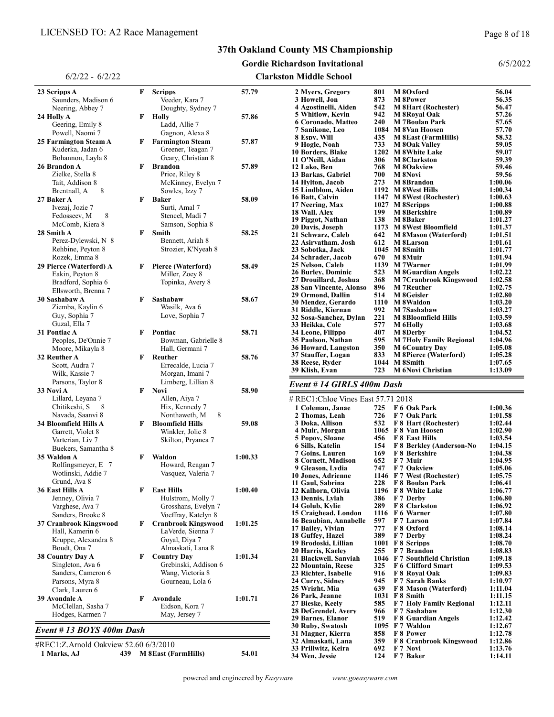#### LICENSED TO: A2 Race Management

#### Gordie Richardson Invitational

6/5/2022

Page 8 of 18

| $6/2/22 - 6/2/22$                   |   |                                        |         | <b>Clarkston Middle School</b>                   |             |                                                      |                    |
|-------------------------------------|---|----------------------------------------|---------|--------------------------------------------------|-------------|------------------------------------------------------|--------------------|
| 23 Scripps A                        | F | <b>Scripps</b>                         | 57.79   | 2 Myers, Gregory                                 | 801         | M 8Oxford                                            | 56.04              |
| Saunders, Madison 6                 |   | Veeder, Kara 7                         |         | 3 Howell, Jon                                    | 873         | M 8Power                                             | 56.35              |
| Neering, Abbey 7                    |   | Doughty, Sydney 7                      |         | 4 Agostinelli, Aiden                             | 542<br>942  | <b>M 8Hart (Rochester)</b><br><b>M</b> 8 Roval Oak   | 56.47<br>57.26     |
| 24 Holly A                          | F | Holly                                  | 57.86   | 5 Whitlow, Kevin<br>6 Coronado, Matteo           | <b>240</b>  | <b>M</b> 7Boulan Park                                | 57.65              |
| Geering, Emily 8                    |   | Ladd, Allie 7                          |         | 7 Sanikone, Leo                                  |             | 1084 M 8Van Hoosen                                   | 57.70              |
| Powell, Naomi 7                     |   | Gagnon, Alexa 8                        |         | 8 Espy, Will                                     | 435         | <b>M</b> 8East (FarmHills)                           | 58.32              |
| 25 Farmington Steam A               | F | <b>Farmington Steam</b>                | 57.87   | 9 Hogle, Noah                                    | 733         | <b>M 8Oak Valley</b>                                 | 59.05              |
| Kuderka, Jadan 6                    |   | Greener, Teagan 7                      |         | 10 Borders, Blake                                |             | 1202 M 8White Lake                                   | 59.07              |
| Bohannon, Layla 8<br>26 Brandon A   | F | Geary, Christian 8<br><b>Brandon</b>   | 57.89   | 11 O'Neill, Aidan                                | 306         | <b>M</b> 8Clarkston                                  | 59.39              |
| Zielke, Stella 8                    |   | Price, Riley 8                         |         | 12 Lako, Ben<br>13 Barkas, Gabriel               | 768<br>700  | <b>M</b> 80akview<br>M 8Novi                         | 59.46<br>59.56     |
| Tait, Addison 8                     |   | McKinney, Evelyn 7                     |         | 14 Hylton, Jacob                                 | 273         | M 8Brandon                                           | 1:00.06            |
| Brentnall, A<br>8                   |   | Sowles, Izzy 7                         |         | 15 Lindblom, Aiden                               |             | 1192 M 8 West Hills                                  | 1:00.34            |
| 27 Baker A                          | F | Baker                                  | 58.09   | 16 Batt, Calvin                                  |             | 1147 M 8 West (Rochester)                            | 1:00.63            |
| Ivezaj, Jozie 7                     |   | Surti, Amal 7                          |         | 17 Neering, Max                                  |             | 1027 M 8Scripps                                      | 1:00.88            |
| 8<br>Fedosseev, M                   |   | Stencel, Madi 7                        |         | 18 Wall, Alex                                    | 199         | M 8Berkshire                                         | 1:00.89            |
| McComb, Kiera 8                     |   | Samson, Sophia 8                       |         | 19 Piggot, Nathan<br>20 Davis, Joseph            | 138         | M 8Baker<br>1173 M 8 West Bloomfield                 | 1:01.27<br>1:01.37 |
| 28 Smith A                          | F | Smith                                  | 58.25   | 21 Schwarz, Caleb                                | 642         | <b>M</b> 8Mason (Waterford)                          | 1:01.51            |
| Perez-Dylewski, N 8                 |   | Bennett, Ariah 8                       |         | 22 Asirvatham, Josh                              | 612         | M 8Larson                                            | 1:01.61            |
| Rehbine, Peyton 8                   |   | Strozier, K'Nyeah 8                    |         | 23 Sobotka, Jack                                 |             | 1045 M 8Smith                                        | 1:01.77            |
| Rozek, Emma 8                       |   |                                        |         | 24 Schrader, Jacob                               | 670         | M 8Muir                                              | 1:01.94            |
| 29 Pierce (Waterford) A             | F | <b>Pierce (Waterford)</b>              | 58.49   | 25 Nelson, Caleb                                 |             | 1139 M 7 Warner                                      | 1:01.99            |
| Eakin, Peyton 8                     |   | Miller, Zoey 8                         |         | <b>26 Burley, Dominic</b>                        | 523         | <b>M 8Guardian Angels</b>                            | 1:02.22            |
| Bradford, Sophia 6                  |   | Topinka, Avery 8                       |         | 27 Drouillard, Joshua<br>28 San Vincente, Alonso | 368<br>896  | <b>M</b> 7 Cranbrook Kingswood<br><b>M</b> 7 Reuther | 1:02.58<br>1:02.75 |
| Ellsworth, Brenna 7                 |   |                                        |         | 29 Ormond, Dallin                                | 514         | M 8Geisler                                           | 1:02.80            |
| 30 Sashabaw A                       | F | Sashabaw                               | 58.67   | 30 Mendez, Gerardo                               |             | 1110 M 8 Waldon                                      | 1:03.20            |
| Ziemba, Kaylin 6                    |   | Wasilk, Ava 6                          |         | 31 Riddle, Kiernan                               | 992         | M 7Sashabaw                                          | 1:03.27            |
| Guy, Sophia 7                       |   | Love, Sophia 7                         |         | 32 Sosa-Sanchez, Dylan                           | 221         | <b>M</b> 8Bloomfield Hills                           | 1:03.59            |
| Guzal, Ella 7                       |   |                                        |         | 33 Heikka, Cole                                  | 577         | <b>M</b> 6Holly                                      | 1:03.68            |
| 31 Pontiac A<br>Peoples, De'Onnie 7 | F | Pontiac<br>Bowman, Gabrielle 8         | 58.71   | 34 Leone, Filippo<br>35 Paulson, Nathan          | 407<br>595  | M 8Derby<br><b>M</b> 7Holy Family Regional           | 1:04.52<br>1:04.96 |
| Moore, Mikayla 8                    |   | Hall, Germani 7                        |         | 36 Howard, Langston                              | 350         | <b>M</b> 6Country Day                                | 1:05.08            |
| 32 Reuther A                        | F | Reuther                                | 58.76   | 37 Stauffer, Logan                               | 833         | <b>M</b> 8Pierce (Waterford)                         | 1:05.28            |
| Scott, Audra 7                      |   | Errecalde, Lucia 7                     |         | 38 Reese, Ryder                                  |             | 1044 M 8Smith                                        | 1:07.65            |
| Wilk, Kassie 7                      |   | Morgan, Imani 7                        |         | 39 Klish, Evan                                   | 723         | <b>M</b> 6Novi Christian                             | 1:13.09            |
| Parsons, Taylor 8                   |   | Limberg, Lillian 8                     |         | Event #14 GIRLS 400m Dash                        |             |                                                      |                    |
| 33 Novi A                           | F | Novi                                   | 58.90   |                                                  |             |                                                      |                    |
| Lillard, Leyana 7                   |   | Allen, Aiya 7                          |         | # REC1: Chloe Vines East 57.71 2018              |             |                                                      |                    |
| Chitikeshi, S<br>8                  |   | Hix, Kennedy 7                         |         | 1 Coleman, Janae                                 | 725         | F 6 Oak Park                                         | 1:00.36            |
| Navada, Saanvi 8                    |   | 8<br>Nonthaweth, M                     |         | 2 Thomas, Leah                                   | 726         | F 7 Oak Park                                         | 1:01.58            |
| 34 Bloomfield Hills A               | F | <b>Bloomfield Hills</b>                | 59.08   | 3 Doka, Allison                                  | 532         | <b>F 8 Hart (Rochester)</b>                          | 1:02.44            |
| Garrett, Violet 8                   |   | Winkler, Jolie 8                       |         | 4 Muir, Morgan                                   |             | 1065 F 8 Van Hoosen<br>F 8 East Hills                | 1:02.90            |
| Varterian, Liv 7                    |   | Skilton, Pryanca 7                     |         | 5 Popov, Sloane<br>6 Sills, Katelin              | 456<br>154  | <b>F 8 Berkley (Anderson-No</b>                      | 1:03.54<br>1:04.15 |
| Buekers, Samantha 8                 |   |                                        |         | 7 Goins, Lauren                                  | 169         | F 8 Berkshire                                        | 1:04.38            |
| 35 Waldon A                         | F | Waldon                                 | 1:00.33 | 8 Cornett, Madison                               | 652         | F 7 Muir                                             | 1:04.95            |
| Rolfingsmeyer, E 7                  |   | Howard, Reagan 7<br>Vasquez, Valeria 7 |         | 9 Gleason, Lydia                                 | 747         | F 7 Oakview                                          | 1:05.06            |
| Wotlinski, Addie 7<br>Grund, Ava 8  |   |                                        |         | 10 Jones, Adrienne                               |             | 1146 F 7 West (Rochester)                            | 1:05.75            |
| 36 East Hills A                     | F | <b>East Hills</b>                      | 1:00.40 | 11 Gaul, Sabrina<br>12 Kalhorn, Olivia           | 228<br>1196 | <b>F8 Boulan Park</b><br><b>F8</b> White Lake        | 1:06.41<br>1:06.77 |
| Jenney, Olivia 7                    |   | Hulstrom, Molly 7                      |         | 13 Dennis, Lylah                                 | 386         | F 7 Derby                                            | 1:06.80            |
| Varghese, Ava 7                     |   | Grosshans, Evelyn 7                    |         | 14 Golub, Kylie                                  | 289         | <b>F8</b> Clarkston                                  | 1:06.92            |
| Sanders, Brooke 8                   |   | Voeffray, Katelyn 8                    |         | 15 Craighead, London                             | 1116        | F 6 Warner                                           | 1:07.80            |
| <b>37 Cranbrook Kingswood</b>       | F | <b>Cranbrook Kingswood</b>             | 1:01.25 | 16 Beaubian, Annabelle                           | 597         | F 7 Larson                                           | 1:07.84            |
| Hall, Kamerin 6                     |   | LaVerde, Sienna 7                      |         | 17 Bailey, Vivian                                | 777         | F 8 Oxford                                           | 1:08.14            |
| Kruppe, Alexandra 8                 |   | Goyal, Diya 7                          |         | 18 Guffey, Hazel                                 | 389         | F 7 Derby                                            | 1:08.24            |
| Boudt, Ona 7                        |   | Almaskati, Lana 8                      |         | 19 Brodoski, Lillian<br><b>20 Harris, Kaeley</b> | 1001<br>255 | F 8 Scripps<br>F 7 Brandon                           | 1:08.70<br>1:08.83 |
| 38 Country Day A                    | F | <b>Country Day</b>                     | 1:01.34 | 21 Blackwell, Sanviah                            |             | 1046 F 7 Southfield Christian                        | 1:09.18            |
| Singleton, Ava 6                    |   | Grebinski, Addison 6                   |         | 22 Mountain, Reese                               | 325         | F 6 Clifford Smart                                   | 1:09.53            |
| Sanders, Cameron 6                  |   | Wang, Victoria 8                       |         | 23 Richter, Isabelle                             | 916         | F 8 Roval Oak                                        | 1:09.83            |
| Parsons, Myra 8                     |   | Gourneau, Lola 6                       |         | 24 Curry, Sidney                                 | 945         | F 7 Sarah Banks                                      | 1:10.97            |
| Clark, Lauren 6                     |   |                                        |         | 25 Wright, Mia                                   | 639         | <b>F 8 Mason (Waterford)</b>                         | 1:11.04            |
| 39 Avondale A                       | F | Avondale                               | 1:01.71 | 26 Park, Jeanne<br>27 Bieske, Keely              | 585         | 1031 F 8 Smith<br><b>F7 Holy Family Regional</b>     | 1:11.15<br>1:12.11 |
| McClellan, Sasha 7                  |   | Eidson, Kora 7                         |         | 28 DeGrendel, Avery                              | 966         | F 7 Sashabaw                                         | 1:12.30            |
| Hodges, Karmen 7                    |   | May, Jersey 7                          |         | 29 Barnes, Elanor                                | 519         | <b>F8 Guardian Angels</b>                            | 1:12.42            |
| Event #13 BOYS 400m Dash            |   |                                        |         | 30 Ruby, Swatosh                                 |             | 1095 F 7 Waldon                                      | 1:12.67            |
|                                     |   |                                        |         | 31 Magner, Kierra                                | 858         | F 8 Power                                            | 1:12.78            |
|                                     |   |                                        |         | 32 Almaskati, Lana                               | 359         | <b>F8 Cranbrook Kingswood</b>                        | 1:12.86            |

#REC1:Z.Arnold Oakview 52.60 6/3/2010 Marks, AJ 439 M 8East (FarmHills) 54.01

 Prillwitz, Keira 692 F 7 Novi 1:13.76 Wen, Jessie 124 F 7 Baker 1:14.11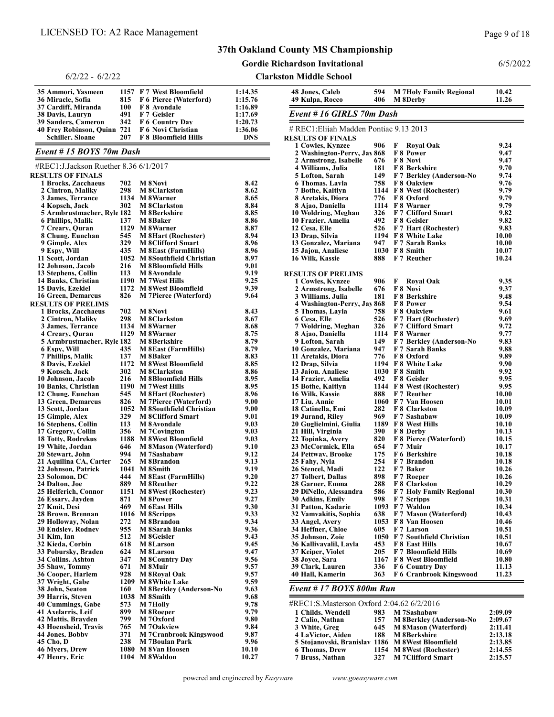35 Ammori, Yasmeen 1157 F 7 West Bloomfield 1:14.35<br>36 Miracle, Sofia 815 F 6 Pierce (Waterford) 1:15.76

815 F 6 Pierce (Waterford) 1:15.76<br>100 F 8 Avondale 1:16.89

6/2/22 - 6/2/22

#### 37th Oakland County MS Championship

Gordie Richardson Invitational

Page 9 of 18

```
6/5/2022
Clarkston Middle School
        48 Jones, Caleb 594 M 7Holy Family Regional 10.42
        49 Kulpa, Rocco
```
#### 37 Cardiff, Miranda 100 F 8 Avondale 1:16.89<br>38 Davis, Lauryn 491 F 7 Geisler 1:17.69 38 Davis, Lauryn 491 F 7 Geisler 1:17.69<br>39 Sanders, Cameron 342 F 6 Country Day 1:20.73 39 Sanders, Cameron 40 Frey Robinson, Quinn 721 F 6 Novi Christian 1:36.06 Schiller, Sloane 207 F 8 Bloomfield Hills DNS Event # 15 BOYS 70m Dash #REC1:J.Jackson Ruether 8.36 6/1/2017 RESULTS OF FINALS 1 Brocks, Zacchaeus 702 M 8Novi 8.42<br>2 Cintron, Maliky 298 M 8Clarkston 8.62 2 Cintron, Maliky 298 M 8 Clarkston 26.62<br>2 James, Terrance 2 1134 M 8 Warner 2 8.65 3 James, Terrance 1134 M 8 Warner 18.65<br>4 Kopsch, Jack 1902 M 8 Clarkston 18.84 4 Kopsch, Jack 302 M 8Clarkston 8.84<br>5 Armbrustmacher, Ryle 182 M 8Berkshire 8.85 5 Armbrustmacher, Ryle 182 M 8Berkshire 8.85<br>6 Phillins, Malik 1137 M 8Baker 8.86 6 Phillips, Malik 137 M 8Baker<br>7 Creary, Quran 1129 M 8Warne 7 Creary, Quran 1129 M 8Warner 8.87 8 Chung, Eunchan 545 M 8Hart (Rochester) 8.94<br>9 Gimple, Alex 329 M 8 Clifford Smart 8.96 9 Gimple, Alex 329 M 8 Clifford Smart 8.96<br>9 Espy, Will 33 M 8 East (FarmHills) 8.96 9 Espy, Will 435 M 8East (FarmHills) 8.96<br>11 Scott, Jordan 1052 M 8Southfield Christian 8.97 11 Scott, Jordan 1052 M 8Southfield Christian 8.97<br>
12 Johnson, Jacob 216 M 8Bloomfield Hills 9.01 216 M 8Bloomfield Hills 9.01<br>113 M 8Avondale 9.19 13 Stephens, Collin 113 M 8 Avondale 9.19<br>14 Banks, Christian 1190 M 7 West Hills 9.25 14 Banks, Christian 1190 M 7 West Hills 9.25<br>15 Davis, Ezekiel 1172 M 8 West Bloomfield 9.39 15 Davis, Ezekiel 1172 M 8West Bloomfield 9.39<br>16 Green, Demarcus 826 M 7Pierce (Waterford) 9.64 M 7Pierce (Waterford) RESULTS OF PRELIMS 1 Brocks, Zacchaeus 702 M 8Novi 8.43<br>2 Cintron. Maliky 298 M 8Clarkston 8.67 2 Cintron, Maliky 298 M 8 Clarkston 26.67<br>3 James. Terrance 2013 1134 M 8 Warner 2008 8.68 3 James, Terrance 1134 M 8 Warner 18.68<br>4 Creary, Quran 1129 M 8 Warner 18.75 4 Creary, Quran 1129 M 8Warner 8.75<br>5 Armbrustmacher, Ryle 182 M 8Berkshire 8.79 5 Armbrustmacher, Ryle 182 M 8Berkshire 8.79<br>135 M 8East (FarmHills) 8.79 M 8.79 435 M 8East (FarmHills) 8.79<br>137 M 8Baker 8.83 7 Phillips, Malik 137 M 8Baker 8.83<br>8 Davis, Ezekiel 1172 M 8West Bloomfield 8.85 1172 M 8West Bloomfield 8.85<br>302 M 8Clarkston 8.86 9 Kopsch, Jack 302 M 8Clarkston 10 Johnson, Jacob 216 M 8Bloomfield Hills 8.95 10 Banks, Christian 1190 M 7 West Hills 8.95<br>12 Chung, Eunchan 545 M 8 Hart (Rochester) 8.96 12 Chung, Eunchan 545 M 8Hart (Rochester) 8.96 13 Green, Demarcus 826 M 7 Pierce (Waterford) 9.00<br>13 Scott, Jordan 1052 M 8 Southfield Christian 9.00 13 Scott, Jordan 1052 M 8Southfield Christian 9.00<br>15 Gimple, Alex 329 M 8Clifford Smart 9.01 113 M 8Clifford Smart 9.01<br>113 M 8Avondale 9.03 16 Stephens, Collin 113 M 8 Avondale 9.03<br>17 Gregory, Collin 356 M 7 Covington 9.03 17 Gregory, Collin 356 M 7 Covington 9.03<br>18 Totty, Rodrekus 1188 M 8 West Bloomfield 9.03 18 Totty, Rodrekus 1188 M 8West Bloomfield 9.03<br>19 White, Jordan 646 M 8Mason (Waterford) 9.10 19 Maxterford 646 M 8Mason (Waterford) 9.10<br>112 M 7Sashabaw 9.12 20 Stewart, John 994 M 7Sashabaw 9.12<br>21 Aquilina CA, Carter 265 M 8Brandon 9.13 21 Aquilina CA, Carter 265 M 8Brandon 9.13<br>22 Johnson, Patrick 1041 M 8Smith 9.19 22 Johnson, Patrick 1041 M 8Smith 9.19<br>23 Solomon, DC 444 M 8East (FarmHills) 9.20 **M** 8East (FarmHills) 24 Dalton, Joe 889 M 8Reuther 9.22<br>25 Helferich, Connor 1151 M 8West (Rochester) 9.23 125 M 8 West (Rochester) 9.23<br>
27 M 8Power 26 Essary, Jayden 871 M 8Power 9.27<br>27 Kmit, Desi 869 M 6East Hills 9.30 27 1016 M 6East Hills 9.30<br>1016 M 8Scripps 9.33 28 Brown, Brennan 1016 M 8Scripps 9.33<br>
29 Holloway, Nolan 272 M 8Brandon 9.34 29 Holloway, Nolan 272<br>30 Endslev, Rodnev 955 30 Endsley, Rodney 955 M 8Sarah Banks 9.36<br>31 Kim. Ian 9.43 M 8Geisler 9.43 31 Kim, Ian 512 M 8Geisler 9.43<br>32 Kieda, Corbin 618 M 8Larson 9.45 32 Kieda, Corbin 618 M 8Larson 9.45<br>33 Pobursky, Braden 624 M 8Larson 9.47 33 Pobursky, Braden 624 M 8Larson 9.47<br>34 Collins, Ashton 347 M 8Country Day 9.56 34 Collins, Ashton 347 M 8Country Day 9.56<br>35 Shaw, Tommy 671 M 8Muir 9.57 35 Shaw, Tommy 671 M 8 Muir 9.57<br>36 Cooper, Harlem 928 M 8 Royal Oak 9.57 36 Cooper, Harlem 928 M 8Royal Oak 9.57 37 Wright, Gabe 38 John, Seaton 160 M 8Berkley (Anderson-No 9.63<br>39 Harris, Steven 1038 M 8Smith 9.68 39 Harris, Steven 1038 M 8Smith 9.68<br>
40 Cummings, Gabe 573 M 7Holly 9.78 40 Cummings, Gabe 573 M 7Holly 9.78<br>41 Axelarris, Leif 899 M 8Roeper 9.79 41 Axelarris, Leif 899 M 8Roeper 9.79<br>
42 Mattis, Bravden 799 M 7Oxford 9.80 42 Mattis, Brayden 799 M 7Oxford 9.80<br>
43 Hoensheid, Travis 765 M 7Oakview 9.84 43 Hoensheid, Travis 765 M 7 Oakview<br>44 Jones, Bobby 371 M 7 Cranbro 44 Jones, Bobby 371 M 7Cranbrook Kingswood 9.87 45 Cho, D 238 M 7Boulan Park 9.96<br>46 Myers, Drew 1080 M 8Van Hoosen 10.10 1080 M 8Van Hoosen 10.10<br>1104 M 8Waldon 10.27 47 Henry, Eric

| Event # 16 GIRLS 70m Dash                                                                                                                                                                                                                 |      |                                                                                                                                                                                                                                                            |              |
|-------------------------------------------------------------------------------------------------------------------------------------------------------------------------------------------------------------------------------------------|------|------------------------------------------------------------------------------------------------------------------------------------------------------------------------------------------------------------------------------------------------------------|--------------|
| # REC1: Elijah Madden Pontiac 9.13 2013                                                                                                                                                                                                   |      |                                                                                                                                                                                                                                                            |              |
| <b>RESULTS OF FINALS</b>                                                                                                                                                                                                                  |      |                                                                                                                                                                                                                                                            |              |
| 1 Cowles, Kynzee                                                                                                                                                                                                                          |      | 906 F Royal Oak<br>1 Cowles, Kvnzee 906 F Roval Oak<br>2 Washington-Perry, Jay 868 F 8 Power<br>2 Armstrong, Isabelle 676 F 8 Novi<br>4 Williams, Julia 181 F 8 Berkshire<br>5 Lofton, Sarah 149 F 7 Berkley (Anderson-No<br>6 Thomas, Lavla 758 F 8 Oakvi | 9.24         |
|                                                                                                                                                                                                                                           |      |                                                                                                                                                                                                                                                            | 9.47         |
|                                                                                                                                                                                                                                           |      |                                                                                                                                                                                                                                                            | 9.47         |
|                                                                                                                                                                                                                                           |      |                                                                                                                                                                                                                                                            | 9.70         |
|                                                                                                                                                                                                                                           |      |                                                                                                                                                                                                                                                            | 9.74         |
|                                                                                                                                                                                                                                           |      |                                                                                                                                                                                                                                                            | 9.76         |
|                                                                                                                                                                                                                                           |      |                                                                                                                                                                                                                                                            | 9.79         |
|                                                                                                                                                                                                                                           |      |                                                                                                                                                                                                                                                            | 9.79         |
|                                                                                                                                                                                                                                           |      |                                                                                                                                                                                                                                                            | 9.79         |
|                                                                                                                                                                                                                                           |      |                                                                                                                                                                                                                                                            | 9.82         |
|                                                                                                                                                                                                                                           |      |                                                                                                                                                                                                                                                            | 9.82         |
|                                                                                                                                                                                                                                           |      |                                                                                                                                                                                                                                                            | 9.83         |
|                                                                                                                                                                                                                                           |      |                                                                                                                                                                                                                                                            | <b>10.00</b> |
|                                                                                                                                                                                                                                           |      |                                                                                                                                                                                                                                                            | <b>10.00</b> |
|                                                                                                                                                                                                                                           |      |                                                                                                                                                                                                                                                            | 10.07        |
| 16 Wilk, Kassie                                                                                                                                                                                                                           |      | 888 F 7 Reuther                                                                                                                                                                                                                                            | 10.24        |
|                                                                                                                                                                                                                                           |      |                                                                                                                                                                                                                                                            |              |
|                                                                                                                                                                                                                                           |      |                                                                                                                                                                                                                                                            |              |
| <b>RESULTS OF PRELIMS<br/>1 Cowles, Kynzee 906 F Royal Oak</b>                                                                                                                                                                            |      |                                                                                                                                                                                                                                                            | 9.35         |
|                                                                                                                                                                                                                                           |      |                                                                                                                                                                                                                                                            |              |
|                                                                                                                                                                                                                                           |      |                                                                                                                                                                                                                                                            | 9.37         |
| 1 Covince Novince 18 Novince 2 Armstrong, Isabelle 1876 F 8 Novince 3 Williams, Julia 181 F 8 Berkshire<br>4 Washington-Perry, Jay 868 F 8 Power                                                                                          |      |                                                                                                                                                                                                                                                            | 9.48         |
|                                                                                                                                                                                                                                           |      | 758 F 8 Oakview                                                                                                                                                                                                                                            | 9.54         |
| 5 Thomas, Layla                                                                                                                                                                                                                           |      |                                                                                                                                                                                                                                                            | 9.61         |
|                                                                                                                                                                                                                                           |      | 6 Cesa, Elle<br>7 Woldring, Meghan 326 F 7 Clifford Smart<br>8 Atize D. M. Meghan 326 F 7 Clifford Smart                                                                                                                                                   | 9.69         |
|                                                                                                                                                                                                                                           |      |                                                                                                                                                                                                                                                            | 9.72         |
| 8 Ajao, Daniella                                                                                                                                                                                                                          |      | 1114 F 8 Warner                                                                                                                                                                                                                                            | 9.77         |
|                                                                                                                                                                                                                                           |      |                                                                                                                                                                                                                                                            | 9.83         |
|                                                                                                                                                                                                                                           |      | 8 Aiao, Daniella<br>9 Lofton, Sarah 1114 F8 Warner<br>9 Loftonzalez, Mariana 1947 F7 Berkley (Anderson-No<br>11 Aretakis, Diora<br>12 Drap, Silvia 1194 F8 White Lake<br>13 Jaiou, Analiese 1030 F8 Smith                                                  | 9.88         |
|                                                                                                                                                                                                                                           |      |                                                                                                                                                                                                                                                            | 9.89         |
|                                                                                                                                                                                                                                           |      |                                                                                                                                                                                                                                                            | 9.90         |
| 13 Jajou, Analiese<br>14 Frazier, Amelia $492$ F 8 Geisler<br>15 Bothe, Kaitlyn 1144 F 8 West (Rochester)<br>16 Wilk, Kassie 888 F 7 Reuther<br>17 Liu, Annie 1060 F 7 Van Hoosen<br>18 Catinella, Emi 282 F 8 Clarkston<br>19 Jurand, Ri |      |                                                                                                                                                                                                                                                            | 9.92         |
|                                                                                                                                                                                                                                           |      |                                                                                                                                                                                                                                                            | 9.95         |
|                                                                                                                                                                                                                                           |      |                                                                                                                                                                                                                                                            | 9.95         |
|                                                                                                                                                                                                                                           |      |                                                                                                                                                                                                                                                            | 10.00        |
|                                                                                                                                                                                                                                           |      |                                                                                                                                                                                                                                                            | 10.01        |
|                                                                                                                                                                                                                                           |      |                                                                                                                                                                                                                                                            | 10.09        |
|                                                                                                                                                                                                                                           |      |                                                                                                                                                                                                                                                            | 10.09        |
|                                                                                                                                                                                                                                           |      |                                                                                                                                                                                                                                                            | <b>10.10</b> |
|                                                                                                                                                                                                                                           |      |                                                                                                                                                                                                                                                            | 10.13        |
| 22 Topinka, Avery                                                                                                                                                                                                                         |      | 820 F 8 Pierce (Waterford)                                                                                                                                                                                                                                 | 10.15        |
| 23 McCormick, Ella                                                                                                                                                                                                                        |      | 654 F 7 Muir                                                                                                                                                                                                                                               | 10.17        |
| 24 Pettway, Brooke                                                                                                                                                                                                                        |      | 175 F 6 Berkshire<br>254 F 7 Brandon<br>122 F 7 Baker<br>898 F 7 Roeper                                                                                                                                                                                    | 10.18        |
| 25 Fahv, Nyla                                                                                                                                                                                                                             |      |                                                                                                                                                                                                                                                            | 10.18        |
| 26 Stencel, Madi                                                                                                                                                                                                                          |      |                                                                                                                                                                                                                                                            | 10.26        |
| 27 Tolbert, Dallas                                                                                                                                                                                                                        |      |                                                                                                                                                                                                                                                            | 10.26        |
|                                                                                                                                                                                                                                           |      | 28 Garner, Emma<br>28 Garner, Emma<br>29 DiNello, Alessandra 586 F 7 Holy Family Regional<br>30 Adkins, Emily 998 F 7 Scripps                                                                                                                              | 10.29        |
|                                                                                                                                                                                                                                           |      |                                                                                                                                                                                                                                                            | 10.30        |
|                                                                                                                                                                                                                                           |      |                                                                                                                                                                                                                                                            | 10.31        |
| 31 Patton, Kadarie                                                                                                                                                                                                                        |      | 1093 F 7 Waldon                                                                                                                                                                                                                                            | 10.34        |
| 32 Vamvakitis, Sophia                                                                                                                                                                                                                     | 638  | F 7 Mason (Waterford)                                                                                                                                                                                                                                      | 10.43        |
| 33 Angel, Avery                                                                                                                                                                                                                           | 1053 | F 8 Van Hoosen                                                                                                                                                                                                                                             | 10.46        |
| 34 Heffner, Chloe                                                                                                                                                                                                                         | 605  | F 7 Larson                                                                                                                                                                                                                                                 | 10.51        |
| 35 Johnson, Zoie                                                                                                                                                                                                                          | 1050 | F 7 Southfield Christian                                                                                                                                                                                                                                   | 10.51        |
| 36 Kallivavalil, Lavla                                                                                                                                                                                                                    | 453  | <b>F 8 East Hills</b>                                                                                                                                                                                                                                      | 10.67        |
| 37 Keiper, Violet                                                                                                                                                                                                                         | 205  | <b>F</b> 7 Bloomfield Hills                                                                                                                                                                                                                                | 10.69        |
| <b>38 Jovce, Sara</b>                                                                                                                                                                                                                     | 1167 | <b>F8 West Bloomfield</b>                                                                                                                                                                                                                                  | 10.80        |
| 39 Clark, Lauren                                                                                                                                                                                                                          | 336  | <b>F6 Country Day</b>                                                                                                                                                                                                                                      | 11.13        |
| 40 Hall, Kamerin                                                                                                                                                                                                                          | 363  | <b>F6 Cranbrook Kingswood</b>                                                                                                                                                                                                                              | 11.23        |
|                                                                                                                                                                                                                                           |      |                                                                                                                                                                                                                                                            |              |
| Event #17 BOYS 800m Run                                                                                                                                                                                                                   |      |                                                                                                                                                                                                                                                            |              |

| #REC1:S.Masterson Oxford 2:04.62 6/2/2016         |     |                                |         |  |  |  |  |
|---------------------------------------------------|-----|--------------------------------|---------|--|--|--|--|
| 1 Childs. Wendell                                 | 983 | M 7Sashabaw                    | 2:09.09 |  |  |  |  |
| 2 Calio, Nathan                                   | 157 | <b>M 8Berkley (Anderson-No</b> | 2:09.67 |  |  |  |  |
| 3 White, Greg                                     | 645 | <b>M</b> 8Mason (Waterford)    | 2:11.41 |  |  |  |  |
| 4 LaVictor, Aiden                                 | 188 | <b>M</b> 8Berkshire            | 2:13.18 |  |  |  |  |
| 5 Stoianovski, Branislav 1186 M 8 West Bloomfield |     |                                | 2:13.85 |  |  |  |  |
| <b>6 Thomas, Drew</b>                             |     | 1154 M 8West (Rochester)       | 2:14.55 |  |  |  |  |
| 7 Bruss, Nathan                                   | 327 | <b>M</b> 7 Clifford Smart      | 2:15.57 |  |  |  |  |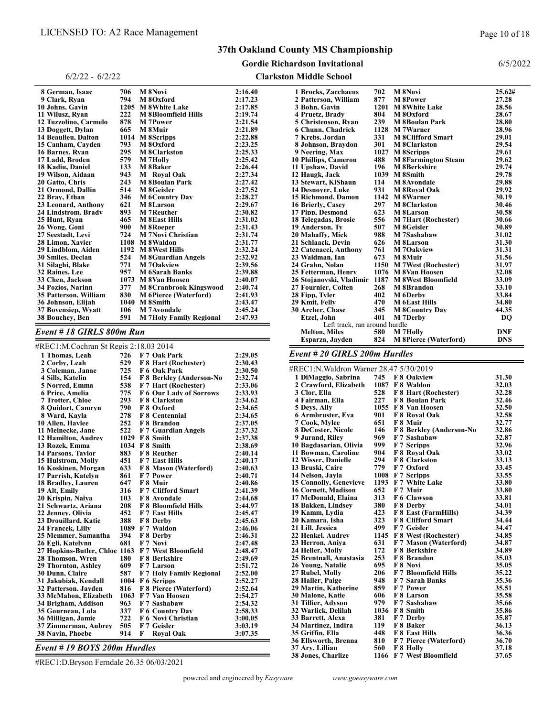#### Gordie Richardson Invitational

### Clarkston Middle School

| 8 German, Isaac       | 706  | M 8Novi                        | 2:16.40 |
|-----------------------|------|--------------------------------|---------|
| 9 Clark, Ryan         | 794  | M 8Oxford                      | 2:17.23 |
| 10 Johns. Gavin       | 1205 | <b>M</b> 8White Lake           | 2:17.85 |
| 11 Wilusz, Ryan       | 222  | <b>M</b> 8Bloomfield Hills     | 2:19.74 |
| 12 Tuzzolino. Carmelo | 878  | <b>M</b> 7Power                | 2:21.54 |
| 13 Doggett, Dylan     | 665  | M 8Muir                        | 2:21.89 |
| 14 Beaulieu, Dalton   | 1014 | <b>M</b> 8Scripps              | 2:22.88 |
| 15 Canham, Cavden     | 793  | M 8Oxford                      | 2:23.25 |
| 16 Barnes. Rvan       | 295  | <b>M</b> 8Clarkston            | 2:25.33 |
| 17 Ladd. Broden       | 579  | M 7Holly                       | 2:25.42 |
| 18 Kadiu. Daniel      | 133  | M 8Baker                       | 2:26.44 |
| 19 Wilson, Aidaan     | 943  | <b>M</b> Roval Oak             | 2:27.34 |
| 20 Gatto, Chris       | 243  | <b>M</b> 8Boulan Park          | 2:27.42 |
| 21 Ormond, Dallin     | 514  | M 8Geisler                     | 2:27.52 |
| 22 Bray, Ethan        | 346  | <b>M</b> 6Country Day          | 2:28.27 |
| 23 Leonard. Anthonv   | 621  | <b>M</b> 8Larson               | 2:29.67 |
| 24 Lindstrom, Brady   | 893  | <b>M</b> 7Reuther              | 2:30.82 |
| 25 Hunt. Rvan         | 465  | <b>M 8East Hills</b>           | 2:31.02 |
| 26 Wong, Goni         | 900  | <b>M</b> 8Roeper               | 2:31.43 |
| 27 Seestadt, Levi     | 724  | <b>M</b> 7Novi Christian       | 2:31.74 |
| 28 Limon, Xavier      | 1108 | <b>M</b> 8Waldon               | 2:31.77 |
| 29 Lindblom, Aiden    | 1192 | <b>M 8West Hills</b>           | 2:32.24 |
| 30 Smiles, Declan     | 524  | <b>M 8Guardian Angels</b>      | 2:32.92 |
| 31 Silaghi, Blake     | 771  | M 70akview                     | 2:39.56 |
| 32 Raines. Lee        | 957  | <b>M</b> 6Sarah Banks          | 2:39.88 |
| 33 Chen, Jackson      | 1073 | <b>M 8Van Hoosen</b>           | 2:40.07 |
| 34 Pozios. Narinn     | 377  | <b>M 8Cranbrook Kingswood</b>  | 2:40.74 |
| 35 Patterson, William | 830  | <b>M</b> 6Pierce (Waterford)   | 2:41.93 |
| 36 Johnson, Elijah    | 1040 | <b>M</b> 8Smith                | 2:43.47 |
| 37 Bovensiep, Wyatt   | 106  | <b>M</b> 7 Avondale            | 2:45.24 |
| 38 Bouchev. Ben       | 591  | <b>M</b> 7Holv Family Regional | 2:47.93 |
|                       |      |                                |         |

#### Event # 18 GIRLS 800m Run

| #REC1:M.Cochran St Regis 2:18.03 2014 |      |   |                                 |         |  |
|---------------------------------------|------|---|---------------------------------|---------|--|
| 1 Thomas, Leah                        | 726  |   | F 7 Oak Park                    | 2:29.05 |  |
| 2 Corby, Leah                         | 529  |   | F 8 Hart (Rochester)            | 2:30.43 |  |
| 3 Coleman, Janae                      | 725  |   | F 6 Oak Park                    | 2:30.50 |  |
| 4 Sills. Katelin                      | 154  |   | <b>F 8 Berkley (Anderson-No</b> | 2:32.74 |  |
| 5 Norred, Emma                        | 538  |   | F 7 Hart (Rochester)            | 2:33.06 |  |
| 6 Price. Amelia                       | 775  |   | <b>F6 Our Lady of Sorrows</b>   | 2:33.93 |  |
| 7 Trotter, Chloe                      | 293  |   | <b>F8</b> Clarkston             | 2:34.62 |  |
| 8 Quidort, Camryn                     | 790  |   | F 8 Oxford                      | 2:34.65 |  |
| 8 Ward, Kayla                         | 278  |   | F 8 Centennial                  | 2:34.65 |  |
| 10 Allen, Haylee                      | 252  |   | F 8 Brandon                     | 2:37.05 |  |
| 11 Meinecke, Jane                     | 522  |   | <b>F7 Guardian Angels</b>       | 2:37.32 |  |
| 12 Hamilton, Audrey                   |      |   | 1029 F 8 Smith                  | 2:37.38 |  |
| 13 Rozek, Emma                        |      |   | 1034 F 8 Smith                  | 2:38.69 |  |
| 14 Parsons, Taylor                    | 883  |   | <b>F8</b> Reuther               | 2:40.14 |  |
| <b>15 Hulstrom, Molly</b>             | 451  |   | F 7 East Hills                  | 2:40.17 |  |
| 16 Koskinen, Morgan                   | 633  |   | F 8 Mason (Waterford)           | 2:40.63 |  |
| 17 Parrish, Katelyn                   | 861  |   | F 7 Power                       | 2:40.71 |  |
| 18 Bradley, Lauren                    | 647  |   | F 8 Muir                        | 2:40.86 |  |
| 19 Alt, Emily                         | 316  |   | <b>F7 Clifford Smart</b>        | 2:41.39 |  |
| 20 Krispin, Naiva                     | 103  |   | F 8 Avondale                    | 2:44.68 |  |
| 21 Schwartz, Ariana                   | 208  |   | <b>F8 Bloomfield Hills</b>      | 2:44.97 |  |
| 22 Jenney, Olivia                     | 452  |   | <b>F7</b> East Hills            | 2:45.47 |  |
| 23 Drouillard, Katie                  | 388  |   | F 8 Derby                       | 2:45.63 |  |
| 24 Francek, Lilly                     | 1089 |   | F 7 Waldon                      | 2:46.06 |  |
| 25 Memmer, Samantha                   | 394  |   | F 8 Derby                       | 2:46.31 |  |
| 26 Egli, Katelynn                     | 681  |   | F 7 Novi                        | 2:47.48 |  |
| 27 Hopkins-Butler, Chloe 1163         |      |   | F 7 West Bloomfield             | 2:48.47 |  |
| 28 Thomson, Wren                      | 180  |   | F 8 Berkshire                   | 2:49.69 |  |
| 29 Thornton, Ashlev                   | 609  |   | F 7 Larson                      | 2:51.72 |  |
| 30 Dunn, Claire                       | 587  |   | <b>F7 Holy Family Regional</b>  | 2:52.00 |  |
| 31 Jakubiak, Kendall                  | 1004 |   | F 6 Scripps                     | 2:52.27 |  |
| 32 Patterson, Jayden                  | 816  |   | <b>F 8 Pierce (Waterford)</b>   | 2:52.64 |  |
| 33 McMahon, Elizabeth                 | 1063 |   | F 7 Van Hoosen                  | 2:54.27 |  |
| 34 Brigham, Addison                   | 963  |   | F 7 Sashabaw                    | 2:54.32 |  |
| 35 Gourneau, Lola                     | 337  |   | <b>F6</b> Country Day           | 2:58.33 |  |
| 36 Milligan, Jamie                    | 722  |   | F 6 Novi Christian              | 3:00.05 |  |
| 37 Zimmerman, Aubrey                  | 505  |   | F 7 Geisler                     | 3:03.19 |  |
| 38 Navin, Phoebe                      | 914  | F | <b>Roval Oak</b>                | 3:07.35 |  |

Event # 19 BOYS 200m Hurdles

#REC1:D.Bryson Ferndale 26.35 06/03/2021

| 1 Brocks, Zacchaeus           | 702  | M 8Novi                      | 25.62#         |
|-------------------------------|------|------------------------------|----------------|
| 2 Patterson, William          | 877  | <b>M</b> 8Power              | 27.28          |
| 3 Bohn, Gavin                 |      | 1201 M 8White Lake           | 28.56          |
| 4 Pruetz, Brady               | 804  | M 8Oxford                    | 28.67          |
| 5 Christenson, Rvan           | 239  | <b>M</b> 8Boulan Park        | 28.80          |
| 6 Chunn, Chadrick             | 1128 | <b>M</b> 7Warner             | 28.96          |
| 7 Krebs. Jordan               | 331  | <b>M</b> 8Clifford Smart     | 29.01          |
| 8 Johnson, Braydon            | 301  | <b>M</b> 8Clarkston          | 29.54          |
| 9 Neering, Max                | 1027 | <b>M</b> 8Scripps            | 29.61          |
| <b>10 Phillips, Cameron</b>   | 488  | <b>M</b> 8Farmington Steam   | 29.62          |
| 11 Upshaw, David              | 196  | <b>M</b> 8Berkshire          | 29.74          |
| 12 Haugk, Jack                | 1039 | <b>M</b> 8Smith              | 29.78          |
| 13 Stewart, KiShaun           | 114  | M 8 Avondale                 | 29.88          |
| 14 Desnover, Luke             | 931  | M 8 Royal Oak                | 29.92          |
| 15 Richmond, Damon            | 1142 | <b>M</b> 8Warner             | 30.19          |
| 16 Brierly, Casev             | 297  | <b>M</b> 8Clarkston          | 30.46          |
| <b>17 Pipp, Desmond</b>       | 623  | <b>M</b> 8Larson             | 30.58          |
| 18 Telegadas, Brosie          | 556  | <b>M</b> 7Hart (Rochester)   | 30.66          |
| 19 Anderson. Tv               | 507  | M 8 Geisler                  | 30.89          |
| 20 Mahaffy, Mick              | 988  | M 7Sashabaw                  | 31.02          |
| 21 Schlaack, Devin            | 626  | M 8Larson                    | 31.30          |
| 22 Catenacci, Anthony         | 761  | M 70akview                   | 31.31          |
| 23 Waldman, Ian               | 673  | M 8Muir                      | 31.56          |
| 24 Grahn, Nolan               | 1150 | <b>M</b> 7West (Rochester)   | 31.97          |
| 25 Fetterman, Henry           |      | 1076 M 8Van Hoosen           | 32.08          |
| 26 Stoianovski. Vladimir      | 1187 | <b>M 8West Bloomfield</b>    | 33.09          |
| 27 Fournier, Colten           | 268  | <b>M</b> 8Brandon            | 33.10          |
| 28 Fipp, Tyler                | 402  | M 6Derby                     | 33.84          |
| 29 Kmit, Felly                | 470  | <b>M</b> 6East Hills         | 34.80          |
| 30 Archer, Chase              | 345  | <b>M</b> 8Country Day        | 44.35          |
| Etzel, John                   | 401  | M 7Derby                     | D <sub>O</sub> |
| Left track, ran around hurdle |      |                              |                |
| <b>Melton, Miles</b>          | 580  | M 7Holly                     | <b>DNF</b>     |
| Esparza, Javden               | 824  | <b>M</b> 8Pierce (Waterford) | <b>DNS</b>     |

#### Event # 20 GIRLS 200m Hurdles

| #REC1:N. Waldron Warner 28.47 5/30/2019 |      |                                                                     |       |  |  |
|-----------------------------------------|------|---------------------------------------------------------------------|-------|--|--|
| 1 DiMaggio, Sabrina                     |      | 745 F8 Oakview                                                      | 31.30 |  |  |
| 2 Crawford, Elizabeth                   |      | 1087 F 8 Waldon                                                     | 32.03 |  |  |
| 3 Clor. Ella                            | 528  | F 8 Hart (Rochester)                                                | 32.28 |  |  |
| 4 Fairman. Ella                         | 227  | F 8 Boulan Park                                                     | 32.46 |  |  |
| <b>5 Devs. Ally</b>                     |      | 1055 F 8 Van Hoosen                                                 | 32.50 |  |  |
| 6 Armbruster, Eva                       | 901  | <b>F8</b> Roval Oak                                                 | 32.58 |  |  |
| 7 Cook. Mylee                           | 651  | F 8 Muir                                                            | 32.77 |  |  |
| 8 DeCoster, Nicole                      |      | 146 F 8 Berkley (Anderson-No                                        | 32.86 |  |  |
| 9 Jurand, Rilev                         | 969  | F 7 Sashabaw                                                        | 32.87 |  |  |
| 10 Bagdasarian, Olivia                  | 999  | F 7 Serinns                                                         | 32.96 |  |  |
| 11 Bowman, Caroline                     | 904  | F 8 Royal Oak                                                       | 33.02 |  |  |
| 12 Wisser, Danielle                     | 294  | <b>F8</b> Clarkston                                                 | 33.13 |  |  |
| 13 Bruski, Caire                        | 779  | F 7 Oxford                                                          | 33.45 |  |  |
| 14 Nelson, Jayla                        |      | 1008 F 7 Scripps                                                    | 33.55 |  |  |
| <b>15 Connolly, Genevieve</b>           | 1193 | <b>F7</b> White Lake                                                | 33.80 |  |  |
| <b>16 Cornett, Madison</b>              | 652  | F 7 Muir                                                            | 33.80 |  |  |
| 17 McDonald, Elaina                     | 313  | F 6 Clawson                                                         | 33.81 |  |  |
| <b>18 Bakken, Lindsey</b>               |      |                                                                     | 34.01 |  |  |
| 19 Kamm, Lydia                          |      | 380 F 8 Derby<br>423 F 8 East (FarmHills)<br>323 F 8 Clifford Smart | 34.39 |  |  |
| 20 Kamara, Isha                         | 323  | <b>F8</b> Clifford Smart                                            | 34.44 |  |  |
| 21 Lill, Jessica                        | 499  | F 7 Geisler                                                         | 34.47 |  |  |
| 22 Henkel, Audrey                       |      | 1145 F 8 West (Rochester)                                           | 34.85 |  |  |
| 23 Herron, Aniva                        | 631  | F 7 Mason (Waterford)                                               | 34.87 |  |  |
| 24 Heller, Molly                        | 172  | <b>F8</b> Berkshire                                                 | 34.89 |  |  |
| 25 Brentnall, Anastasia                 | 253  | F 8 Brandon                                                         | 35.03 |  |  |
| 26 Young, Natalie                       | 695  | F 8 Novi                                                            | 35.05 |  |  |
| 27 Rubel, Molly                         | 206  | <b>F7 Bloomfield Hills</b>                                          | 35.22 |  |  |
| 28 Haller, Paige                        | 948  | F 7 Sarah Banks                                                     | 35.36 |  |  |
| 29 Martin, Katherine                    | 859  | F 7 Power                                                           | 35.51 |  |  |
| <b>30 Malone, Katie</b>                 | 606  | F 8 Larson                                                          | 35.58 |  |  |
| 31 Tillier, Advson                      | 979  | F 7 Sashabaw                                                        | 35.66 |  |  |
| 32 Warlick, Delilah                     |      | 1036 F 8 Smith                                                      | 35.86 |  |  |
| 33 Barrett, Alexa                       | 381  | F 7 Derby                                                           | 35.87 |  |  |
| 34 Martinez, Indira                     | 119  | F 8 Baker                                                           | 36.13 |  |  |
| 35 Griffin, Ella                        |      | 448 F 8 East Hills                                                  | 36.36 |  |  |
| 36 Ellsworth, Brenna                    |      | 810 F 7 Pierce (Waterford)                                          | 36.70 |  |  |
| 37 Ary, Lillian                         | 560  | F 8 Holly                                                           | 37.18 |  |  |
| <b>38 Jones, Charlize</b>               | 1166 | F 7 West Bloomfield                                                 | 37.65 |  |  |

Page 10 of 18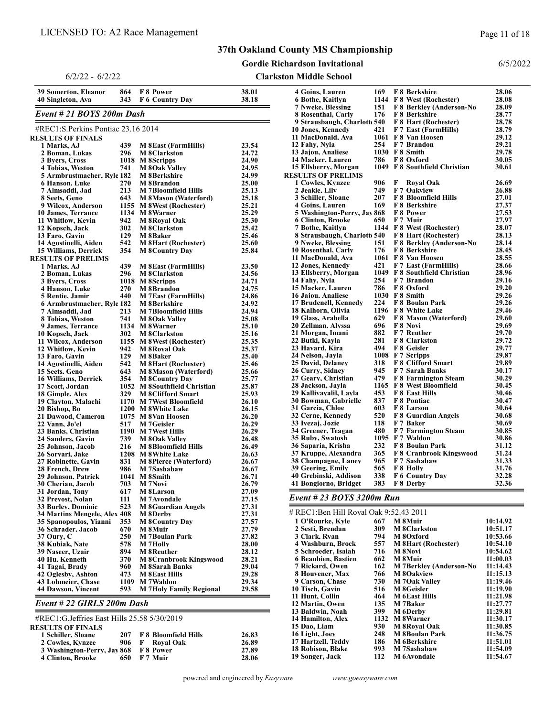Somerton, Eleanor 864 F 8 Power 38.01

## 37th Oakland County MS Championship

Gordie Richardson Invitational

#### 6/5/2022

#### 6/2/22 - 6/2/22

## Clarkston Middle School

| 40 Singleton, Ava                           | 343        | F 6 Country Day                                        | 38.18          |
|---------------------------------------------|------------|--------------------------------------------------------|----------------|
| Event # 21 BOYS 200m Dash                   |            |                                                        |                |
| #REC1:S.Perkins Pontiac 23.16 2014          |            |                                                        |                |
| <b>RESULTS OF FINALS</b>                    |            |                                                        |                |
| 1 Marks, AJ                                 | 439        | <b>M</b> 8East (FarmHills)                             | 23.54          |
| 2 Boman, Lukas                              | 296        | <b>M</b> 8Clarkston                                    | 24.72          |
| 3 Byers, Cross<br>4 Tobias, Weston          | 741        | 1018 M 8Scripps<br><b>M 80ak Valley</b>                | 24.90<br>24.95 |
| 5 Armbrustmacher, Ryle 182                  |            | M 8Berkshire                                           | 24.99          |
| 6 Hanson, Luke                              | 270        | M 8Brandon                                             | 25.00          |
| 7 Almsaddi, Jad                             | 213        | <b>M</b> 7Bloomfield Hills                             | 25.13          |
| 8 Seets. Geno                               | 643        | <b>M</b> 8Mason (Waterford)                            | 25.18          |
| 9 Wilcox, Anderson                          |            | 1155 M 8West (Rochester)                               | 25.21          |
| 10 James, Terrance<br>11 Whitlow, Kevin     | 942        | 1134 M 8Warner<br><b>M</b> 8Roval Oak                  | 25.29<br>25.30 |
| 12 Kopsch, Jack                             | 302        | <b>M</b> 8Clarkston                                    | 25.42          |
| 13 Faro, Gavin                              | 129        | M 8Baker                                               | 25.46          |
| 14 Agostinelli, Aiden                       | 542        | <b>M</b> 8Hart (Rochester)                             | 25.60          |
| 15 Williams, Derrick                        | 354        | <b>M</b> 8Country Day                                  | 25.84          |
| <b>RESULTS OF PRELIMS</b>                   |            |                                                        |                |
| 1 Marks, AJ                                 | 439        | <b>M</b> 8East (FarmHills)                             | 23.50          |
| 2 Boman, Lukas                              | 296        | <b>M</b> 8Clarkston                                    | 24.56          |
| 3 Byers, Cross<br>4 Hanson, Luke            | 270        | 1018 M 8Scripps                                        | 24.71<br>24.75 |
| 5 Rentie, Jamir                             | 440        | M 8Brandon<br><b>M</b> 7East (FarmHills)               | 24.86          |
| 6 Armbrustmacher, Ryle 182                  |            | M 8Berkshire                                           | 24.92          |
| 7 Almsaddi, Jad                             | 213        | <b>M</b> 7Bloomfield Hills                             | 24.94          |
| 8 Tobias, Weston                            | 741        | <b>M 80ak Valley</b>                                   | 25.08          |
| 9 James, Terrance                           |            | 1134 M 8Warner                                         | 25.10          |
| 10 Kopsch, Jack                             | 302        | <b>M</b> 8Clarkston                                    | 25.16          |
| 11 Wilcox, Anderson                         |            | 1155 M 8West (Rochester)                               | 25.35          |
| 12 Whitlow, Kevin                           | 942        | <b>M</b> 8Roval Oak                                    | 25.37          |
| 13 Faro, Gavin<br>14 Agostinelli, Aiden     | 129<br>542 | M 8Baker<br><b>M 8Hart (Rochester)</b>                 | 25.40<br>25.46 |
| 15 Seets, Geno                              | 643        | <b>M</b> 8Mason (Waterford)                            | 25.66          |
| 16 Williams, Derrick                        | 354        | <b>M</b> 8Country Day                                  | 25.77          |
| 17 Scott, Jordan                            |            | 1052 M 8Southfield Christian                           | 25.87          |
| 18 Gimple, Alex                             | 329        | <b>M</b> 8Clifford Smart                               | 25.93          |
| 19 Clayton, Malachi                         |            | 1170 M 7 West Bloomfield                               | 26.10          |
| 20 Bishop, Bo                               |            | 1200 M 8White Lake                                     | 26.15          |
| 21 Dawood, Cameron                          |            | 1075 M 8Van Hoosen                                     | 26.20          |
| 22 Vann, Jo'el<br>23 Banks, Christian       | 517        | M 7Geisler<br>1190 M 7West Hills                       | 26.29<br>26.29 |
| 24 Sanders, Gavin                           | 739        | <b>M 80ak Valley</b>                                   | 26.48          |
| 25 Johnson, Jacob                           | 216        | <b>M</b> 8Bloomfield Hills                             | 26.49          |
| 26 Sorvari, Jake                            |            | 1208 M 8White Lake                                     | 26.63          |
| 27 Robinette, Gavin                         | 831        | <b>M</b> 8Pierce (Waterford)                           | 26.67          |
| 28 French, Drew                             | 986        | M 7Sashabaw                                            | 26.67          |
| 29 Johnson, Patrick                         |            | 1041 M 8Smith                                          | 26.71          |
| 30 Cherian, Jacob                           | 703        | M 7Novi                                                | 26.79          |
| 31 Jordan, Tony<br><b>32 Prevost, Nolan</b> | 617<br>111 | M 8Larson<br><b>M</b> 7Avondale                        | 27.09<br>27.15 |
| 33 Burley, Dominic                          | 523        | <b>M 8Guardian Angels</b>                              | 27.31          |
| 34 Martins Mengele, Alex 408                |            | M 8Derby                                               | 27.31          |
| 35 Spanopoulos, Yianni                      | 353        | <b>M</b> 8Country Day                                  | 27.57          |
| 36 Schrader, Jacob                          | 670        | M 8Muir                                                | 27.79          |
| 37 Oury, C                                  | 250        | <b>M</b> 7Boulan Park                                  | 27.82          |
| 38 Kubiak, Nate                             | 578        | M 7Holly                                               | 28.00          |
| 39 Naseer, Uzair                            | 894        | <b>M</b> 8Reuther                                      | 28.12          |
| 40 Hu, Kenneth<br>41 Tagai, Brady           | 370<br>960 | <b>M 8Cranbrook Kingswood</b><br><b>M</b> 8Sarah Banks | 28.21<br>29.04 |
| 42 Oglesby, Ashton                          | 473        | <b>M 8East Hills</b>                                   | 29.28          |
| 43 Lohmeier, Chase                          | 1109       | M 7Waldon                                              | 29.34          |
| 44 Dawson, Vincent                          | 593        | <b>M</b> 7Holy Family Regional                         | 29.58          |

#### Event # 22 GIRLS 200m Dash

| #REC1:G.Jeffries East Hills 25.58 5/30/2019 |       |                      |       |
|---------------------------------------------|-------|----------------------|-------|
| RESULTS OF FINALS                           |       |                      |       |
| 1 Schiller, Sloane                          | 207   | F 8 Bloomfield Hills | 26.83 |
| 2 Cowles, Kynzee                            | 906 F | - Roval Oak          | 26.89 |
| 3 Washington-Perry, Jay 868 F 8 Power       |       |                      | 27.89 |
| 4 Clinton, Brooke                           | 650   | F 7 Muir             | 28.06 |

| 4 Goins, Lauren                                                                                                                                                                                                                                  |     |              | 169 F 8 Berkshire                                                                                                                                    | 28.06 |
|--------------------------------------------------------------------------------------------------------------------------------------------------------------------------------------------------------------------------------------------------|-----|--------------|------------------------------------------------------------------------------------------------------------------------------------------------------|-------|
| 4 Guine, Kaitlyn<br>7 Nweke, Blessing<br>8 Nosenthal, Carlyn<br>8 Nosenthal, Carlyn<br>19 Strausbaugh, Charlott 540<br>19 Strausbaugh, Charlott 540<br>19 Strausbaugh, Charlott 540<br>19 Strausbaugh, Charlott 540<br>19 Tenset (FarmHills)<br> |     |              |                                                                                                                                                      | 28.08 |
|                                                                                                                                                                                                                                                  |     |              |                                                                                                                                                      | 28.09 |
|                                                                                                                                                                                                                                                  |     |              |                                                                                                                                                      | 28.77 |
|                                                                                                                                                                                                                                                  |     |              |                                                                                                                                                      | 28.78 |
| 10 Jones, Kennedy                                                                                                                                                                                                                                |     |              |                                                                                                                                                      | 28.79 |
| 11 MacDonald, Ava                                                                                                                                                                                                                                |     |              | $1061$ F 8 Van Hoosen                                                                                                                                | 29.12 |
| 12 Fahy, Nyla                                                                                                                                                                                                                                    |     |              | 254 F 7 Brandon                                                                                                                                      | 29.21 |
| 13 Jajou, Analiese                                                                                                                                                                                                                               |     |              | 1030 F 8 Smith                                                                                                                                       | 29.78 |
| 14 Macker, Lauren                                                                                                                                                                                                                                |     |              | 786 F 8 Oxford                                                                                                                                       | 30.05 |
| 15 Ellsberry, Morgan                                                                                                                                                                                                                             |     |              | 1049 F 8 Southfield Christian                                                                                                                        | 30.61 |
| <b>RESULTS OF PRELIMS</b>                                                                                                                                                                                                                        |     |              |                                                                                                                                                      |       |
| 1 Cowles, Kynzee                                                                                                                                                                                                                                 | 906 | $\mathbf{F}$ | <b>Roval Oak</b>                                                                                                                                     | 26.69 |
|                                                                                                                                                                                                                                                  |     |              |                                                                                                                                                      | 26.88 |
| 1 Cowies, <b>Aylizec</b><br>2007 F 7 Oakview<br>3 Schiller. Sloane<br>4 Goins, Lauren<br>5 Washington-Perry, Jay 868 F 8 Power<br>6 Clinton, Brooke<br>650 F 7 Muir Charlester                                                                   |     |              |                                                                                                                                                      | 27.01 |
|                                                                                                                                                                                                                                                  |     |              |                                                                                                                                                      | 27.37 |
|                                                                                                                                                                                                                                                  |     |              |                                                                                                                                                      | 27.53 |
|                                                                                                                                                                                                                                                  |     |              |                                                                                                                                                      | 27.97 |
| 7 Bothe, Kaitlyn                                                                                                                                                                                                                                 |     |              | 650 F 7 Muir<br>1144 F 8 West (Rochester)                                                                                                            | 28.07 |
|                                                                                                                                                                                                                                                  |     |              |                                                                                                                                                      |       |
| 8 Strausbaugh, Charlott 540 F 8 Hart (Rochester)                                                                                                                                                                                                 |     |              |                                                                                                                                                      | 28.13 |
| 9 Nweke, Blessing                                                                                                                                                                                                                                |     |              | 151 F 8 Berkley (Anderson-No<br>176 F 8 Berkshire                                                                                                    | 28.14 |
| 10 Rosenthal, Carlv                                                                                                                                                                                                                              |     |              |                                                                                                                                                      | 28.45 |
| 11 MacDonald, Ava                                                                                                                                                                                                                                |     |              | 1061 F 8 Van Hoosen                                                                                                                                  | 28.55 |
| 12 Jones, Kennedy                                                                                                                                                                                                                                |     |              | 421 F 7 East (FarmHills)                                                                                                                             | 28.66 |
| 13 Ellsberry, Morgan                                                                                                                                                                                                                             |     |              | 1049 F 8 Southfield Christian                                                                                                                        | 28.96 |
| 14 Fahy, Nyla                                                                                                                                                                                                                                    |     |              | 254 F 7 Brandon                                                                                                                                      | 29.16 |
| 15 Macker, Lauren                                                                                                                                                                                                                                | 786 |              | F 8 Oxford                                                                                                                                           | 29.20 |
| 16 Jajou, Analiese                                                                                                                                                                                                                               |     |              | 1030 F 8 Smith                                                                                                                                       | 29.26 |
| 17 Brudenell, Kennedy                                                                                                                                                                                                                            |     |              | 224 F 8 Boulan Park                                                                                                                                  | 29.26 |
| 18 Kalhorn, Olivia                                                                                                                                                                                                                               |     |              | 1196 F 8 White Lake                                                                                                                                  | 29.46 |
| 19 Glass, Arabella                                                                                                                                                                                                                               |     |              | 629 F 8 Mason (Waterford)                                                                                                                            | 29.60 |
| 20 Zellman, Alyssa                                                                                                                                                                                                                               |     |              | 696 F 8 Novi<br>882 F 7 Reuther                                                                                                                      | 29.69 |
| 21 Morgan, Imani                                                                                                                                                                                                                                 |     |              |                                                                                                                                                      | 29.70 |
| 22 Butki, Kayla                                                                                                                                                                                                                                  |     |              | 281 F 8 Clarkston<br>494 F 8 Geisler                                                                                                                 | 29.72 |
| 23 Havard, Kira                                                                                                                                                                                                                                  |     |              |                                                                                                                                                      | 29.77 |
| 24 Nelson, Jayla                                                                                                                                                                                                                                 |     |              | 1008 F 7 Scripps                                                                                                                                     | 29.87 |
| 25 David, Delaney                                                                                                                                                                                                                                |     |              | 318 F 8 Clifford Smart                                                                                                                               | 29.89 |
| 26 Curry, Sidney                                                                                                                                                                                                                                 |     |              |                                                                                                                                                      | 30.17 |
| 27 Geary, Christian                                                                                                                                                                                                                              |     |              | 945 F 7 Sarah Banks<br>479 F 8 Farmington Steam<br>1165 F 8 West Bloomfield                                                                          | 30.29 |
| 28 Jackson, Jayla                                                                                                                                                                                                                                |     |              |                                                                                                                                                      | 30.45 |
| 29 Kallivayalil, Layla                                                                                                                                                                                                                           |     |              | 453 F 8 East Hills                                                                                                                                   | 30.46 |
| 30 Bowman, Gabrielle                                                                                                                                                                                                                             |     |              |                                                                                                                                                      | 30.47 |
| 31 Garcia, Chloe                                                                                                                                                                                                                                 |     |              | 837 F 8 Pontiac<br>603 F 8 Larson<br>520 F 8 Guardian Angels                                                                                         | 30.64 |
| 32 Cerne, Kennedy                                                                                                                                                                                                                                |     |              |                                                                                                                                                      | 30.68 |
|                                                                                                                                                                                                                                                  |     |              | 118 F 7 Baker                                                                                                                                        |       |
| 33 Ivezaj, Jozie                                                                                                                                                                                                                                 |     |              | 480 F 7 Farmington Steam                                                                                                                             | 30.69 |
| 34 Greener, Teagan                                                                                                                                                                                                                               |     |              | 1095 F 7 Waldon                                                                                                                                      | 30.85 |
| 35 Ruby, Swatosh                                                                                                                                                                                                                                 |     |              |                                                                                                                                                      | 30.86 |
| 36 Saparia, Krisha                                                                                                                                                                                                                               |     |              |                                                                                                                                                      | 31.12 |
| 37 Kruppe, Alexandra                                                                                                                                                                                                                             |     |              |                                                                                                                                                      | 31.24 |
| 38 Champagne, Laney                                                                                                                                                                                                                              |     |              |                                                                                                                                                      | 31.33 |
| 39 Geering, Emily                                                                                                                                                                                                                                |     |              |                                                                                                                                                      | 31.76 |
| 40 Grebinski, Addison                                                                                                                                                                                                                            |     |              | 1953<br>1955 – F. B. Boulan Park<br>1965 – F. B. Schabaw<br>1965 – F. 7 Sashabaw<br>1965 – F. 8 Holly<br>1976 – F. Sashabaw<br>1987 – F. Country Day | 32.28 |
| 41 Bongiorno, Bridget                                                                                                                                                                                                                            | 383 |              | F 8 Derby                                                                                                                                            | 32.36 |
|                                                                                                                                                                                                                                                  |     |              |                                                                                                                                                      |       |

#### Event # 23 BOYS 3200m Run

| # REC1:Ben Hill Roval Oak 9:52.43 2011 |      |                            |          |  |  |  |
|----------------------------------------|------|----------------------------|----------|--|--|--|
| 1 O'Rourke, Kyle                       | 667  | M 8Muir                    | 10:14.92 |  |  |  |
| 2 Sesti, Brendan                       | 309  | <b>M</b> 8Clarkston        | 10:51.17 |  |  |  |
| 3 Clark. Rvan                          | 794  | M 8Oxford                  | 10:53.66 |  |  |  |
| 4 Washburn, Brock                      | 557  | <b>M</b> 8Hart (Rochester) | 10:54.10 |  |  |  |
| 5 Schroeder, Isaiah                    | 716  | M 8Novi                    | 10:54.62 |  |  |  |
| 6 Beaubien, Bastien                    | 662  | M 8Muir                    | 11:00.03 |  |  |  |
| 7 Rickard, Owen                        | 162  | M 7Berkley (Anderson-No    | 11:14.43 |  |  |  |
| 8 Houvener, Max                        | 766  | <b>M</b> 80akview          | 11:15.13 |  |  |  |
| 9 Carson, Chase                        | 730  | <b>M</b> 70ak Vallev       | 11:19.46 |  |  |  |
| 10 Tisch. Gavin                        | 516  | M 8Geisler                 | 11:19.90 |  |  |  |
| 11 Hunt. Collin                        | 464  | <b>M</b> 6East Hills       | 11:21.98 |  |  |  |
| 12 Martin, Owen                        | 135  | M 7Baker                   | 11:27.77 |  |  |  |
| 13 Baldwin. Noah                       | 399  | M 6Derby                   | 11:29.81 |  |  |  |
| 14 Hamilton, Alex                      | 1132 | <b>M</b> 8Warner           | 11:30.17 |  |  |  |
| 15 Dao, Liam                           | 930  | <b>M 8Roval Oak</b>        | 11:30.85 |  |  |  |
| 16 Light, Joev                         | 248  | <b>M</b> 8Boulan Park      | 11:36.75 |  |  |  |
| 17 Hartzell. Teddy                     | 186  | M 6Berkshire               | 11:51.01 |  |  |  |
| 18 Robison, Blake                      | 993  | M 7Sashabaw                | 11:54.09 |  |  |  |
| 19 Songer, Jack                        | 112  | M 6 Avondale               | 11:54.67 |  |  |  |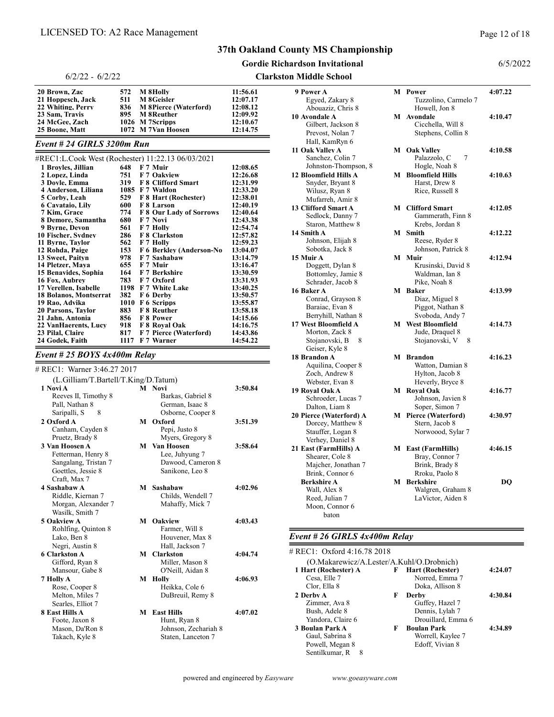### Clarkston Middle School Gordie Richardson Invitational

#### 6/2/22 - 6/2/22

| 20 Brown, Zac     | 572 | M 8Hollv                  | 11:56.61 |
|-------------------|-----|---------------------------|----------|
| 21 Hoppesch, Jack | 511 | <b>M</b> 8Geisler         | 12:07.17 |
| 22 Whiting. Perry |     | 836 M 8Pierce (Waterford) | 12:08.12 |
| 23 Sam. Travis    |     | 895 M 8 Reuther           | 12:09.92 |
| 24 McGee. Zach    |     | 1026 M 7Scripps           | 12:10.67 |
| 25 Boone. Matt    |     | 1072 M 7Van Hoosen        | 12:14.75 |

#### Event # 24 GIRLS 3200m Run

| #REC1:L.Cook West (Rochester) 11:22.13 06/03/2021 |      |                               |          |  |  |  |
|---------------------------------------------------|------|-------------------------------|----------|--|--|--|
| 1 Broyles, Jillian                                | 648  | F 7 Muir                      | 12:08.65 |  |  |  |
| 2 Lopez, Linda                                    | 751  | F 7 Oakview                   | 12:26.68 |  |  |  |
| 3 Dovle, Emma                                     | 319  | <b>F8</b> Clifford Smart      | 12:31.99 |  |  |  |
| 4 Anderson, Liliana                               | 1085 | F 7 Waldon                    | 12:33.20 |  |  |  |
| 5 Corby, Leah                                     | 529  | <b>F 8 Hart (Rochester)</b>   | 12:38.01 |  |  |  |
| <b>6 Cavataio, Lily</b>                           | 600  | <b>F8</b> Larson              | 12:40.19 |  |  |  |
| 7 Kim. Grace                                      | 774  | <b>F8 Our Lady of Sorrows</b> | 12:40.64 |  |  |  |
| 8 Demore, Samantha                                | 680  | F 7 Novi                      | 12:43.38 |  |  |  |
| 9 Byrne, Devon                                    | 561  | F 7 Holly                     | 12:54.74 |  |  |  |
| 10 Fischer, Sydney                                | 286  | <b>F8</b> Clarkston           | 12:57.82 |  |  |  |
| 11 Byrne, Taylor                                  | 562  | F 7 Holly                     | 12:59.23 |  |  |  |
| 12 Rohda, Paige                                   | 153  | F 6 Berkley (Anderson-No      | 13:04.07 |  |  |  |
| 13 Sweet, Paityn                                  | 978  | F 7 Sashabaw                  | 13:14.79 |  |  |  |
| 14 Pletzer, Maya                                  | 655  | F 7 Muir                      | 13:16.47 |  |  |  |
| 15 Benavides, Sophia                              | 164  | F 7 Berkshire                 | 13:30.59 |  |  |  |
| 16 Fox. Aubrev                                    | 783  | F 7 Oxford                    | 13:31.93 |  |  |  |
| 17 Verellen, Isabelle                             | 1198 | <b>F7</b> White Lake          | 13:40.25 |  |  |  |
| 18 Bolanos, Montserrat                            | 382  | F 6 Derby                     | 13:50.57 |  |  |  |
| 19 Rao, Advika                                    |      | 1010 F 6 Scripps              | 13:55.87 |  |  |  |
| 20 Parsons, Taylor                                | 883  | <b>F8</b> Reuther             | 13:58.18 |  |  |  |
| 21 Jahn. Antonia                                  | 856  | F 8 Power                     | 14:15.66 |  |  |  |
| 22 VanHaerents, Lucy                              | 918  | F 8 Royal Oak                 | 14:16.75 |  |  |  |
| 23 Pilal. Claire                                  | 817  | F 7 Pierce (Waterford)        | 14:43.86 |  |  |  |
| 24 Godek, Faith                                   | 1117 | F 7 Warner                    | 14:54.22 |  |  |  |

## Event # 25 BOYS 4x400m Relay

| # REC1: Warner 3:46.27 2017          |                      |         |
|--------------------------------------|----------------------|---------|
| (L.Gilliam/T.Bartell/T.King/D.Tatum) |                      |         |
| 1 Novi A                             | M Novi               | 3:50.84 |
| Reeves II, Timothy 8                 | Barkas, Gabriel 8    |         |
| Pall, Nathan 8                       | German, Isaac 8      |         |
| 8<br>Saripalli, S                    | Osborne, Cooper 8    |         |
| 2 Oxford A                           | M Oxford             | 3:51.39 |
| Canham, Cayden 8                     | Pepi, Justo 8        |         |
| Pruetz, Brady 8                      | Myers, Gregory 8     |         |
| 3 Van Hoosen A                       | <b>M</b> Van Hoosen  | 3:58.64 |
| Fetterman, Henry 8                   | Lee, Juhyung 7       |         |
| Sangalang, Tristan 7                 | Dawood, Cameron 8    |         |
| Goettles, Jessie 8                   | Sanikone, Leo 8      |         |
| Craft, Max 7                         |                      |         |
| 4 Sashabaw A                         | M Sashabaw           | 4:02.96 |
| Riddle, Kiernan 7                    | Childs, Wendell 7    |         |
| Morgan, Alexander 7                  | Mahaffy, Mick 7      |         |
| Wasilk, Smith 7                      |                      |         |
| 5 Oakview A                          | <b>M</b> Oakview     | 4:03.43 |
| Rohlfing, Quinton 8                  | Farmer, Will 8       |         |
| Lako, Ben 8                          | Houvener, Max 8      |         |
| Negri, Austin 8                      | Hall, Jackson 7      |         |
| <b>6 Clarkston A</b>                 | <b>M</b> Clarkston   | 4:04.74 |
| Gifford, Ryan 8                      | Miller, Mason 8      |         |
| Mansour, Gabe 8                      | O'Neill, Aidan 8     |         |
| 7 Holly A                            | M Holly              | 4:06.93 |
| Rose, Cooper 8                       | Heikka, Cole 6       |         |
| Melton, Miles 7                      | DuBreuil, Remy 8     |         |
| Searles, Elliot 7                    |                      |         |
| 8 East Hills A                       | <b>M</b> East Hills  | 4:07.02 |
| Foote, Jaxon 8                       | Hunt, Ryan 8         |         |
| Mason, Da'Ron 8                      | Johnson, Zechariah 8 |         |
| Takach, Kyle 8                       | Staten, Lanceton 7   |         |
|                                      |                      |         |

| Egyed, Zakary 8<br>Abouaziz, Chris 8 |   | Tuzzolino, Carn<br>Howell, Jon 8 |
|--------------------------------------|---|----------------------------------|
| 0 Avondale A                         |   | M Avondale                       |
| Gilbert, Jackson 8                   |   | Cicchella, Will 8                |
| Prevost, Nolan 7                     |   | Stephens, Collir                 |
| Hall, KamRyn 6                       |   |                                  |
| 1 Oak Valley A                       | M | <b>Oak Valley</b>                |
| Sanchez, Colin 7                     |   | Palazzolo, C                     |
| Johnston-Thompson, 8                 |   | Hogle, Noah 8                    |
| 2 Bloomfield Hills A                 | М | <b>Bloomfield Hills</b>          |
| Snyder, Bryant 8                     |   | Harst, Drew 8                    |
| Wilusz, Ryan 8                       |   | Rice, Russell 8                  |
| Mufarreh, Amir 8                     |   |                                  |
| 3 Clifford Smart A                   |   | <b>M</b> Clifford Smart          |
| Sedlock, Danny 7                     |   | Gammerath, Fin                   |
| Staron, Matthew 8                    |   | Krebs, Jordan 8                  |
| 4 Smith A                            | М | <b>Smith</b>                     |
| Johnson, Elijah 8                    |   | Reese, Ryder 8                   |
| Sobotka, Jack 8                      |   | Johnson, Patrick                 |
| 5 Muir A                             | М | Muir                             |
| Doggett, Dylan 8                     |   | Krusinski, Davi                  |
| Bottomley, Jamie 8                   |   | Waldman, Ian 8                   |
| Schrader, Jacob 8                    |   | Pike, Noah 8                     |
| 6 Baker A                            | М | <b>Baker</b>                     |
| Conrad, Grayson 8                    |   | Diaz, Miguel 8                   |
| Baraiac, Evan 8                      |   | Piggot, Nathan 8                 |
| Berryhill, Nathan 8                  |   | Svoboda, Andy                    |
| 7 West Bloomfield A                  |   | <b>M</b> West Bloomfield         |
| Morton, Zack 8                       |   | Jude, Draquel 8                  |
| Stojanovski, B<br>8                  |   | Stojanovski, V                   |
| Geiser, Kyle 8                       |   |                                  |
| 8 Brandon A                          | М | <b>Brandon</b>                   |
| Aquilina, Cooper 8                   |   | Watton, Damian                   |
| Zoch, Andrew 8                       |   | Hylton, Jacob 8                  |
| Webster, Evan 8                      |   | Heverly, Bryce &                 |
| 9 Royal Oak A                        | М | <b>Roval Oak</b>                 |
| Schroeder, Lucas 7                   |   | Johnson, Javien                  |
| Dalton, Liam 8                       |   | Soper, Simon 7                   |
| 0 Pierce (Waterford) A               | М | <b>Pierce (Waterford</b>         |
| Dorcey, Matthew 8                    |   | Stern, Jacob 8                   |
| Stauffer, Logan 8                    |   | Norwoood, Syla                   |
| Verhey, Daniel 8                     |   |                                  |
| 1 East (FarmHills) A                 | M | <b>East (FarmHills)</b>          |
| Shearer, Cole 8                      |   | Bray, Connor 7                   |
| Majcher, Jonathan 7                  |   | Brink, Brady 8                   |
| Brink, Connor 6                      |   | Rroku, Paolo 8                   |
| <b>Berkshire A</b>                   | М | <b>Berkshire</b>                 |
| Wall, Alex 8                         |   | Walgren, Grahai                  |
| Reed, Julian 7                       |   | LaVictor, Aiden                  |
| Moon, Connor 6                       |   |                                  |

### Page 12 of 18

| Egyed, Zakary 8         |   | Tuzzolino, Carmelo 7      |         |
|-------------------------|---|---------------------------|---------|
| Abouaziz, Chris 8       |   | Howell, Jon 8             |         |
| 10 Avondale A           |   | M Avondale                | 4:10.47 |
| Gilbert, Jackson 8      |   | Cicchella, Will 8         |         |
| Prevost, Nolan 7        |   | Stephens, Collin 8        |         |
| Hall, KamRyn 6          |   |                           |         |
| 11 Oak Valley A         |   | <b>M</b> Oak Vallev       | 4:10.58 |
| Sanchez, Colin 7        |   | 7<br>Palazzolo, C         |         |
| Johnston-Thompson, 8    |   | Hogle, Noah 8             |         |
| 12 Bloomfield Hills A   | M | <b>Bloomfield Hills</b>   | 4:10.63 |
| Snyder, Bryant 8        |   | Harst, Drew 8             |         |
| Wilusz, Ryan 8          |   | Rice, Russell 8           |         |
| Mufarreh, Amir 8        |   |                           |         |
| 13 Clifford Smart A     |   | <b>M</b> Clifford Smart   | 4:12.05 |
| Sedlock, Danny 7        |   | Gammerath, Finn 8         |         |
| Staron, Matthew 8       |   | Krebs, Jordan 8           |         |
| 14 Smith A              | M | <b>Smith</b>              | 4:12.22 |
| Johnson, Elijah 8       |   | Reese, Ryder 8            |         |
| Sobotka, Jack 8         |   | Johnson, Patrick 8        |         |
| 15 Muir A               |   | M Muir                    | 4:12.94 |
| Doggett, Dylan 8        |   | Krusinski, David 8        |         |
| Bottomley, Jamie 8      |   | Waldman, Ian 8            |         |
| Schrader, Jacob 8       |   | Pike, Noah 8              |         |
| 16 Baker A              |   | M Baker                   | 4:13.99 |
| Conrad, Grayson 8       |   | Diaz, Miguel 8            |         |
| Baraiac, Evan 8         |   | Piggot, Nathan 8          |         |
| Berryhill, Nathan 8     |   | Svoboda, Andy 7           |         |
| 17 West Bloomfield A    |   | M West Bloomfield         | 4:14.73 |
| Morton, Zack 8          |   | Jude, Draquel 8           |         |
| Stojanovski, B<br>8     |   | Stojanovski, V<br>8       |         |
| Geiser, Kyle 8          |   |                           |         |
| 18 Brandon A            | M | <b>Brandon</b>            | 4:16.23 |
| Aquilina, Cooper 8      |   | Watton, Damian 8          |         |
| Zoch, Andrew 8          |   | Hylton, Jacob 8           |         |
| Webster, Evan 8         |   | Heverly, Bryce 8          |         |
| 19 Roval Oak A          | M | <b>Roval Oak</b>          | 4:16.77 |
| Schroeder, Lucas 7      |   | Johnson, Javien 8         |         |
| Dalton, Liam 8          |   | Soper, Simon 7            |         |
| 20 Pierce (Waterford) A | M | Pierce (Waterford)        | 4:30.97 |
| Dorcey, Matthew 8       |   | Stern, Jacob 8            |         |
| Stauffer, Logan 8       |   | Norwoood, Sylar 7         |         |
| Verhey, Daniel 8        |   |                           |         |
| 21 East (FarmHills) A   |   | <b>M</b> East (FarmHills) | 4:46.15 |
| Shearer, Cole 8         |   | Bray, Connor 7            |         |
| Majcher, Jonathan 7     |   | Brink, Brady 8            |         |
| Brink, Connor 6         |   | Rroku, Paolo 8            |         |
| <b>Berkshire A</b>      | M | <b>Berkshire</b>          | DO      |
| Wall, Alex 8            |   | Walgren, Graham 8         |         |
| Reed, Julian 7          |   | LaVictor, Aiden 8         |         |
| Moon, Connor 6          |   |                           |         |
| baton                   |   |                           |         |
|                         |   |                           |         |

9 Power A M Power 4:07.22

#### Event # 26 GIRLS 4x400m Relay

| # REC1: Oxford 4:16.78 2018               |   |                          |         |
|-------------------------------------------|---|--------------------------|---------|
| (O.Makarewicz/A.Lester/A.Kuhl/O.Drobnich) |   |                          |         |
| 1 Hart (Rochester) A                      | F | <b>Hart (Rochester)</b>  | 4:24.07 |
| Cesa, Elle 7                              |   | Norred, Emma 7           |         |
| Clor, Ella 8                              |   | Doka, Allison 8          |         |
| 2 Derby A<br>Zimmer, Ava 8                | F | Derby<br>Guffey, Hazel 7 | 4:30.84 |
| Bush, Adele 8                             |   | Dennis, Lylah 7          |         |
| Yandora, Claire 6                         |   | Drouillard, Emma 6       |         |
| 3 Boulan Park A                           | F | <b>Boulan Park</b>       | 4:34.89 |
| Gaul, Sabrina 8                           |   | Worrell, Kaylee 7        |         |
| Powell, Megan 8                           |   | Edoff, Vivian 8          |         |
| Sentilkumar, R                            |   |                          |         |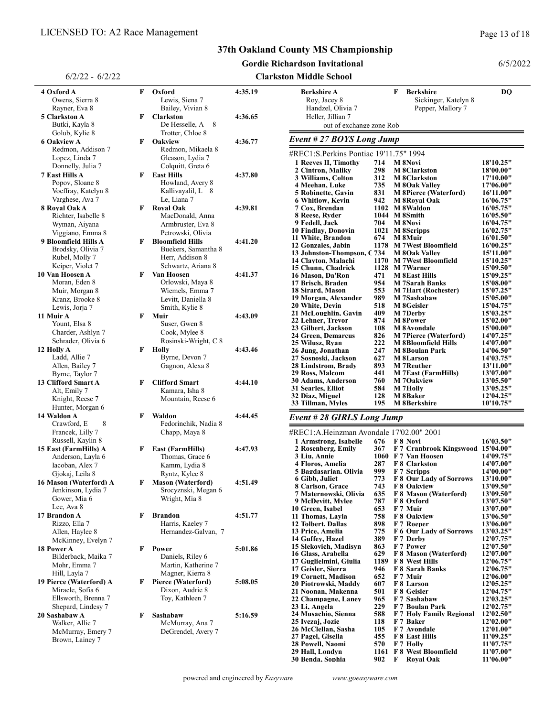6/2/22 - 6/2/22

### 37th Oakland County MS Championship

Gordie Richardson Invitational

#### Clarkston Middle School

| 4 Oxford A                                 | F | Oxford                                     | 4:35.19 | <b>Berkshire A</b>                          |            | <b>Berkshire</b><br>F                                    | <b>DO</b>              |
|--------------------------------------------|---|--------------------------------------------|---------|---------------------------------------------|------------|----------------------------------------------------------|------------------------|
| Owens, Sierra 8                            |   | Lewis, Siena 7                             |         | Roy, Jacey 8                                |            | Sickinger, Katelyn 8                                     |                        |
| Rayner, Eva 8                              |   | Bailey, Vivian 8                           |         | Handzel, Olivia 7                           |            | Pepper, Mallory 7                                        |                        |
| 5 Clarkston A                              | F | <b>Clarkston</b>                           | 4:36.65 | Heller, Jillian 7                           |            |                                                          |                        |
| Butki, Kayla 8                             |   | - 8<br>De Hesselle, A                      |         | out of exchange zone Rob                    |            |                                                          |                        |
| Golub, Kylie 8                             |   | Trotter, Chloe 8                           |         | Event # 27 BOYS Long Jump                   |            |                                                          |                        |
| <b>6 Oakview A</b><br>Redmon, Addison 7    | F | <b>Oakview</b><br>Redmon, Mikaela 8        | 4:36.77 |                                             |            |                                                          |                        |
| Lopez, Linda 7                             |   | Gleason, Lydia 7                           |         | #REC1:S.Perkins Pontiac 19'11.75" 1994      |            |                                                          |                        |
| Donnelly, Julia 7                          |   | Colquitt, Greta 6                          |         | 1 Reeves II, Timothy                        | 714        | M 8Novi                                                  | 18'10.25"              |
| 7 East Hills A                             | F | <b>East Hills</b>                          | 4:37.80 | 2 Cintron, Maliky                           | 298        | <b>M</b> 8Clarkston                                      | 18'00.00"              |
| Popov, Sloane 8                            |   | Howland, Avery 8                           |         | 3 Williams, Colton<br>4 Meehan, Luke        | 312<br>735 | <b>M</b> 8Clarkston<br><b>M 80ak Valley</b>              | 17'10.00"<br>17'06.00" |
| Voeffray, Katelyn 8                        |   | Kallivayalil, L 8                          |         | 5 Robinette, Gavin                          | 831        | <b>M</b> 8Pierce (Waterford)                             | 16'11.00"              |
| Varghese, Ava 7                            |   | Le, Liana 7                                |         | 6 Whitlow, Kevin                            | 942        | <b>M</b> 8 Royal Oak                                     | 16'06.75"              |
| 8 Roval Oak A                              | F | <b>Royal Oak</b>                           | 4:39.81 | 7 Cox, Brendan                              |            | 1102 M 8 Waldon                                          | 16'05.75"              |
| Richter, Isabelle 8                        |   | MacDonald, Anna                            |         | 8 Reese, Ryder                              |            | 1044 M 8Smith                                            | 16'05.50"              |
| Wyman, Aiyana                              |   | Armbruster, Eva 8                          |         | 9 Fedell, Jack<br>10 Findlay, Donovin       | 704        | M 8Novi<br>1021 M 8Scripps                               | 16'04.75"<br>16'02.75" |
| Viggiano, Emma 8                           |   | Petrowski, Olivia                          |         | 11 White, Brandon                           | 674        | M 8Muir                                                  | 16'01.50"              |
| 9 Bloomfield Hills A                       | F | <b>Bloomfield Hills</b>                    | 4:41.20 | 12 Gonzales, Jabin                          |            | 1178 M 7 West Bloomfield                                 | 16'00.25"              |
| Brodsky, Olivia 7<br>Rubel, Molly 7        |   | Buekers, Samantha 8<br>Herr, Addison 8     |         | 13 Johnston-Thompson, C 734                 |            | <b>M</b> 80ak Valley                                     | 15'11.00"              |
| Keiper, Violet 7                           |   | Schwartz, Ariana 8                         |         | 14 Clavton, Malachi                         |            | 1170 M 7 West Bloomfield                                 | 15'10.25"              |
| 10 Van Hoosen A                            | F | <b>Van Hoosen</b>                          | 4:41.37 | 15 Chunn, Chadrick<br>16 Mason, Da'Ron      | 471        | 1128 M 7 Warner<br><b>M</b> 8East Hills                  | 15'09.50"<br>15'09.25" |
| Moran, Eden 8                              |   | Orlowski, Maya 8                           |         | 17 Brisch, Braden                           | 954        | <b>M</b> 7Sarah Banks                                    | 15'08.00"              |
| Muir, Morgan 8                             |   | Wiemels, Emma 7                            |         | 18 Sirard, Mason                            | 553        | <b>M</b> 7Hart (Rochester)                               | 15'07.25"              |
| Kranz, Brooke 8                            |   | Levitt, Daniella 8                         |         | 19 Morgan, Alexander                        | 989        | M 7Sashabaw                                              | 15'05.00"              |
| Lewis, Jorja 7                             |   | Smith, Kylie 8                             |         | 20 White, Devin                             | 518        | M 8 Geisler                                              | 15'04.75"              |
| 11 Muir A                                  | F | Muir                                       | 4:43.09 | 21 McLoughlin, Gavin<br>22 Lehner, Trevor   | 409<br>874 | M 7Derby<br><b>M</b> 8Power                              | 15'03.25"<br>15'02.00" |
| Yount, Elsa 8                              |   | Suser, Gwen 8                              |         | 23 Gilbert, Jackson                         | 108        | <b>M</b> 8 Avondale                                      | 15'00.00"              |
| Charder, Ashlyn 7                          |   | Cook, Mylee 8                              |         | 24 Green, Demarcus                          | 826        | <b>M</b> 7Pierce (Waterford)                             | 14'07.25"              |
| Schrader, Olivia 6                         |   | Rosinski-Wright, C 8                       |         | 25 Wilusz, Ryan                             | 222        | <b>M</b> 8Bloomfield Hills                               | 14'07.00"              |
| 12 Holly A<br>Ladd, Allie 7                | F | Holly<br>Byrne, Devon 7                    | 4:43.46 | 26 Jung, Jonathan                           | 247        | <b>M</b> 8Boulan Park                                    | 14'06.50"              |
| Allen, Bailey 7                            |   | Gagnon, Alexa 8                            |         | 27 Sosnoski, Jackson<br>28 Lindstrom, Brady | 627<br>893 | M 8Larson<br><b>M</b> 7 Reuther                          | 14'03.75"<br>13'11.00" |
| Byrne, Taylor 7                            |   |                                            |         | 29 Ross, Malcom                             | 441        | <b>M</b> 7East (FarmHills)                               | 13'07.00"              |
| 13 Clifford Smart A                        | F | <b>Clifford Smart</b>                      | 4:44.10 | 30 Adams, Anderson                          | 760        | <b>M</b> 70akview                                        | 13'05.50"              |
| Alt, Emily 7                               |   | Kamara, Isha 8                             |         | 31 Searles, Elliot                          | 584        | M 7Holly                                                 | 13'05.25"              |
| Knight, Reese 7                            |   | Mountain, Reese 6                          |         | 32 Diaz, Miguel                             | 128        | M 8Baker                                                 | 12'04.25"              |
| Hunter, Morgan 6                           |   |                                            |         | 33 Tillman, Myles                           | 195        | M 8 Berkshire                                            | 10'10.75"              |
| 14 Waldon A                                | F | Waldon                                     | 4:44.45 | Event #28 GIRLS Long Jump                   |            |                                                          |                        |
| 8<br>Crawford, E                           |   | Fedorinchik, Nadia 8                       |         |                                             |            |                                                          |                        |
| Francek, Lilly 7                           |   | Chapp, Maya 8                              |         | #REC1:A.Heinzman Avondale 17'02.00" 2001    |            |                                                          |                        |
| Russell, Kaylin 8                          |   |                                            |         | 1 Armstrong, Isabelle<br>2 Rosenberg, Emily | 676<br>367 | F 8 Novi                                                 | 16'03.50"              |
| 15 East (FarmHills) A<br>Anderson, Layla 6 | F | <b>East (FarmHills)</b><br>Thomas, Grace 6 | 4:47.93 | 3 Liu, Annie                                |            | F 7 Cranbrook Kingswood 15'04.00"<br>1060 F 7 Van Hoosen | 14'09.75"              |
| Iacoban, Alex 7                            |   | Kamm, Lydia 8                              |         | 4 Floros, Amelia                            | 287        | F 8 Clarkston                                            | 14'07.00"              |
| Gjokaj, Leila 8                            |   | Ryntz, Kylee 8                             |         | 5 Bagdasarian, Olivia                       | 999        | F 7 Scripps                                              | 14'00.00"              |
| 16 Mason (Waterford) A                     | F | <b>Mason</b> (Waterford)                   | 4:51.49 | 6 Gibb, Juliet                              | 773        | <b>F8 Our Lady of Sorrows</b>                            | 13'10.00"              |
| Jenkinson, Lydia 7                         |   | Srocyznski, Megan 6                        |         | 8 Carlson, Grace<br>7 Maternowski, Olivia   | 743        | F 8 Oakview<br>635 F 8 Mason (Waterford)                 | 13'09.50"<br>13'09.50" |
| Gower, Mia 6                               |   | Wright, Mia 8                              |         | 9 McDevitt, Mylee                           | 787        | F 8 Oxford                                               | 13'07.50"              |
| Lee, Ava 8                                 |   |                                            |         | 10 Green, Isabel                            | 653        | F 7 Muir                                                 | 13'07.00"              |
| 17 Brandon A                               | F | <b>Brandon</b>                             | 4:51.77 | 11 Thomas, Layla                            | 758        | F 8 Oakview                                              | 13'06.50"              |
| Rizzo, Ella 7                              |   | Harris, Kaeley 7                           |         | 12 Tolbert, Dallas                          | 898        | F 7 Roeper                                               | 13'06.00"              |
| Allen, Haylee 8                            |   | Hernandez-Galvan, 7                        |         | 13 Price, Amelia                            | 775<br>389 | F 6 Our Lady of Sorrows                                  | 13'03.25"<br>12'07.75" |
| McKinney, Evelyn 7                         |   |                                            |         | 14 Guffey, Hazel<br>15 Slekovich, Madisvn   | 863        | F 7 Derby<br>F 7 Power                                   | 12'07.50"              |
| 18 Power A<br>Bilderback, Maika 7          | F | Power<br>Daniels, Riley 6                  | 5:01.86 | 16 Glass, Arabella                          | 629        | F 8 Mason (Waterford)                                    | 12'07.00"              |
| Mohr, Emma 7                               |   | Martin, Katherine 7                        |         | 17 Guglielmini, Giulia                      |            | 1189 F 8 West Hills                                      | 12'06.75"              |
| Hill, Layla 7                              |   | Magner, Kierra 8                           |         | 17 Geisler, Sierra                          | 946        | F 8 Sarah Banks                                          | 12'06.75"              |
| 19 Pierce (Waterford) A                    | F | <b>Pierce (Waterford)</b>                  | 5:08.05 | 19 Cornett, Madison<br>20 Piotrowski, Maddy | 652<br>607 | F 7 Muir<br>F 8 Larson                                   | 12'06.00"<br>12'05.25" |
| Miracle, Sofia 6                           |   | Dixon, Audrie 8                            |         | 21 Noonan, Makenna                          | 501        | F 8 Geisler                                              | 12'04.75"              |
| Ellsworth, Brenna 7                        |   | Toy, Kathleen 7                            |         | 22 Champagne, Lanev                         | 965        | F 7 Sashabaw                                             | 12'03.25"              |
| Shepard, Lindesy 7                         |   |                                            |         | 23 Li, Angela                               | 229        | <b>F7 Boulan Park</b>                                    | 12'02.75"              |
| 20 Sashabaw A                              | F | Sashabaw                                   | 5:16.59 | 24 Musachio, Sienna                         | 588        | F 7 Holy Family Regional                                 | 12'02.50"              |
| Walker, Allie 7                            |   | McMurray, Ana 7                            |         | 25 Ivezaj, Jozie                            | 118<br>105 | F 7 Baker<br>F 7 Avondale                                | 12'02.00"              |
| McMurray, Emery 7                          |   | DeGrendel, Avery 7                         |         | 26 McClellan, Sasha<br>27 Pagel, Gisella    | 455        | F 8 East Hills                                           | 12'01.00"<br>11'09.25" |
| Brown, Lainey 7                            |   |                                            |         | 28 Powell, Naomi                            | 570        | F 7 Holly                                                | 11'07.75"              |
|                                            |   |                                            |         | 29 Hall, Londyn                             |            | 1161 F 8 West Bloomfield                                 | 11'07.00"              |
|                                            |   |                                            |         | 30 Benda, Sophia                            | 902        | <b>F</b> Royal Oak                                       | 11'06.00"              |

6/5/2022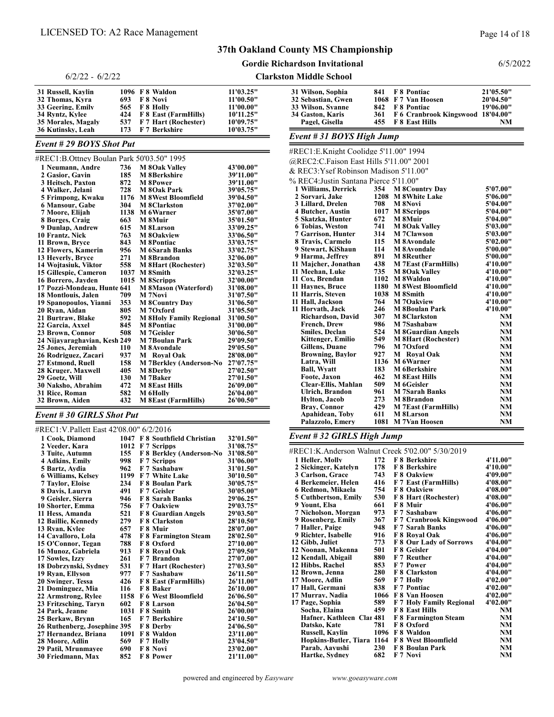Gordie Richardson Invitational

#### 6/2/22 - 6/2/22

| 31 Russell, Kavlin |      | 1096 F 8 Waldon          | 11'03.25" |
|--------------------|------|--------------------------|-----------|
| 32 Thomas. Kvra    | 693  | F 8 Novi                 | 11'00.50" |
| 33 Geering. Emilv  | 565. | F 8 Holly                | 11'00.00" |
| 34 Rvntz. Kvlee    |      | 424 F 8 East (FarmHills) | 10'11.25" |
| 35 Morales. Magalv |      | 537 F 7 Hart (Rochester) | 10'09.75" |
| 36 Kutinskv. Leah  | 173  | – F 7 Berkshire          | 10'03.75" |

#### Event # 29 BOYS Shot Put

| #REC1:B.Ottney Boulan Park 50'03.50" 1995 |      |                                |           |  |  |
|-------------------------------------------|------|--------------------------------|-----------|--|--|
| 1 Neumann. Andre                          | 736  | <b>M</b> 80ak Vallev           | 43'00.00" |  |  |
| 2 Gasior. Gavin                           | 185  | <b>M</b> 8Berkshire            | 39'11.00" |  |  |
| 3 Heitsch, Paxton                         | 872  | <b>M</b> 8Power                | 39'11.00" |  |  |
| 4 Walker, Jelani                          | 728  | <b>M</b> 80ak Park             | 39'05.75" |  |  |
| 5 Frimpong, Kwaku                         | 1176 | <b>M</b> 8West Bloomfield      | 39'04.50" |  |  |
| <b>6 Mansour, Gabe</b>                    | 304  | <b>M</b> 8Clarkston            | 37'02.00" |  |  |
| 7 Moore, Eliiah                           | 1138 | <b>M</b> 6Warner               | 35'07.00" |  |  |
| 8 Borges, Craig                           | 663  | M 8Muir                        | 35'01.50" |  |  |
| 9 Dunlap, Andrew                          | 615  | <b>M</b> 8Larson               | 33'09.25" |  |  |
| 10 Frantz, Nick                           | 763  | <b>M</b> 80akview              | 33'06.50" |  |  |
| 11 Brown, Bryce                           | 843  | <b>M</b> 8Pontiac              | 33'03.75" |  |  |
| 12 Flowers, Kamerin                       | 956  | <b>M</b> 6Sarah Banks          | 33'02.75" |  |  |
| 13 Heverly, Bryce                         | 271  | <b>M</b> 8Brandon              | 32'06.00" |  |  |
| 14 Wojtasiuk, Viktor                      | 558  | <b>M 8Hart (Rochester)</b>     | 32'03.50" |  |  |
| 15 Gillespie, Cameron                     | 1037 | <b>M</b> 8Smith                | 32'03.25" |  |  |
| 16 Borrero, Javden                        | 1015 | <b>M</b> 8Scripps              | 32'00.00" |  |  |
| 17 Pozzi-Mondeau, Hunte 641               |      | <b>M</b> 8Mason (Waterford)    | 31'08.00" |  |  |
| 18 Montlouis, Jalen                       | 709  | M 7Novi                        | 31'07.50" |  |  |
| 19 Spanopoulos, Yianni                    | 353  | <b>M 8Country Day</b>          | 31'06.50" |  |  |
| 20 Ryan, Aidan                            | 805  | M 70xford                      | 31'05.50" |  |  |
| 21 Burtraw, Blake                         | 592  | <b>M 8Holy Family Regional</b> | 31'00.50" |  |  |
| 22 Garcia, Axxel                          | 845  | <b>M</b> 8Pontiac              | 31'00.00" |  |  |
| 23 Brown, Connor                          | 508  | M 7Geisler                     | 30'06.50" |  |  |
| 24 Nijayaraghavian, Kesh 249              |      | <b>M</b> 7Boulan Park          | 29'09.50" |  |  |
| 25 Jones, Jeremiah                        | 110  | <b>M</b> 8 Avondale            | 29'05.50" |  |  |
| 26 Rodriguez, Zacari                      | 937  | <b>M</b> Royal Oak             | 28'08.00" |  |  |
| 27 Estmond, Ruell                         | 158  | M 7Berkley (Anderson-No        | 27'07.75" |  |  |
| 28 Kruger, Maxwell                        | 405  | M 8Derby                       | 27'02.50" |  |  |
| 29 Goetz. Will                            | 130  | M 7Baker                       | 27'01.50" |  |  |
| 30 Naksho, Abrahim                        | 472  | <b>M 8East Hills</b>           | 26'09.00" |  |  |
| 31 Rice, Roman                            | 582  | M 6Holly                       | 26'04.00" |  |  |
| 32 Brown, Aiden                           | 432  | <b>M 8East (FarmHills)</b>     | 26'00.50" |  |  |
|                                           |      |                                |           |  |  |

# Event # 30 GIRLS Shot Put

| #REC1:V.Pallett East 42'08.00" 6/2/2016 |      |                                 |           |  |  |
|-----------------------------------------|------|---------------------------------|-----------|--|--|
| 1 Cook. Diamond                         | 1047 | <b>F8</b> Southfield Christian  | 32'01.50" |  |  |
| 2 Veeder, Kara                          | 1012 | F 7 Scripps                     | 31'08.75" |  |  |
| 3 Tuite, Autumn                         | 155  | <b>F 8 Berkley (Anderson-No</b> | 31'08.50" |  |  |
| 4 Adkins, Emily                         | 998  | F 7 Scripps                     | 31'06.00" |  |  |
| 5 Bartz, Aydia                          | 962  | F 7 Sashabaw                    | 31'01.50" |  |  |
| 6 Williams, Kelsev                      | 1199 | F 7 White Lake                  | 30'10.50" |  |  |
| <b>7 Taylor, Eloise</b>                 | 234  | <b>F8 Boulan Park</b>           | 30'05.75" |  |  |
| 8 Davis, Lauryn                         | 491  | F 7 Geisler                     | 30'05.00" |  |  |
| 9 Geisler, Sierra                       | 946  | <b>F8 Sarah Banks</b>           | 29'06.25" |  |  |
| 10 Shorter, Emma                        | 756  | F 7 Oakview                     | 29'03.75" |  |  |
| 11 Hess, Amanda                         | 521  | <b>F8 Guardian Angels</b>       | 29'03.50" |  |  |
| 12 Baillie, Kennedy                     | 279  | <b>F8</b> Clarkston             | 28'10.50" |  |  |
| 13 Ryan, Kylee                          | 657  | F 8 Muir                        | 28'07.00" |  |  |
| 14 Cavalloro, Lola                      | 478  | <b>F8 Farmington Steam</b>      | 28'02.50" |  |  |
| 15 O'Connor, Tegan                      | 788  | F 8 Oxford                      | 27'10.00" |  |  |
| 16 Munoz, Gabriela                      | 913  | <b>F8 Roval Oak</b>             | 27'09.50" |  |  |
| <b>17 Sowles, Izzv</b>                  | 261  | F 7 Brandon                     | 27'07.00" |  |  |
| 18 Dobrzynski, Sydney                   | 531  | F 7 Hart (Rochester)            | 27'03.50" |  |  |
| 19 Ryan, Ellyson                        | 977  | F 7 Sashabaw                    | 26'11.50" |  |  |
| 20 Swinger, Tessa                       | 426  | <b>F 8 East (FarmHills)</b>     | 26'11.00" |  |  |
| 21 Dominguez, Mia                       | 116  | F 8 Baker                       | 26'10.00" |  |  |
| 22 Armstrong, Rylee                     | 1158 | F 6 West Bloomfield             | 26'06.50" |  |  |
| 23 Fritzsching. Tarvn                   | 602  | <b>F8</b> Larson                | 26'04.50" |  |  |
| 24 Park. Jeanne                         |      | 1031 F 8 Smith                  | 26'00.00" |  |  |
| 25 Berkaw. Brvnn                        | 165  | F 7 Berkshire                   | 24'10.50" |  |  |
| 26 Ruthenberg, Josephine 395            |      | F 8 Derby                       | 24'06.50" |  |  |
| 27 Hernandez. Briana                    | 1091 | F 8 Waldon                      | 23'11.00" |  |  |
| 28 Moore, Adlin                         | 569  | F 7 Holly                       | 23'04.50" |  |  |
| 29 Patil, Mrunmayee                     | 690  | F 8 Novi                        | 23'02.00" |  |  |
| 30 Friedmann, Max                       | 852  | <b>F8 Power</b>                 | 21'11.00" |  |  |
|                                         |      |                                 |           |  |  |

#### 6/5/2022

## Clarkston Middle School

| 31 Wilson, Sophia<br>32 Sebastian, Gwen<br>33 Wilson, Svanne<br>34 Gaston, Karis |      | 841 F 8 Pontiac<br>1068 F 7 Van Hoosen<br>842 F 8 Pontiac<br>361 F 6 Cranbrook Kingswood 18'04.00" | 21'05.50"<br>20'04.50"<br>19'06.00" |
|----------------------------------------------------------------------------------|------|----------------------------------------------------------------------------------------------------|-------------------------------------|
| Pagel. Gisella                                                                   | 455. | <b>F8 East Hills</b>                                                                               | NM                                  |

#### Event # 31 BOYS High Jump

| #REC1:E.Knight Coolidge 5'11.00" 1994   |      |                            |           |  |  |
|-----------------------------------------|------|----------------------------|-----------|--|--|
| @REC2:C.Faison East Hills 5'11.00" 2001 |      |                            |           |  |  |
| & REC3: Ysef Robinson Madison 5'11.00"  |      |                            |           |  |  |
| % REC4: Justin Santana Pierce 5'11.00"  |      |                            |           |  |  |
| 1 Williams, Derrick                     | 354  | <b>M 8Country Day</b>      | 5'07.00"  |  |  |
| 2 Sorvari, Jake                         | 1208 | <b>M 8White Lake</b>       | 5'06.00"  |  |  |
| 3 Lillard, Drelen                       | 708  | M 8Novi                    | 5'04.00"  |  |  |
| 4 Butcher, Austin                       | 1017 | <b>M</b> 8Scripps          | 5'04.00"  |  |  |
| 5 Skatzka, Hunter                       | 672  | <b>M</b> 8Muir             | 5'04.00"  |  |  |
| 6 Tobias, Weston                        | 741  | <b>M 8Oak Valley</b>       | 5'03.00"  |  |  |
| 7 Garrison, Hunter                      | 314  | <b>M</b> 7Clawson          | 5'03.00"  |  |  |
| 8 Travis, Carmelo                       | 115  | M 8 Avondale               | 5'02.00"  |  |  |
| 9 Stewart, KiShaun                      | 114  | <b>M</b> 8 Avondale        | 5'00.00"  |  |  |
| 9 Harma, Jeffrey                        | 891  | <b>M</b> 8 Reuther         | 5'00.00"  |  |  |
| 11 Majcher, Jonathan                    | 438  | <b>M</b> 7East (FarmHills) | 4'10.00"  |  |  |
| 11 Meehan, Luke                         | 735  | <b>M 8Oak Valley</b>       | 4'10.00"  |  |  |
| 11 Cox, Brendan                         | 1102 | M 8Waldon                  | 4'10.00"  |  |  |
| 11 Havnes, Bruce                        | 1180 | <b>M 8West Bloomfield</b>  | 4'10.00"  |  |  |
| 11 Harris, Steven                       | 1038 | M 8Smith                   | 4'10.00"  |  |  |
| 11 Hall, Jackson                        | 764  | M 70akview                 | 4'10.00"  |  |  |
| 11 Horvath, Jack                        | 246  | <b>M</b> 8Boulan Park      | 4'10.00"  |  |  |
| Richardson, David                       | 307  | <b>M</b> 8Clarkston        | <b>NM</b> |  |  |
| French, Drew                            | 986  | M 7Sashabaw                | NM        |  |  |
| <b>Smiles, Declan</b>                   | 524  | <b>M 8Guardian Angels</b>  | NM        |  |  |
| <b>Kittenger, Emilio</b>                | 549  | <b>M</b> 8Hart (Rochester) | NM        |  |  |
| <b>Gillens</b> , Duane                  | 796  | M 7Oxford                  | NM        |  |  |
| <b>Browning, Baylor</b>                 | 927  | <b>M</b> Roval Oak         | NM        |  |  |
| Latra. Will                             | 1136 | <b>M</b> 6Warner           | NM        |  |  |
| <b>Ball. Wyatt</b>                      | 183  | M 6Berkshire               | NM        |  |  |
| Foote, Jaxon                            | 462  | <b>M 8East Hills</b>       | NM        |  |  |
| Clear-Ellis, Mahlan                     | 509  | M 6Geisler                 | NM        |  |  |
| Ulrich. Brandon                         | 961  | <b>M</b> 7Sarah Banks      | NM        |  |  |
| <b>Hylton</b> , Jacob                   | 273  | M 8Brandon                 | NM        |  |  |
| <b>Bray, Connor</b>                     | 429  | <b>M</b> 7East (FarmHills) | <b>NM</b> |  |  |
| Apahidean, Tobv                         | 611  | <b>M</b> 8Larson           | <b>NM</b> |  |  |
| Palazzolo, Emerv                        | 1081 | <b>M 7Van Hoosen</b>       | <b>NM</b> |  |  |

#### Event # 32 GIRLS High Jump

| #REC1:K.Anderson Walnut Creek 5'02.00" 5/30/2019 |            |             |                               |           |  |
|--------------------------------------------------|------------|-------------|-------------------------------|-----------|--|
| 1 Heller, Molly                                  | 172        |             | <b>F8</b> Berkshire           | 4'11.00"  |  |
| 2 Sickinger, Katelvn                             | 178        |             | F 8 Berkshire                 | 4'10.00"  |  |
| 3 Carlson, Grace                                 | 743        |             | F 8 Oakview                   | 4'09.00"  |  |
| 4 Berkemeier, Helen                              | 416        |             | F 7 East (FarmHills)          | 4'08.00"  |  |
| 6 Redmon, Mikaela                                | 754        |             | <b>F8 Oakview</b>             | 4'08.00"  |  |
| 5 Cuthbertson, Emily                             | 530        |             | <b>F 8 Hart (Rochester)</b>   | 4'08.00"  |  |
| 9 Yount, Elsa                                    | 661        | F 8 Muir    |                               | 4'06.00"  |  |
| 7 Nicholson, Morgan                              | 973        |             | F 7 Sashabaw                  | 4'06.00"  |  |
| 9 Rosenberg, Emily                               | 367        |             | <b>F7 Cranbrook Kingswood</b> | 4'06.00"  |  |
| 7 Haller, Paige                                  | 948        |             | <b>F7 Sarah Banks</b>         | 4'06.00"  |  |
| 9 Richter, Isabelle                              | 916        |             | F 8 Roval Oak                 | 4'06.00"  |  |
| 12 Gibb, Juliet                                  | 773        |             | <b>F8 Our Lady of Sorrows</b> | 4'04.00"  |  |
| 12 Noonan, Makenna                               | 501        | F 8 Geisler |                               | 4'04.00"  |  |
| 12 Kendall, Abigail                              | 880        |             | F 7 Reuther                   | 4'04.00"  |  |
| 12 Hibbs, Rachel                                 | 853        | F 7 Power   |                               | 4'04.00"  |  |
| 12 Brown, Jenna                                  | <b>280</b> |             | <b>F8</b> Clarkston           | 4'04.00"  |  |
| 17 Moore, Adlin                                  | 569        | F 7 Holly   |                               | 4'02.00"  |  |
| 17 Hall, Germani                                 | 838        |             | F 7 Pontiac                   | 4'02.00"  |  |
| 17 Murrav. Nadia                                 | 1066       |             | F 8 Van Hoosen                | 4'02.00"  |  |
| 17 Page, Sophia                                  | 589        |             | F 7 Holy Family Regional      | 4'02.00"  |  |
| Socha, Elaina                                    | 459        |             | F 8 East Hills                | NM        |  |
| Hafner, Kathleen Clar 481                        |            |             | <b>F8 Farmington Steam</b>    | NM        |  |
| Datsko, Kate                                     | 781        | F 8 Oxford  |                               | NM        |  |
| <b>Russell, Kavlin</b>                           |            |             | 1096 F 8 Waldon               | NM        |  |
| Hopkins-Butler, Tiara 1164 F 8 West Bloomfield   |            |             |                               | NM        |  |
| Parab, Aavushi                                   | <b>230</b> |             | <b>F8 Boulan Park</b>         | <b>NM</b> |  |
| Hartke, Sydney                                   | 682        | F 7 Novi    |                               | NΜ        |  |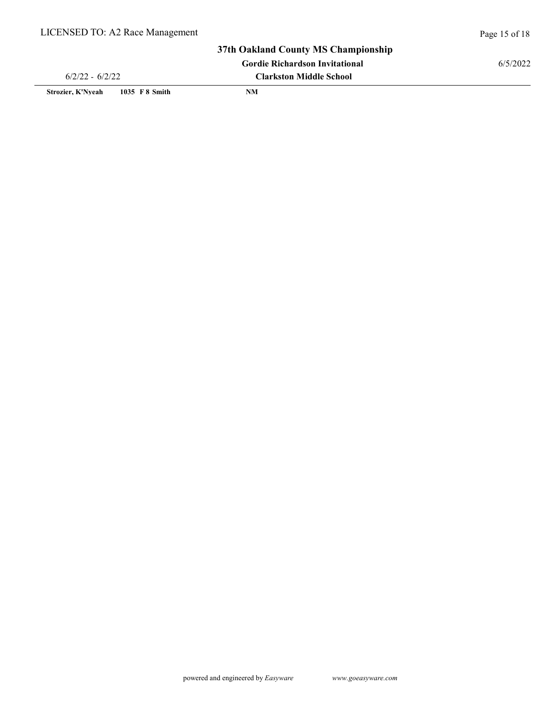6/5/2022

## Clarkston Middle School Gordie Richardson Invitational 37th Oakland County MS Championship

6/2/22 - 6/2/22

Strozier, K'Nyeah 1035 F 8 Smith NM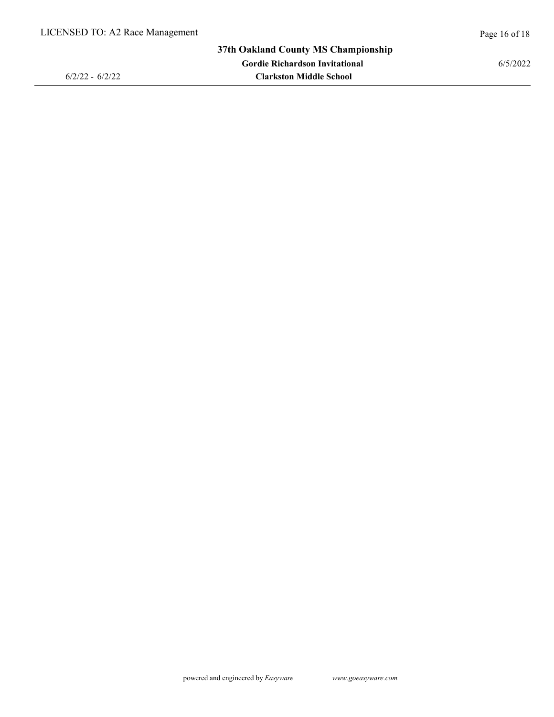## Clarkston Middle School Gordie Richardson Invitational 37th Oakland County MS Championship

6/2/22 - 6/2/22

6/5/2022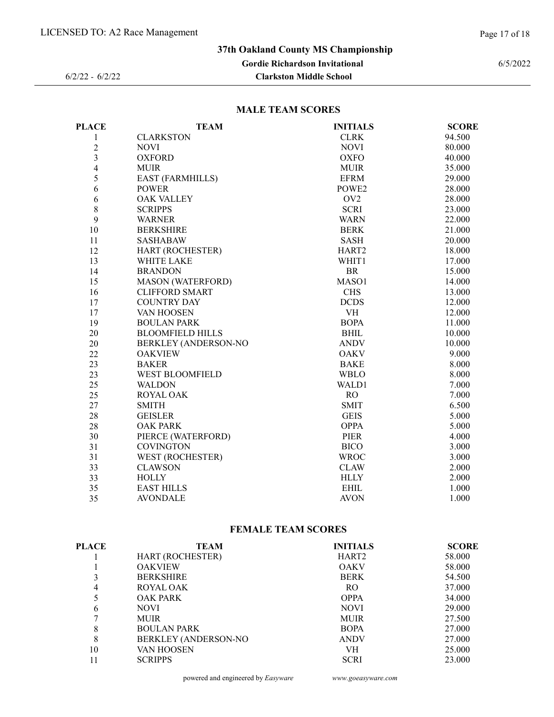## Clarkston Middle School Gordie Richardson Invitational 37th Oakland County MS Championship

6/2/22 - 6/2/22

6/5/2022

## MALE TEAM SCORES

| <b>PLACE</b>   | <b>TEAM</b>                 | <b>INITIALS</b>   | <b>SCORE</b> |
|----------------|-----------------------------|-------------------|--------------|
| 1              | <b>CLARKSTON</b>            | <b>CLRK</b>       | 94.500       |
| $\overline{c}$ | <b>NOVI</b>                 | <b>NOVI</b>       | 80.000       |
| $\overline{3}$ | <b>OXFORD</b>               | <b>OXFO</b>       | 40.000       |
| $\overline{4}$ | <b>MUIR</b>                 | <b>MUIR</b>       | 35.000       |
| 5              | <b>EAST (FARMHILLS)</b>     | <b>EFRM</b>       | 29.000       |
| 6              | <b>POWER</b>                | POWE <sub>2</sub> | 28.000       |
| 6              | <b>OAK VALLEY</b>           | OV <sub>2</sub>   | 28.000       |
| 8              | <b>SCRIPPS</b>              | <b>SCRI</b>       | 23.000       |
| 9              | <b>WARNER</b>               | <b>WARN</b>       | 22.000       |
| 10             | <b>BERKSHIRE</b>            | <b>BERK</b>       | 21.000       |
| 11             | <b>SASHABAW</b>             | <b>SASH</b>       | 20.000       |
| 12             | HART (ROCHESTER)            | HART <sub>2</sub> | 18.000       |
| 13             | <b>WHITE LAKE</b>           | WHIT1             | 17.000       |
| 14             | <b>BRANDON</b>              | <b>BR</b>         | 15.000       |
| 15             | <b>MASON (WATERFORD)</b>    | MASO1             | 14.000       |
| 16             | <b>CLIFFORD SMART</b>       | <b>CHS</b>        | 13.000       |
| 17             | <b>COUNTRY DAY</b>          | <b>DCDS</b>       | 12.000       |
| 17             | VAN HOOSEN                  | VH                | 12.000       |
| 19             | <b>BOULAN PARK</b>          | <b>BOPA</b>       | 11.000       |
| 20             | <b>BLOOMFIELD HILLS</b>     | <b>BHIL</b>       | 10.000       |
| 20             | <b>BERKLEY (ANDERSON-NO</b> | <b>ANDV</b>       | 10.000       |
| 22             | <b>OAKVIEW</b>              | <b>OAKV</b>       | 9.000        |
| 23             | <b>BAKER</b>                | <b>BAKE</b>       | 8.000        |
| 23             | <b>WEST BLOOMFIELD</b>      | <b>WBLO</b>       | 8.000        |
| 25             | <b>WALDON</b>               | WALD1             | 7.000        |
| 25             | ROYAL OAK                   | <b>RO</b>         | 7.000        |
| 27             | <b>SMITH</b>                | <b>SMIT</b>       | 6.500        |
| 28             | <b>GEISLER</b>              | <b>GEIS</b>       | 5.000        |
| 28             | <b>OAK PARK</b>             | <b>OPPA</b>       | 5.000        |
| 30             | PIERCE (WATERFORD)          | PIER              | 4.000        |
| 31             | <b>COVINGTON</b>            | <b>BICO</b>       | 3.000        |
| 31             | WEST (ROCHESTER)            | <b>WROC</b>       | 3.000        |
| 33             | <b>CLAWSON</b>              | <b>CLAW</b>       | 2.000        |
| 33             | <b>HOLLY</b>                | <b>HLLY</b>       | 2.000        |
| 35             | <b>EAST HILLS</b>           | <b>EHIL</b>       | 1.000        |
| 35             | <b>AVONDALE</b>             | <b>AVON</b>       | 1.000        |

## FEMALE TEAM SCORES

| PLACE        | <b>TEAM</b>             | <b>INITIALS</b>   | <b>SCORE</b> |
|--------------|-------------------------|-------------------|--------------|
|              | <b>HART (ROCHESTER)</b> | HART <sub>2</sub> | 58.000       |
|              | <b>OAKVIEW</b>          | <b>OAKV</b>       | 58.000       |
|              | <b>BERKSHIRE</b>        | <b>BERK</b>       | 54.500       |
| 4            | <b>ROYAL OAK</b>        | RO.               | 37.000       |
|              | OAK PARK                | <b>OPPA</b>       | 34.000       |
| <sub>(</sub> | <b>NOVI</b>             | <b>NOVI</b>       | 29.000       |
|              | <b>MUIR</b>             | <b>MUIR</b>       | 27.500       |
| 8            | <b>BOULAN PARK</b>      | <b>BOPA</b>       | 27.000       |
| 8            | BERKLEY (ANDERSON-NO    | <b>ANDV</b>       | 27.000       |
| 10           | VAN HOOSEN              | VH                | 25.000       |
|              | <b>SCRIPPS</b>          | <b>SCRI</b>       | 23.000       |